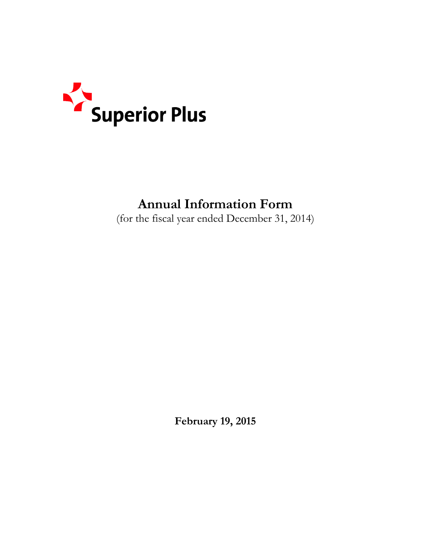

# **Annual Information Form**

(for the fiscal year ended December 31, 2014)

**February 19, 2015**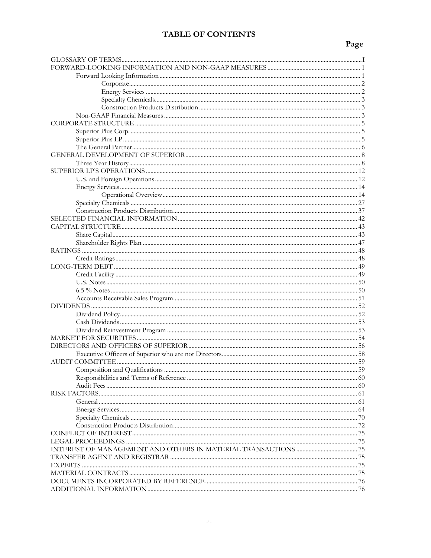### **TABLE OF CONTENTS**

## Page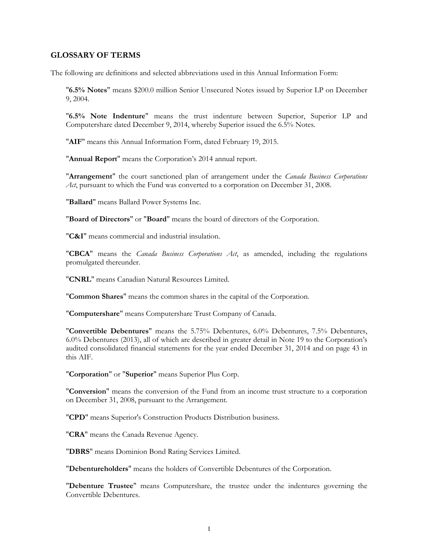#### <span id="page-2-0"></span>**GLOSSARY OF TERMS**

The following are definitions and selected abbreviations used in this Annual Information Form:

"**6.5% Notes**" means \$200.0 million Senior Unsecured Notes issued by Superior LP on December 9, 2004.

"**6.5% Note Indenture**" means the trust indenture between Superior, Superior LP and Computershare dated December 9, 2014, whereby Superior issued the 6.5% Notes.

"**AIF**" means this Annual Information Form, dated February 19, 2015.

"**Annual Report**" means the Corporation's 2014 annual report.

"**Arrangement**" the court sanctioned plan of arrangement under the *Canada Business Corporations Act*, pursuant to which the Fund was converted to a corporation on December 31, 2008.

"**Ballard**" means Ballard Power Systems Inc.

"**Board of Directors**" or "**Board**" means the board of directors of the Corporation.

"**C&I**" means commercial and industrial insulation.

"**CBCA**" means the *Canada Business Corporations Act*, as amended, including the regulations promulgated thereunder.

"**CNRL**" means Canadian Natural Resources Limited.

"**Common Shares**" means the common shares in the capital of the Corporation.

"**Computershare**" means Computershare Trust Company of Canada.

"**Convertible Debentures**" means the 5.75% Debentures, 6.0% Debentures, 7.5% Debentures, 6.0% Debentures (2013), all of which are described in greater detail in Note 19 to the Corporation's audited consolidated financial statements for the year ended December 31, 2014 and on page 43 in this AIF.

"**Corporation**" or "**Superior**" means Superior Plus Corp.

"**Conversion**" means the conversion of the Fund from an income trust structure to a corporation on December 31, 2008, pursuant to the Arrangement.

"**CPD**" means Superior's Construction Products Distribution business.

"**CRA**" means the Canada Revenue Agency.

"**DBRS**" means Dominion Bond Rating Services Limited.

"**Debentureholders**" means the holders of Convertible Debentures of the Corporation.

"**Debenture Trustee**" means Computershare, the trustee under the indentures governing the Convertible Debentures.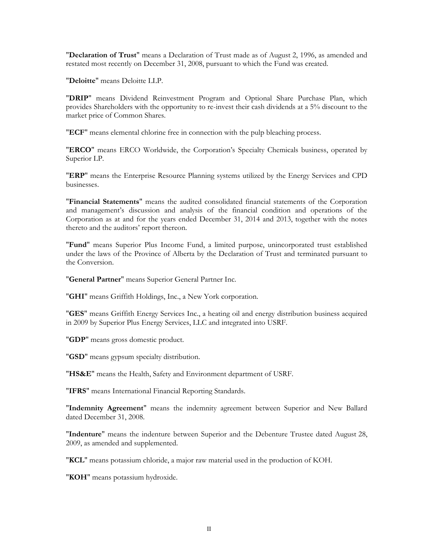"**Declaration of Trust**" means a Declaration of Trust made as of August 2, 1996, as amended and restated most recently on December 31, 2008, pursuant to which the Fund was created.

"**Deloitte**" means Deloitte LLP.

"**DRIP**" means Dividend Reinvestment Program and Optional Share Purchase Plan, which provides Shareholders with the opportunity to re-invest their cash dividends at a 5% discount to the market price of Common Shares.

"**ECF**" means elemental chlorine free in connection with the pulp bleaching process.

"**ERCO**" means ERCO Worldwide, the Corporation's Specialty Chemicals business, operated by Superior LP.

"**ERP**" means the Enterprise Resource Planning systems utilized by the Energy Services and CPD businesses.

"**Financial Statements**" means the audited consolidated financial statements of the Corporation and management's discussion and analysis of the financial condition and operations of the Corporation as at and for the years ended December 31, 2014 and 2013, together with the notes thereto and the auditors' report thereon.

"**Fund**" means Superior Plus Income Fund, a limited purpose, unincorporated trust established under the laws of the Province of Alberta by the Declaration of Trust and terminated pursuant to the Conversion.

"**General Partner**" means Superior General Partner Inc.

"**GHI**" means Griffith Holdings, Inc., a New York corporation.

"**GES**" means Griffith Energy Services Inc., a heating oil and energy distribution business acquired in 2009 by Superior Plus Energy Services, LLC and integrated into USRF.

"**GDP**" means gross domestic product.

"**GSD**" means gypsum specialty distribution.

"**HS&E**" means the Health, Safety and Environment department of USRF.

"**IFRS**" means International Financial Reporting Standards.

"**Indemnity Agreement**" means the indemnity agreement between Superior and New Ballard dated December 31, 2008.

"**Indenture**" means the indenture between Superior and the Debenture Trustee dated August 28, 2009, as amended and supplemented.

"**KCL**" means potassium chloride, a major raw material used in the production of KOH.

"**KOH**" means potassium hydroxide.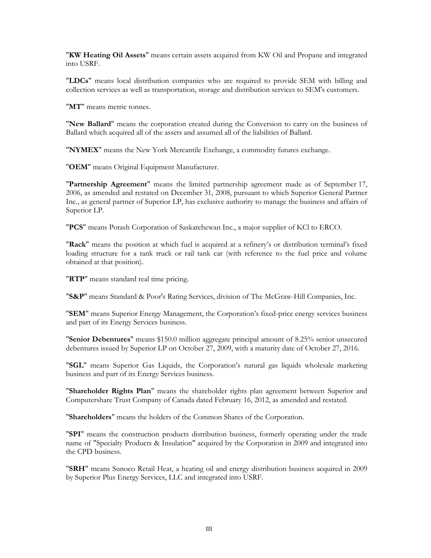"**KW Heating Oil Assets**" means certain assets acquired from KW Oil and Propane and integrated into USRF.

"**LDCs**" means local distribution companies who are required to provide SEM with billing and collection services as well as transportation, storage and distribution services to SEM's customers.

"**MT**" means metric tonnes.

"**New Ballard**" means the corporation created during the Conversion to carry on the business of Ballard which acquired all of the assets and assumed all of the liabilities of Ballard.

"**NYMEX**" means the New York Mercantile Exchange, a commodity futures exchange.

"**OEM**" means Original Equipment Manufacturer.

"**Partnership Agreement**" means the limited partnership agreement made as of September 17, 2006, as amended and restated on December 31, 2008, pursuant to which Superior General Partner Inc., as general partner of Superior LP, has exclusive authority to manage the business and affairs of Superior LP.

"**PCS**" means Potash Corporation of Saskatchewan Inc., a major supplier of KCl to ERCO.

"**Rack**" means the position at which fuel is acquired at a refinery's or distribution terminal's fixed loading structure for a tank truck or rail tank car (with reference to the fuel price and volume obtained at that position).

"**RTP**" means standard real time pricing.

"**S&P**" means Standard & Poor's Rating Services, division of The McGraw-Hill Companies, Inc.

"**SEM**" means Superior Energy Management, the Corporation's fixed-price energy services business and part of its Energy Services business.

"**Senior Debentures**" means \$150.0 million aggregate principal amount of 8.25% senior unsecured debentures issued by Superior LP on October 27, 2009, with a maturity date of October 27, 2016.

"**SGL**" means Superior Gas Liquids, the Corporation's natural gas liquids wholesale marketing business and part of its Energy Services business.

"**Shareholder Rights Plan**" means the shareholder rights plan agreement between Superior and Computershare Trust Company of Canada dated February 16, 2012, as amended and restated.

"**Shareholders**" means the holders of the Common Shares of the Corporation.

"**SPI**" means the construction products distribution business, formerly operating under the trade name of "Specialty Products & Insulation" acquired by the Corporation in 2009 and integrated into the CPD business.

"**SRH**" means Sunoco Retail Heat, a heating oil and energy distribution business acquired in 2009 by Superior Plus Energy Services, LLC and integrated into USRF.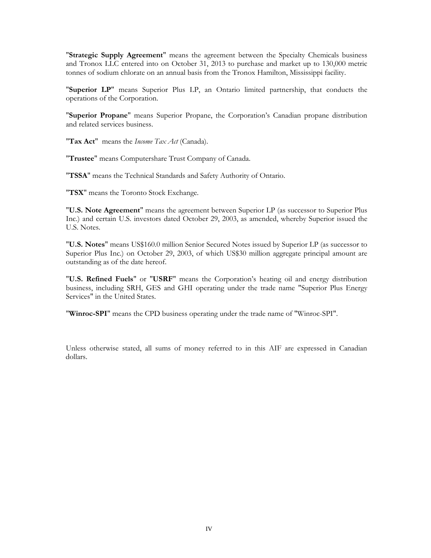"**Strategic Supply Agreement**" means the agreement between the Specialty Chemicals business and Tronox LLC entered into on October 31, 2013 to purchase and market up to 130,000 metric tonnes of sodium chlorate on an annual basis from the Tronox Hamilton, Mississippi facility.

"**Superior LP**" means Superior Plus LP, an Ontario limited partnership, that conducts the operations of the Corporation.

"**Superior Propane**" means Superior Propane, the Corporation's Canadian propane distribution and related services business.

"**Tax Act**" means the *Income Tax Act* (Canada).

"**Trustee**" means Computershare Trust Company of Canada.

"**TSSA**" means the Technical Standards and Safety Authority of Ontario.

"**TSX**" means the Toronto Stock Exchange.

"**U.S. Note Agreement**" means the agreement between Superior LP (as successor to Superior Plus Inc.) and certain U.S. investors dated October 29, 2003, as amended, whereby Superior issued the U.S. Notes.

"**U.S. Notes**" means US\$160.0 million Senior Secured Notes issued by Superior LP (as successor to Superior Plus Inc.) on October 29, 2003, of which US\$30 million aggregate principal amount are outstanding as of the date hereof.

"**U.S. Refined Fuels**" or "**USRF**" means the Corporation's heating oil and energy distribution business, including SRH, GES and GHI operating under the trade name "Superior Plus Energy Services" in the United States.

"**Winroc-SPI**" means the CPD business operating under the trade name of "Winroc-SPI".

Unless otherwise stated, all sums of money referred to in this AIF are expressed in Canadian dollars.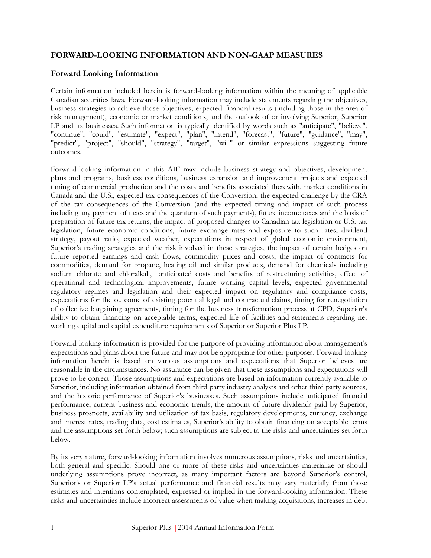#### <span id="page-6-0"></span>**FORWARD-LOOKING INFORMATION AND NON-GAAP MEASURES**

#### <span id="page-6-1"></span>**Forward Looking Information**

Certain information included herein is forward-looking information within the meaning of applicable Canadian securities laws. Forward-looking information may include statements regarding the objectives, business strategies to achieve those objectives, expected financial results (including those in the area of risk management), economic or market conditions, and the outlook of or involving Superior, Superior LP and its businesses. Such information is typically identified by words such as "anticipate", "believe", "continue", "could", "estimate", "expect", "plan", "intend", "forecast", "future", "guidance", "may", "predict", "project", "should", "strategy", "target", "will" or similar expressions suggesting future outcomes.

Forward-looking information in this AIF may include business strategy and objectives, development plans and programs, business conditions, business expansion and improvement projects and expected timing of commercial production and the costs and benefits associated therewith, market conditions in Canada and the U.S., expected tax consequences of the Conversion, the expected challenge by the CRA of the tax consequences of the Conversion (and the expected timing and impact of such process including any payment of taxes and the quantum of such payments), future income taxes and the basis of preparation of future tax returns, the impact of proposed changes to Canadian tax legislation or U.S. tax legislation, future economic conditions, future exchange rates and exposure to such rates, dividend strategy, payout ratio, expected weather, expectations in respect of global economic environment, Superior's trading strategies and the risk involved in these strategies, the impact of certain hedges on future reported earnings and cash flows, commodity prices and costs, the impact of contracts for commodities, demand for propane, heating oil and similar products, demand for chemicals including sodium chlorate and chloralkali, anticipated costs and benefits of restructuring activities, effect of operational and technological improvements, future working capital levels, expected governmental regulatory regimes and legislation and their expected impact on regulatory and compliance costs, expectations for the outcome of existing potential legal and contractual claims, timing for renegotiation of collective bargaining agreements, timing for the business transformation process at CPD, Superior's ability to obtain financing on acceptable terms, expected life of facilities and statements regarding net working capital and capital expenditure requirements of Superior or Superior Plus LP.

Forward-looking information is provided for the purpose of providing information about management's expectations and plans about the future and may not be appropriate for other purposes. Forward-looking information herein is based on various assumptions and expectations that Superior believes are reasonable in the circumstances. No assurance can be given that these assumptions and expectations will prove to be correct. Those assumptions and expectations are based on information currently available to Superior, including information obtained from third party industry analysts and other third party sources, and the historic performance of Superior's businesses. Such assumptions include anticipated financial performance, current business and economic trends, the amount of future dividends paid by Superior, business prospects, availability and utilization of tax basis, regulatory developments, currency, exchange and interest rates, trading data, cost estimates, Superior's ability to obtain financing on acceptable terms and the assumptions set forth below; such assumptions are subject to the risks and uncertainties set forth below.

By its very nature, forward-looking information involves numerous assumptions, risks and uncertainties, both general and specific. Should one or more of these risks and uncertainties materialize or should underlying assumptions prove incorrect, as many important factors are beyond Superior's control, Superior's or Superior LP's actual performance and financial results may vary materially from those estimates and intentions contemplated, expressed or implied in the forward-looking information. These risks and uncertainties include incorrect assessments of value when making acquisitions, increases in debt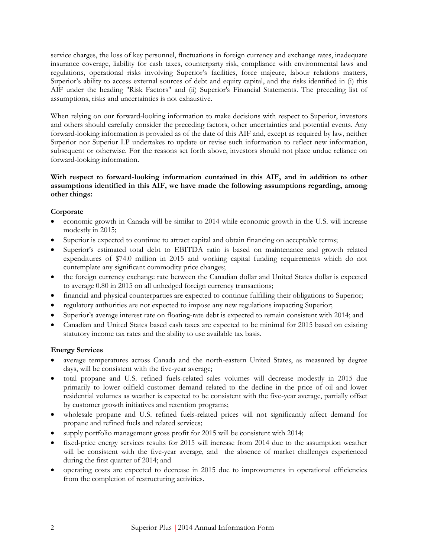service charges, the loss of key personnel, fluctuations in foreign currency and exchange rates, inadequate insurance coverage, liability for cash taxes, counterparty risk, compliance with environmental laws and regulations, operational risks involving Superior's facilities, force majeure, labour relations matters, Superior's ability to access external sources of debt and equity capital, and the risks identified in (i) this AIF under the heading "Risk Factors" and (ii) Superior's Financial Statements. The preceding list of assumptions, risks and uncertainties is not exhaustive.

When relying on our forward-looking information to make decisions with respect to Superior, investors and others should carefully consider the preceding factors, other uncertainties and potential events. Any forward-looking information is provided as of the date of this AIF and, except as required by law, neither Superior nor Superior LP undertakes to update or revise such information to reflect new information, subsequent or otherwise. For the reasons set forth above, investors should not place undue reliance on forward-looking information.

#### **With respect to forward-looking information contained in this AIF, and in addition to other assumptions identified in this AIF, we have made the following assumptions regarding, among other things:**

#### <span id="page-7-0"></span>**Corporate**

- economic growth in Canada will be similar to 2014 while economic growth in the U.S. will increase modestly in 2015;
- Superior is expected to continue to attract capital and obtain financing on acceptable terms;
- Superior's estimated total debt to EBITDA ratio is based on maintenance and growth related expenditures of \$74.0 million in 2015 and working capital funding requirements which do not contemplate any significant commodity price changes;
- the foreign currency exchange rate between the Canadian dollar and United States dollar is expected to average 0.80 in 2015 on all unhedged foreign currency transactions;
- financial and physical counterparties are expected to continue fulfilling their obligations to Superior;
- regulatory authorities are not expected to impose any new regulations impacting Superior;
- Superior's average interest rate on floating-rate debt is expected to remain consistent with 2014; and
- Canadian and United States based cash taxes are expected to be minimal for 2015 based on existing statutory income tax rates and the ability to use available tax basis.

#### <span id="page-7-1"></span>**Energy Services**

- average temperatures across Canada and the north-eastern United States, as measured by degree days, will be consistent with the five-year average;
- total propane and U.S. refined fuels-related sales volumes will decrease modestly in 2015 due primarily to lower oilfield customer demand related to the decline in the price of oil and lower residential volumes as weather is expected to be consistent with the five-year average, partially offset by customer growth initiatives and retention programs;
- wholesale propane and U.S. refined fuels-related prices will not significantly affect demand for propane and refined fuels and related services;
- supply portfolio management gross profit for 2015 will be consistent with 2014;
- fixed-price energy services results for 2015 will increase from 2014 due to the assumption weather will be consistent with the five-year average, and the absence of market challenges experienced during the first quarter of 2014; and
- <span id="page-7-2"></span> operating costs are expected to decrease in 2015 due to improvements in operational efficiencies from the completion of restructuring activities.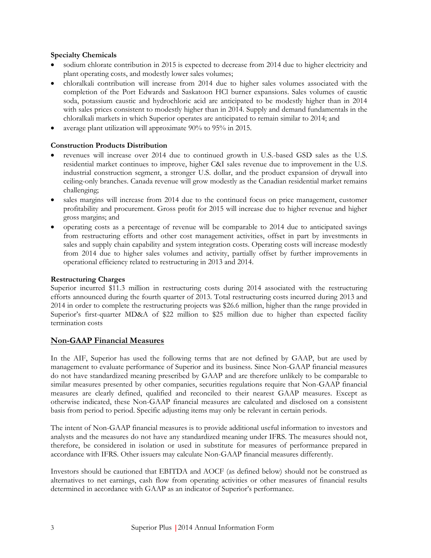#### **Specialty Chemicals**

- sodium chlorate contribution in 2015 is expected to decrease from 2014 due to higher electricity and plant operating costs, and modestly lower sales volumes;
- chloralkali contribution will increase from 2014 due to higher sales volumes associated with the completion of the Port Edwards and Saskatoon HCl burner expansions. Sales volumes of caustic soda, potassium caustic and hydrochloric acid are anticipated to be modestly higher than in 2014 with sales prices consistent to modestly higher than in 2014. Supply and demand fundamentals in the chloralkali markets in which Superior operates are anticipated to remain similar to 2014; and
- average plant utilization will approximate 90% to 95% in 2015.

#### <span id="page-8-0"></span>**Construction Products Distribution**

- revenues will increase over 2014 due to continued growth in U.S.-based GSD sales as the U.S. residential market continues to improve, higher C&I sales revenue due to improvement in the U.S. industrial construction segment, a stronger U.S. dollar, and the product expansion of drywall into ceiling-only branches. Canada revenue will grow modestly as the Canadian residential market remains challenging;
- sales margins will increase from 2014 due to the continued focus on price management, customer profitability and procurement. Gross profit for 2015 will increase due to higher revenue and higher gross margins; and
- operating costs as a percentage of revenue will be comparable to 2014 due to anticipated savings from restructuring efforts and other cost management activities, offset in part by investments in sales and supply chain capability and system integration costs. Operating costs will increase modestly from 2014 due to higher sales volumes and activity, partially offset by further improvements in operational efficiency related to restructuring in 2013 and 2014.

#### **Restructuring Charges**

Superior incurred \$11.3 million in restructuring costs during 2014 associated with the restructuring efforts announced during the fourth quarter of 2013. Total restructuring costs incurred during 2013 and 2014 in order to complete the restructuring projects was \$26.6 million, higher than the range provided in Superior's first-quarter MD&A of \$22 million to \$25 million due to higher than expected facility termination costs

#### <span id="page-8-1"></span>**Non-GAAP Financial Measures**

In the AIF, Superior has used the following terms that are not defined by GAAP, but are used by management to evaluate performance of Superior and its business. Since Non-GAAP financial measures do not have standardized meaning prescribed by GAAP and are therefore unlikely to be comparable to similar measures presented by other companies, securities regulations require that Non-GAAP financial measures are clearly defined, qualified and reconciled to their nearest GAAP measures. Except as otherwise indicated, these Non-GAAP financial measures are calculated and disclosed on a consistent basis from period to period. Specific adjusting items may only be relevant in certain periods.

The intent of Non-GAAP financial measures is to provide additional useful information to investors and analysts and the measures do not have any standardized meaning under IFRS. The measures should not, therefore, be considered in isolation or used in substitute for measures of performance prepared in accordance with IFRS. Other issuers may calculate Non-GAAP financial measures differently.

Investors should be cautioned that EBITDA and AOCF (as defined below) should not be construed as alternatives to net earnings, cash flow from operating activities or other measures of financial results determined in accordance with GAAP as an indicator of Superior's performance.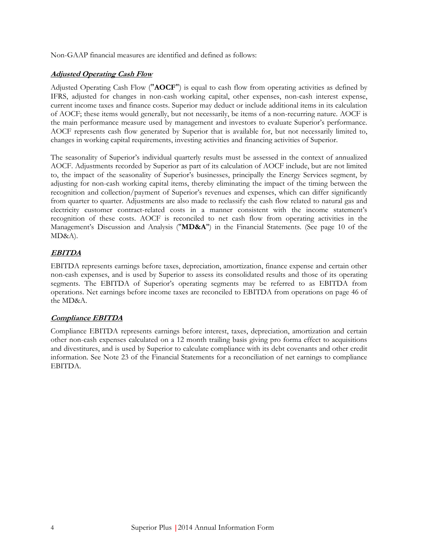Non-GAAP financial measures are identified and defined as follows:

#### **Adjusted Operating Cash Flow**

Adjusted Operating Cash Flow ("**AOCF**") is equal to cash flow from operating activities as defined by IFRS, adjusted for changes in non-cash working capital, other expenses, non-cash interest expense, current income taxes and finance costs. Superior may deduct or include additional items in its calculation of AOCF; these items would generally, but not necessarily, be items of a non-recurring nature. AOCF is the main performance measure used by management and investors to evaluate Superior's performance. AOCF represents cash flow generated by Superior that is available for, but not necessarily limited to, changes in working capital requirements, investing activities and financing activities of Superior.

The seasonality of Superior's individual quarterly results must be assessed in the context of annualized AOCF. Adjustments recorded by Superior as part of its calculation of AOCF include, but are not limited to, the impact of the seasonality of Superior's businesses, principally the Energy Services segment, by adjusting for non-cash working capital items, thereby eliminating the impact of the timing between the recognition and collection/payment of Superior's revenues and expenses, which can differ significantly from quarter to quarter. Adjustments are also made to reclassify the cash flow related to natural gas and electricity customer contract-related costs in a manner consistent with the income statement's recognition of these costs. AOCF is reconciled to net cash flow from operating activities in the Management's Discussion and Analysis ("**MD&A**") in the Financial Statements. (See page 10 of the MD&A).

#### **EBITDA**

EBITDA represents earnings before taxes, depreciation, amortization, finance expense and certain other non-cash expenses, and is used by Superior to assess its consolidated results and those of its operating segments. The EBITDA of Superior's operating segments may be referred to as EBITDA from operations. Net earnings before income taxes are reconciled to EBITDA from operations on page 46 of the MD&A.

#### **Compliance EBITDA**

Compliance EBITDA represents earnings before interest, taxes, depreciation, amortization and certain other non-cash expenses calculated on a 12 month trailing basis giving pro forma effect to acquisitions and divestitures, and is used by Superior to calculate compliance with its debt covenants and other credit information. See Note 23 of the Financial Statements for a reconciliation of net earnings to compliance EBITDA.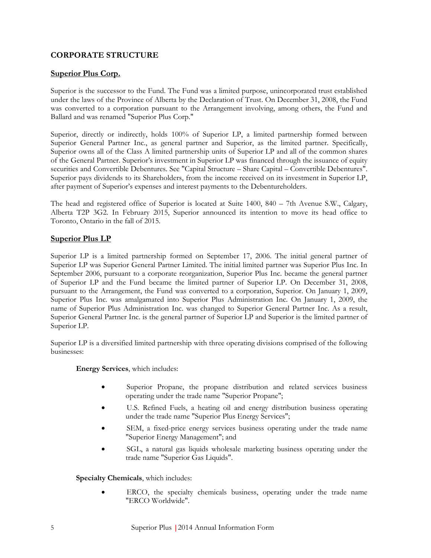### <span id="page-10-0"></span>**CORPORATE STRUCTURE**

#### <span id="page-10-1"></span>**Superior Plus Corp.**

Superior is the successor to the Fund. The Fund was a limited purpose, unincorporated trust established under the laws of the Province of Alberta by the Declaration of Trust. On December 31, 2008, the Fund was converted to a corporation pursuant to the Arrangement involving, among others, the Fund and Ballard and was renamed "Superior Plus Corp."

Superior, directly or indirectly, holds 100% of Superior LP, a limited partnership formed between Superior General Partner Inc., as general partner and Superior, as the limited partner. Specifically, Superior owns all of the Class A limited partnership units of Superior LP and all of the common shares of the General Partner. Superior's investment in Superior LP was financed through the issuance of equity securities and Convertible Debentures. See "Capital Structure – Share Capital – Convertible Debentures". Superior pays dividends to its Shareholders, from the income received on its investment in Superior LP, after payment of Superior's expenses and interest payments to the Debentureholders.

The head and registered office of Superior is located at Suite 1400, 840 – 7th Avenue S.W., Calgary, Alberta T2P 3G2. In February 2015, Superior announced its intention to move its head office to Toronto, Ontario in the fall of 2015.

#### <span id="page-10-2"></span>**Superior Plus LP**

Superior LP is a limited partnership formed on September 17, 2006. The initial general partner of Superior LP was Superior General Partner Limited. The initial limited partner was Superior Plus Inc. In September 2006, pursuant to a corporate reorganization, Superior Plus Inc. became the general partner of Superior LP and the Fund became the limited partner of Superior LP. On December 31, 2008, pursuant to the Arrangement, the Fund was converted to a corporation, Superior. On January 1, 2009, Superior Plus Inc. was amalgamated into Superior Plus Administration Inc. On January 1, 2009, the name of Superior Plus Administration Inc. was changed to Superior General Partner Inc. As a result, Superior General Partner Inc. is the general partner of Superior LP and Superior is the limited partner of Superior LP.

Superior LP is a diversified limited partnership with three operating divisions comprised of the following businesses:

**Energy Services**, which includes:

- Superior Propane, the propane distribution and related services business operating under the trade name "Superior Propane";
- U.S. Refined Fuels, a heating oil and energy distribution business operating under the trade name "Superior Plus Energy Services";
- SEM, a fixed-price energy services business operating under the trade name "Superior Energy Management"; and
- SGL, a natural gas liquids wholesale marketing business operating under the trade name "Superior Gas Liquids".

**Specialty Chemicals**, which includes:

 ERCO, the specialty chemicals business, operating under the trade name "ERCO Worldwide".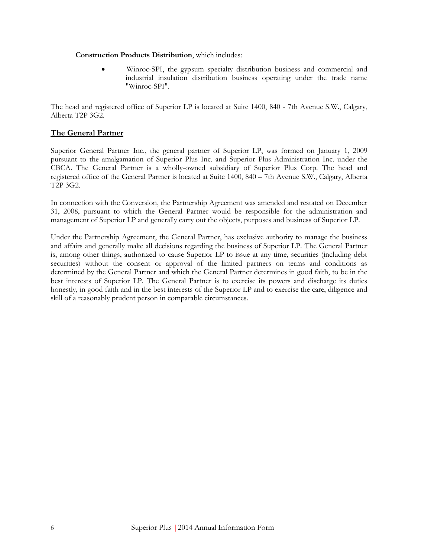#### **Construction Products Distribution**, which includes:

 Winroc-SPI, the gypsum specialty distribution business and commercial and industrial insulation distribution business operating under the trade name "Winroc-SPI".

The head and registered office of Superior LP is located at Suite 1400, 840 - 7th Avenue S.W., Calgary, Alberta T2P 3G2.

#### <span id="page-11-0"></span>**The General Partner**

Superior General Partner Inc., the general partner of Superior LP, was formed on January 1, 2009 pursuant to the amalgamation of Superior Plus Inc. and Superior Plus Administration Inc. under the CBCA. The General Partner is a wholly-owned subsidiary of Superior Plus Corp. The head and registered office of the General Partner is located at Suite 1400, 840 – 7th Avenue S.W., Calgary, Alberta T2P 3G2.

In connection with the Conversion, the Partnership Agreement was amended and restated on December 31, 2008, pursuant to which the General Partner would be responsible for the administration and management of Superior LP and generally carry out the objects, purposes and business of Superior LP.

Under the Partnership Agreement, the General Partner, has exclusive authority to manage the business and affairs and generally make all decisions regarding the business of Superior LP. The General Partner is, among other things, authorized to cause Superior LP to issue at any time, securities (including debt securities) without the consent or approval of the limited partners on terms and conditions as determined by the General Partner and which the General Partner determines in good faith, to be in the best interests of Superior LP. The General Partner is to exercise its powers and discharge its duties honestly, in good faith and in the best interests of the Superior LP and to exercise the care, diligence and skill of a reasonably prudent person in comparable circumstances.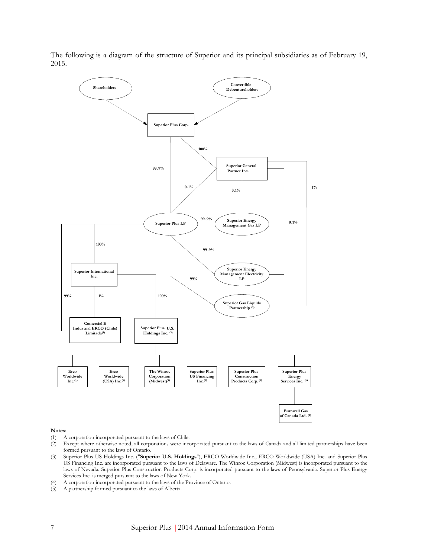The following is a diagram of the structure of Superior and its principal subsidiaries as of February 19, 2015.



#### **Notes:**

- (1) A corporation incorporated pursuant to the laws of Chile.
- (2) Except where otherwise noted, all corporations were incorporated pursuant to the laws of Canada and all limited partnerships have been formed pursuant to the laws of Ontario.
- (3) Superior Plus US Holdings Inc. ("**Superior U.S. Holdings**"), ERCO Worldwide Inc., ERCO Worldwide (USA) Inc. and Superior Plus US Financing Inc. are incorporated pursuant to the laws of Delaware. The Winroc Corporation (Midwest) is incorporated pursuant to the laws of Nevada. Superior Plus Construction Products Corp. is incorporated pursuant to the laws of Pennsylvania. Superior Plus Energy Services Inc. is merged pursuant to the laws of New York.
- (4) A corporation incorporated pursuant to the laws of the Province of Ontario.
- (5) A partnership formed pursuant to the laws of Alberta.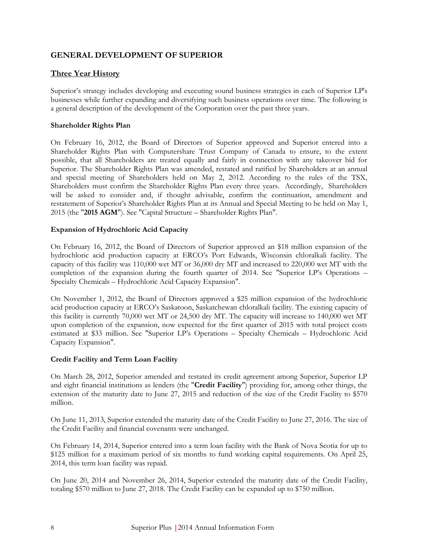#### <span id="page-13-0"></span>**GENERAL DEVELOPMENT OF SUPERIOR**

#### <span id="page-13-1"></span>**Three Year History**

Superior's strategy includes developing and executing sound business strategies in each of Superior LP's businesses while further expanding and diversifying such business operations over time. The following is a general description of the development of the Corporation over the past three years.

#### **Shareholder Rights Plan**

On February 16, 2012, the Board of Directors of Superior approved and Superior entered into a Shareholder Rights Plan with Computershare Trust Company of Canada to ensure, to the extent possible, that all Shareholders are treated equally and fairly in connection with any takeover bid for Superior. The Shareholder Rights Plan was amended, restated and ratified by Shareholders at an annual and special meeting of Shareholders held on May 2, 2012. According to the rules of the TSX, Shareholders must confirm the Shareholder Rights Plan every three years. Accordingly, Shareholders will be asked to consider and, if thought advisable, confirm the continuation, amendment and restatement of Superior's Shareholder Rights Plan at its Annual and Special Meeting to be held on May 1, 2015 (the "**2015 AGM**"). See "Capital Structure – Shareholder Rights Plan".

#### **Expansion of Hydrochloric Acid Capacity**

On February 16, 2012, the Board of Directors of Superior approved an \$18 million expansion of the hydrochloric acid production capacity at ERCO's Port Edwards, Wisconsin chloralkali facility. The capacity of this facility was 110,000 wet MT or 36,000 dry MT and increased to 220,000 wet MT with the completion of the expansion during the fourth quarter of 2014. See "Superior LP's Operations – Specialty Chemicals – Hydrochloric Acid Capacity Expansion".

On November 1, 2012, the Board of Directors approved a \$25 million expansion of the hydrochloric acid production capacity at ERCO's Saskatoon, Saskatchewan chloralkali facility. The existing capacity of this facility is currently 70,000 wet MT or 24,500 dry MT. The capacity will increase to 140,000 wet MT upon completion of the expansion, now expected for the first quarter of 2015 with total project costs estimated at \$33 million. See "Superior LP's Operations – Specialty Chemicals – Hydrochloric Acid Capacity Expansion".

#### **Credit Facility and Term Loan Facility**

On March 28, 2012, Superior amended and restated its credit agreement among Superior, Superior LP and eight financial institutions as lenders (the "**Credit Facility**") providing for, among other things, the extension of the maturity date to June 27, 2015 and reduction of the size of the Credit Facility to \$570 million.

On June 11, 2013, Superior extended the maturity date of the Credit Facility to June 27, 2016. The size of the Credit Facility and financial covenants were unchanged.

On February 14, 2014, Superior entered into a term loan facility with the Bank of Nova Scotia for up to \$125 million for a maximum period of six months to fund working capital requirements. On April 25, 2014, this term loan facility was repaid.

On June 20, 2014 and November 26, 2014, Superior extended the maturity date of the Credit Facility, totaling \$570 million to June 27, 2018. The Credit Facility can be expanded up to \$750 million.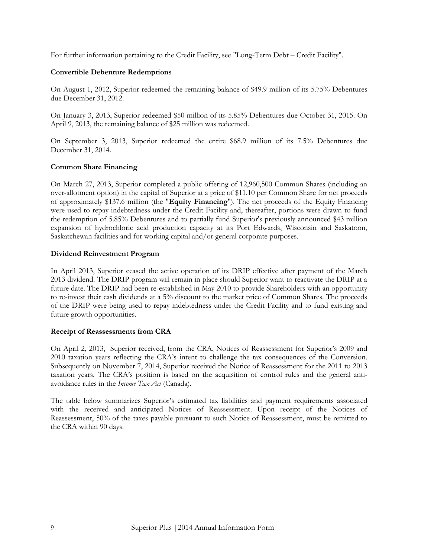For further information pertaining to the Credit Facility, see "Long-Term Debt – Credit Facility".

#### **Convertible Debenture Redemptions**

On August 1, 2012, Superior redeemed the remaining balance of \$49.9 million of its 5.75% Debentures due December 31, 2012.

On January 3, 2013, Superior redeemed \$50 million of its 5.85% Debentures due October 31, 2015. On April 9, 2013, the remaining balance of \$25 million was redeemed.

On September 3, 2013, Superior redeemed the entire \$68.9 million of its 7.5% Debentures due December 31, 2014.

#### **Common Share Financing**

On March 27, 2013, Superior completed a public offering of 12,960,500 Common Shares (including an over-allotment option) in the capital of Superior at a price of \$11.10 per Common Share for net proceeds of approximately \$137.6 million (the "**Equity Financing**"). The net proceeds of the Equity Financing were used to repay indebtedness under the Credit Facility and, thereafter, portions were drawn to fund the redemption of 5.85% Debentures and to partially fund Superior's previously announced \$43 million expansion of hydrochloric acid production capacity at its Port Edwards, Wisconsin and Saskatoon, Saskatchewan facilities and for working capital and/or general corporate purposes.

#### **Dividend Reinvestment Program**

In April 2013, Superior ceased the active operation of its DRIP effective after payment of the March 2013 dividend. The DRIP program will remain in place should Superior want to reactivate the DRIP at a future date. The DRIP had been re-established in May 2010 to provide Shareholders with an opportunity to re-invest their cash dividends at a 5% discount to the market price of Common Shares. The proceeds of the DRIP were being used to repay indebtedness under the Credit Facility and to fund existing and future growth opportunities.

#### **Receipt of Reassessments from CRA**

On April 2, 2013, Superior received, from the CRA, Notices of Reassessment for Superior's 2009 and 2010 taxation years reflecting the CRA's intent to challenge the tax consequences of the Conversion. Subsequently on November 7, 2014, Superior received the Notice of Reassessment for the 2011 to 2013 taxation years. The CRA's position is based on the acquisition of control rules and the general antiavoidance rules in the *Income Tax Act* (Canada).

The table below summarizes Superior's estimated tax liabilities and payment requirements associated with the received and anticipated Notices of Reassessment. Upon receipt of the Notices of Reassessment, 50% of the taxes payable pursuant to such Notice of Reassessment, must be remitted to the CRA within 90 days.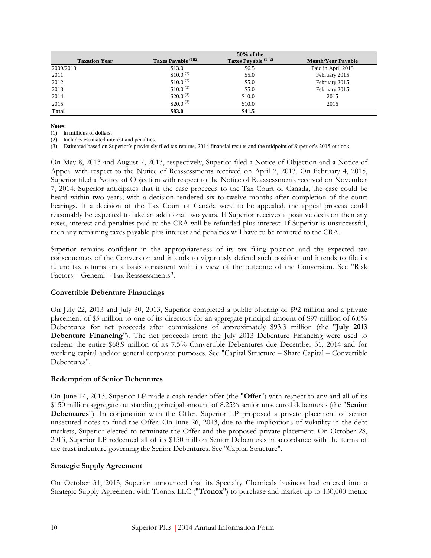|                      |                       | $50\%$ of the          |                           |
|----------------------|-----------------------|------------------------|---------------------------|
| <b>Taxation Year</b> | Taxes Payable (1)(2)  | Taxes Payable $(1)(2)$ | <b>Month/Year Payable</b> |
| 2009/2010            | \$13.0                | \$6.5                  | Paid in April 2013        |
| 2011                 | \$10.0 <sup>(3)</sup> | \$5.0                  | February 2015             |
| 2012                 | \$10.0 <sup>(3)</sup> | \$5.0                  | February 2015             |
| 2013                 | $$10.0^{(3)}$         | \$5.0                  | February 2015             |
| 2014                 | \$20.0 <sup>(3)</sup> | \$10.0                 | 2015                      |
| 2015                 | $$20.0^{(3)}$         | \$10.0                 | 2016                      |
| <b>Total</b>         | \$83.0                | \$41.5                 |                           |

**Notes:**

(1) In millions of dollars.

(2) Includes estimated interest and penalties.

(3) Estimated based on Superior's previously filed tax returns, 2014 financial results and the midpoint of Superior's 2015 outlook.

On May 8, 2013 and August 7, 2013, respectively, Superior filed a Notice of Objection and a Notice of Appeal with respect to the Notice of Reassessments received on April 2, 2013. On February 4, 2015, Superior filed a Notice of Objection with respect to the Notice of Reassessments received on November 7, 2014. Superior anticipates that if the case proceeds to the Tax Court of Canada, the case could be heard within two years, with a decision rendered six to twelve months after completion of the court hearings. If a decision of the Tax Court of Canada were to be appealed, the appeal process could reasonably be expected to take an additional two years. If Superior receives a positive decision then any taxes, interest and penalties paid to the CRA will be refunded plus interest. If Superior is unsuccessful, then any remaining taxes payable plus interest and penalties will have to be remitted to the CRA.

Superior remains confident in the appropriateness of its tax filing position and the expected tax consequences of the Conversion and intends to vigorously defend such position and intends to file its future tax returns on a basis consistent with its view of the outcome of the Conversion. See "Risk Factors – General – Tax Reassessments".

#### **Convertible Debenture Financings**

On July 22, 2013 and July 30, 2013, Superior completed a public offering of \$92 million and a private placement of \$5 million to one of its directors for an aggregate principal amount of \$97 million of 6.0% Debentures for net proceeds after commissions of approximately \$93.3 million (the "**July 2013 Debenture Financing**"). The net proceeds from the July 2013 Debenture Financing were used to redeem the entire \$68.9 million of its 7.5% Convertible Debentures due December 31, 2014 and for working capital and/or general corporate purposes. See "Capital Structure – Share Capital – Convertible Debentures".

#### **Redemption of Senior Debentures**

On June 14, 2013, Superior LP made a cash tender offer (the "**Offer**") with respect to any and all of its \$150 million aggregate outstanding principal amount of 8.25% senior unsecured debentures (the "**Senior Debentures**"). In conjunction with the Offer, Superior LP proposed a private placement of senior unsecured notes to fund the Offer. On June 26, 2013, due to the implications of volatility in the debt markets, Superior elected to terminate the Offer and the proposed private placement. On October 28, 2013, Superior LP redeemed all of its \$150 million Senior Debentures in accordance with the terms of the trust indenture governing the Senior Debentures. See "Capital Structure".

#### **Strategic Supply Agreement**

On October 31, 2013, Superior announced that its Specialty Chemicals business had entered into a Strategic Supply Agreement with Tronox LLC ("**Tronox**") to purchase and market up to 130,000 metric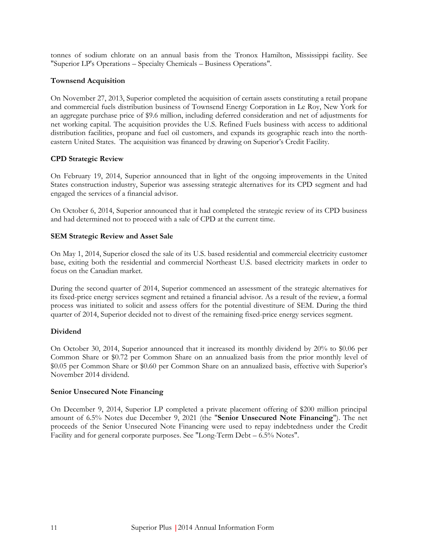tonnes of sodium chlorate on an annual basis from the Tronox Hamilton, Mississippi facility. See "Superior LP's Operations – Specialty Chemicals – Business Operations".

#### **Townsend Acquisition**

On November 27, 2013, Superior completed the acquisition of certain assets constituting a retail propane and commercial fuels distribution business of Townsend Energy Corporation in Le Roy, New York for an aggregate purchase price of \$9.6 million, including deferred consideration and net of adjustments for net working capital. The acquisition provides the U.S. Refined Fuels business with access to additional distribution facilities, propane and fuel oil customers, and expands its geographic reach into the northeastern United States. The acquisition was financed by drawing on Superior's Credit Facility.

#### **CPD Strategic Review**

On February 19, 2014, Superior announced that in light of the ongoing improvements in the United States construction industry, Superior was assessing strategic alternatives for its CPD segment and had engaged the services of a financial advisor.

On October 6, 2014, Superior announced that it had completed the strategic review of its CPD business and had determined not to proceed with a sale of CPD at the current time.

#### **SEM Strategic Review and Asset Sale**

On May 1, 2014, Superior closed the sale of its U.S. based residential and commercial electricity customer base, exiting both the residential and commercial Northeast U.S. based electricity markets in order to focus on the Canadian market.

During the second quarter of 2014, Superior commenced an assessment of the strategic alternatives for its fixed-price energy services segment and retained a financial advisor. As a result of the review, a formal process was initiated to solicit and assess offers for the potential divestiture of SEM. During the third quarter of 2014, Superior decided not to divest of the remaining fixed-price energy services segment.

#### **Dividend**

On October 30, 2014, Superior announced that it increased its monthly dividend by 20% to \$0.06 per Common Share or \$0.72 per Common Share on an annualized basis from the prior monthly level of \$0.05 per Common Share or \$0.60 per Common Share on an annualized basis, effective with Superior's November 2014 dividend.

#### **Senior Unsecured Note Financing**

On December 9, 2014, Superior LP completed a private placement offering of \$200 million principal amount of 6.5% Notes due December 9, 2021 (the "**Senior Unsecured Note Financing**"). The net proceeds of the Senior Unsecured Note Financing were used to repay indebtedness under the Credit Facility and for general corporate purposes. See "Long-Term Debt – 6.5% Notes".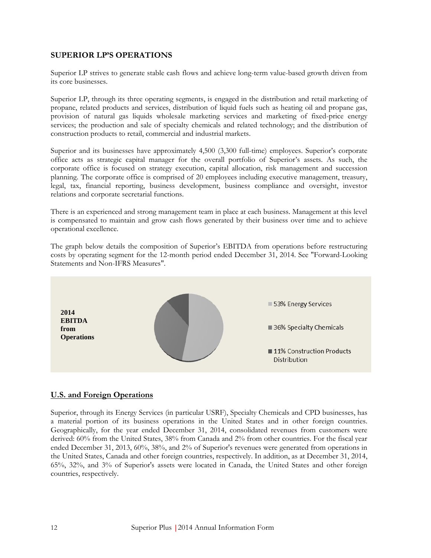#### <span id="page-17-0"></span>**SUPERIOR LP'S OPERATIONS**

Superior LP strives to generate stable cash flows and achieve long-term value-based growth driven from its core businesses.

Superior LP, through its three operating segments, is engaged in the distribution and retail marketing of propane, related products and services, distribution of liquid fuels such as heating oil and propane gas, provision of natural gas liquids wholesale marketing services and marketing of fixed-price energy services; the production and sale of specialty chemicals and related technology; and the distribution of construction products to retail, commercial and industrial markets.

Superior and its businesses have approximately 4,500 (3,300 full-time) employees. Superior's corporate office acts as strategic capital manager for the overall portfolio of Superior's assets. As such, the corporate office is focused on strategy execution, capital allocation, risk management and succession planning. The corporate office is comprised of 20 employees including executive management, treasury, legal, tax, financial reporting, business development, business compliance and oversight, investor relations and corporate secretarial functions.

There is an experienced and strong management team in place at each business. Management at this level is compensated to maintain and grow cash flows generated by their business over time and to achieve operational excellence.

The graph below details the composition of Superior's EBITDA from operations before restructuring costs by operating segment for the 12-month period ended December 31, 2014. See "Forward-Looking Statements and Non-IFRS Measures".



#### <span id="page-17-1"></span>**U.S. and Foreign Operations**

Superior, through its Energy Services (in particular USRF), Specialty Chemicals and CPD businesses, has a material portion of its business operations in the United States and in other foreign countries. Geographically, for the year ended December 31, 2014, consolidated revenues from customers were derived: 60% from the United States, 38% from Canada and 2% from other countries. For the fiscal year ended December 31, 2013, 60%, 38%, and 2% of Superior's revenues were generated from operations in the United States, Canada and other foreign countries, respectively. In addition, as at December 31, 2014, 65%, 32%, and 3% of Superior's assets were located in Canada, the United States and other foreign countries, respectively.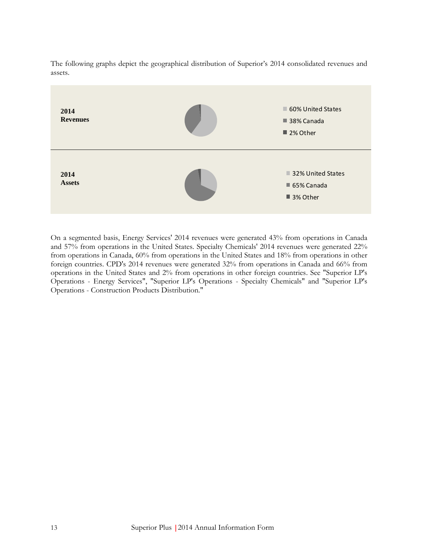The following graphs depict the geographical distribution of Superior's 2014 consolidated revenues and assets.



On a segmented basis, Energy Services' 2014 revenues were generated 43% from operations in Canada and 57% from operations in the United States. Specialty Chemicals' 2014 revenues were generated 22% from operations in Canada, 60% from operations in the United States and 18% from operations in other foreign countries. CPD's 2014 revenues were generated 32% from operations in Canada and 66% from operations in the United States and 2% from operations in other foreign countries. See "Superior LP's Operations - Energy Services", "Superior LP's Operations - Specialty Chemicals" and "Superior LP's Operations - Construction Products Distribution."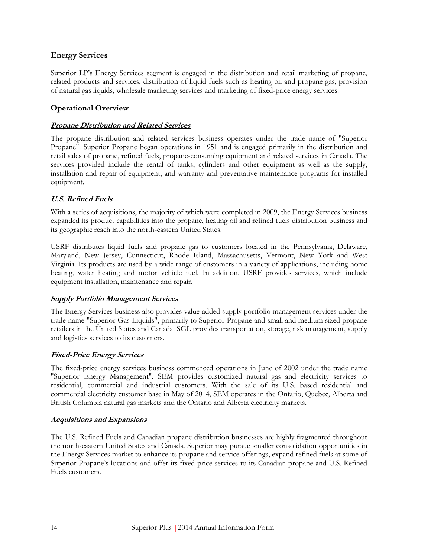#### <span id="page-19-0"></span>**Energy Services**

Superior LP's Energy Services segment is engaged in the distribution and retail marketing of propane, related products and services, distribution of liquid fuels such as heating oil and propane gas, provision of natural gas liquids, wholesale marketing services and marketing of fixed-price energy services.

### <span id="page-19-1"></span>**Operational Overview**

#### **Propane Distribution and Related Services**

The propane distribution and related services business operates under the trade name of "Superior Propane". Superior Propane began operations in 1951 and is engaged primarily in the distribution and retail sales of propane, refined fuels, propane-consuming equipment and related services in Canada. The services provided include the rental of tanks, cylinders and other equipment as well as the supply, installation and repair of equipment, and warranty and preventative maintenance programs for installed equipment.

#### **U.S. Refined Fuels**

With a series of acquisitions, the majority of which were completed in 2009, the Energy Services business expanded its product capabilities into the propane, heating oil and refined fuels distribution business and its geographic reach into the north-eastern United States.

USRF distributes liquid fuels and propane gas to customers located in the Pennsylvania, Delaware, Maryland, New Jersey, Connecticut, Rhode Island, Massachusetts, Vermont, New York and West Virginia. Its products are used by a wide range of customers in a variety of applications, including home heating, water heating and motor vehicle fuel. In addition, USRF provides services, which include equipment installation, maintenance and repair.

#### **Supply Portfolio Management Services**

The Energy Services business also provides value-added supply portfolio management services under the trade name "Superior Gas Liquids", primarily to Superior Propane and small and medium sized propane retailers in the United States and Canada. SGL provides transportation, storage, risk management, supply and logistics services to its customers.

#### **Fixed-Price Energy Services**

The fixed-price energy services business commenced operations in June of 2002 under the trade name "Superior Energy Management". SEM provides customized natural gas and electricity services to residential, commercial and industrial customers. With the sale of its U.S. based residential and commercial electricity customer base in May of 2014, SEM operates in the Ontario, Quebec, Alberta and British Columbia natural gas markets and the Ontario and Alberta electricity markets.

#### **Acquisitions and Expansions**

The U.S. Refined Fuels and Canadian propane distribution businesses are highly fragmented throughout the north-eastern United States and Canada. Superior may pursue smaller consolidation opportunities in the Energy Services market to enhance its propane and service offerings, expand refined fuels at some of Superior Propane's locations and offer its fixed-price services to its Canadian propane and U.S. Refined Fuels customers.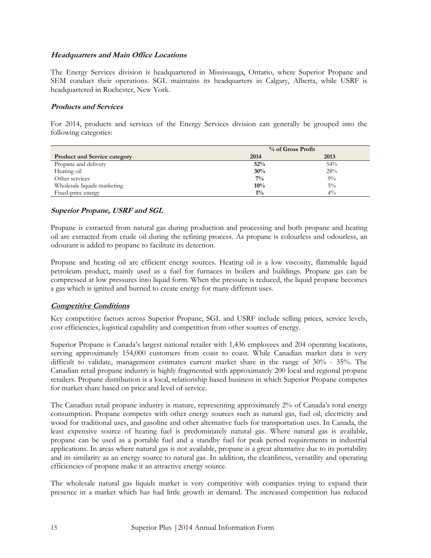#### **Headquarters and Main Office Locations**

The Energy Services division is headquartered in Mississauga, Ontario, where Superior Propane and SEM conduct their operations. SGL maintains its headquarters in Calgary, Alberta, while USRF is headquartered in Rochester, New York.

#### **Products and Services**

For 2014, products and services of the Energy Services division can generally be grouped into the following categories:

|                                     | % of Gross Profit |       |  |
|-------------------------------------|-------------------|-------|--|
| <b>Product and Service category</b> | 2014              | 2013  |  |
| Propane and delivery                | 52%               | 54%   |  |
| Heating oil                         | 30%               | 28%   |  |
| Other services                      | $7\%$             | $9\%$ |  |
| Wholesale liquids marketing         | 10%               | $5\%$ |  |
| Fixed-price energy                  | $1\%$             | $4\%$ |  |

#### **Superior Propane, USRF and SGL**

Propane is extracted from natural gas during production and processing and both propane and heating oil are extracted from crude oil during the refining process. As propane is colourless and odourless, an odourant is added to propane to facilitate its detection.

Propane and heating oil are efficient energy sources. Heating oil is a low viscosity, flammable liquid petroleum product, mainly used as a fuel for furnaces in boilers and buildings. Propane gas can be compressed at low pressures into liquid form. When the pressure is reduced, the liquid propane becomes a gas which is ignited and burned to create energy for many different uses.

#### **Competitive Conditions**

Key competitive factors across Superior Propane, SGL and USRF include selling prices, service levels, cost efficiencies, logistical capability and competition from other sources of energy.

Superior Propane is Canada's largest national retailer with 1,436 employees and 204 operating locations, serving approximately 154,000 customers from coast to coast. While Canadian market data is very difficult to validate, management estimates current market share in the range of 30% - 35%. The Canadian retail propane industry is highly fragmented with approximately 200 local and regional propane retailers. Propane distribution is a local, relationship based business in which Superior Propane competes for market share based on price and level of service.

The Canadian retail propane industry is mature, representing approximately 2% of Canada's total energy consumption. Propane competes with other energy sources such as natural gas, fuel oil, electricity and wood for traditional uses, and gasoline and other alternative fuels for transportation uses. In Canada, the least expensive source of heating fuel is predominately natural gas. Where natural gas is available, propane can be used as a portable fuel and a standby fuel for peak period requirements in industrial applications. In areas where natural gas is not available, propane is a great alternative due to its portability and its similarity as an energy source to natural gas. In addition, the cleanliness, versatility and operating efficiencies of propane make it an attractive energy source.

The wholesale natural gas liquids market is very competitive with companies trying to expand their presence in a market which has had little growth in demand. The increased competition has reduced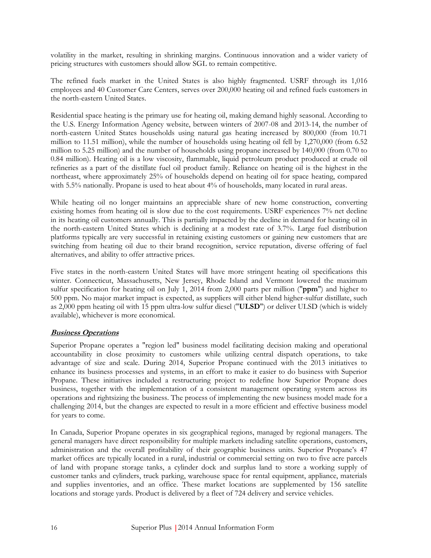volatility in the market, resulting in shrinking margins. Continuous innovation and a wider variety of pricing structures with customers should allow SGL to remain competitive.

The refined fuels market in the United States is also highly fragmented. USRF through its 1,016 employees and 40 Customer Care Centers, serves over 200,000 heating oil and refined fuels customers in the north-eastern United States.

Residential space heating is the primary use for heating oil, making demand highly seasonal. According to the U.S. Energy Information Agency website, between winters of 2007-08 and 2013-14, the number of north-eastern United States households using natural gas heating increased by 800,000 (from 10.71 million to 11.51 million), while the number of households using heating oil fell by 1,270,000 (from 6.52 million to 5.25 million) and the number of households using propane increased by 140,000 (from 0.70 to 0.84 million). Heating oil is a low viscosity, flammable, liquid petroleum product produced at crude oil refineries as a part of the distillate fuel oil product family. Reliance on heating oil is the highest in the northeast, where approximately 25% of households depend on heating oil for space heating, compared with 5.5% nationally. Propane is used to heat about 4% of households, many located in rural areas.

While heating oil no longer maintains an appreciable share of new home construction, converting existing homes from heating oil is slow due to the cost requirements. USRF experiences 7% net decline in its heating oil customers annually. This is partially impacted by the decline in demand for heating oil in the north-eastern United States which is declining at a modest rate of 3.7%. Large fuel distribution platforms typically are very successful in retaining existing customers or gaining new customers that are switching from heating oil due to their brand recognition, service reputation, diverse offering of fuel alternatives, and ability to offer attractive prices.

Five states in the north-eastern United States will have more stringent heating oil specifications this winter. Connecticut, Massachusetts, New Jersey, Rhode Island and Vermont lowered the maximum sulfur specification for heating oil on July 1, 2014 from 2,000 parts per million ("**ppm**") and higher to 500 ppm. No major market impact is expected, as suppliers will either blend higher-sulfur distillate, such as 2,000 ppm heating oil with 15 ppm ultra-low sulfur diesel ("**ULSD**") or deliver ULSD (which is widely available), whichever is more economical.

#### **Business Operations**

Superior Propane operates a "region led" business model facilitating decision making and operational accountability in close proximity to customers while utilizing central dispatch operations, to take advantage of size and scale. During 2014, Superior Propane continued with the 2013 initiatives to enhance its business processes and systems, in an effort to make it easier to do business with Superior Propane. These initiatives included a restructuring project to redefine how Superior Propane does business, together with the implementation of a consistent management operating system across its operations and rightsizing the business. The process of implementing the new business model made for a challenging 2014, but the changes are expected to result in a more efficient and effective business model for years to come.

In Canada, Superior Propane operates in six geographical regions, managed by regional managers. The general managers have direct responsibility for multiple markets including satellite operations, customers, administration and the overall profitability of their geographic business units. Superior Propane's 47 market offices are typically located in a rural, industrial or commercial setting on two to five acre parcels of land with propane storage tanks, a cylinder dock and surplus land to store a working supply of customer tanks and cylinders, truck parking, warehouse space for rental equipment, appliance, materials and supplies inventories, and an office. These market locations are supplemented by 156 satellite locations and storage yards. Product is delivered by a fleet of 724 delivery and service vehicles.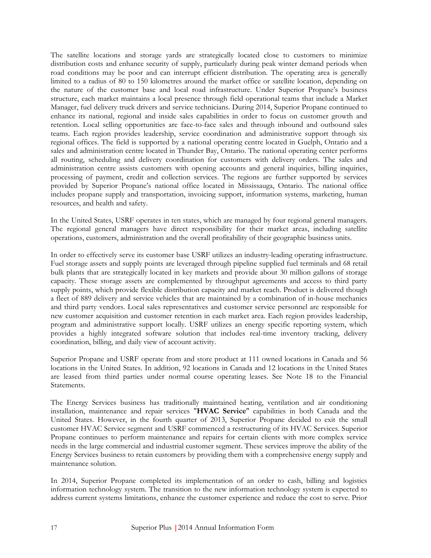The satellite locations and storage yards are strategically located close to customers to minimize distribution costs and enhance security of supply, particularly during peak winter demand periods when road conditions may be poor and can interrupt efficient distribution. The operating area is generally limited to a radius of 80 to 150 kilometres around the market office or satellite location, depending on the nature of the customer base and local road infrastructure. Under Superior Propane's business structure, each market maintains a local presence through field operational teams that include a Market Manager, fuel delivery truck drivers and service technicians. During 2014, Superior Propane continued to enhance its national, regional and inside sales capabilities in order to focus on customer growth and retention. Local selling opportunities are face-to-face sales and through inbound and outbound sales teams. Each region provides leadership, service coordination and administrative support through six regional offices. The field is supported by a national operating centre located in Guelph, Ontario and a sales and administration centre located in Thunder Bay, Ontario. The national operating center performs all routing, scheduling and delivery coordination for customers with delivery orders. The sales and administration centre assists customers with opening accounts and general inquiries, billing inquiries, processing of payment, credit and collection services. The regions are further supported by services provided by Superior Propane's national office located in Mississauga, Ontario. The national office includes propane supply and transportation, invoicing support, information systems, marketing, human resources, and health and safety.

In the United States, USRF operates in ten states, which are managed by four regional general managers. The regional general managers have direct responsibility for their market areas, including satellite operations, customers, administration and the overall profitability of their geographic business units.

In order to effectively serve its customer base USRF utilizes an industry-leading operating infrastructure. Fuel storage assets and supply points are leveraged through pipeline supplied fuel terminals and 68 retail bulk plants that are strategically located in key markets and provide about 30 million gallons of storage capacity. These storage assets are complemented by throughput agreements and access to third party supply points, which provide flexible distribution capacity and market reach. Product is delivered though a fleet of 889 delivery and service vehicles that are maintained by a combination of in-house mechanics and third party vendors. Local sales representatives and customer service personnel are responsible for new customer acquisition and customer retention in each market area. Each region provides leadership, program and administrative support locally. USRF utilizes an energy specific reporting system, which provides a highly integrated software solution that includes real-time inventory tracking, delivery coordination, billing, and daily view of account activity.

Superior Propane and USRF operate from and store product at 111 owned locations in Canada and 56 locations in the United States. In addition, 92 locations in Canada and 12 locations in the United States are leased from third parties under normal course operating leases. See Note 18 to the Financial Statements.

The Energy Services business has traditionally maintained heating, ventilation and air conditioning installation, maintenance and repair services "**HVAC Service**" capabilities in both Canada and the United States. However, in the fourth quarter of 2013, Superior Propane decided to exit the small customer HVAC Service segment and USRF commenced a restructuring of its HVAC Services. Superior Propane continues to perform maintenance and repairs for certain clients with more complex service needs in the large commercial and industrial customer segment. These services improve the ability of the Energy Services business to retain customers by providing them with a comprehensive energy supply and maintenance solution.

In 2014, Superior Propane completed its implementation of an order to cash, billing and logistics information technology system. The transition to the new information technology system is expected to address current systems limitations, enhance the customer experience and reduce the cost to serve. Prior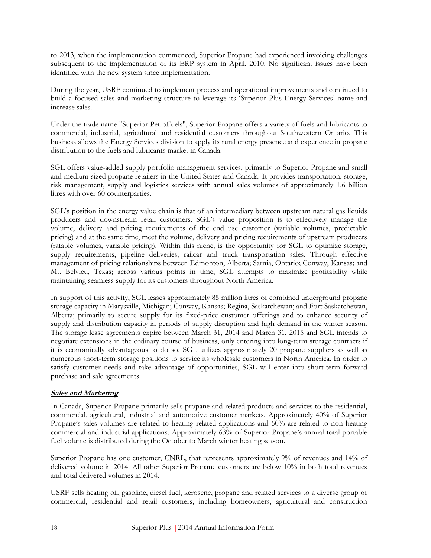to 2013, when the implementation commenced, Superior Propane had experienced invoicing challenges subsequent to the implementation of its ERP system in April, 2010. No significant issues have been identified with the new system since implementation.

During the year, USRF continued to implement process and operational improvements and continued to build a focused sales and marketing structure to leverage its 'Superior Plus Energy Services' name and increase sales.

Under the trade name "Superior PetroFuels", Superior Propane offers a variety of fuels and lubricants to commercial, industrial, agricultural and residential customers throughout Southwestern Ontario. This business allows the Energy Services division to apply its rural energy presence and experience in propane distribution to the fuels and lubricants market in Canada.

SGL offers value-added supply portfolio management services, primarily to Superior Propane and small and medium sized propane retailers in the United States and Canada. It provides transportation, storage, risk management, supply and logistics services with annual sales volumes of approximately 1.6 billion litres with over 60 counterparties.

SGL's position in the energy value chain is that of an intermediary between upstream natural gas liquids producers and downstream retail customers. SGL's value proposition is to effectively manage the volume, delivery and pricing requirements of the end use customer (variable volumes, predictable pricing) and at the same time, meet the volume, delivery and pricing requirements of upstream producers (ratable volumes, variable pricing). Within this niche, is the opportunity for SGL to optimize storage, supply requirements, pipeline deliveries, railcar and truck transportation sales. Through effective management of pricing relationships between Edmonton, Alberta; Sarnia, Ontario; Conway, Kansas; and Mt. Belvieu, Texas; across various points in time, SGL attempts to maximize profitability while maintaining seamless supply for its customers throughout North America.

In support of this activity, SGL leases approximately 85 million litres of combined underground propane storage capacity in Marysville, Michigan; Conway, Kansas; Regina, Saskatchewan; and Fort Saskatchewan, Alberta; primarily to secure supply for its fixed-price customer offerings and to enhance security of supply and distribution capacity in periods of supply disruption and high demand in the winter season. The storage lease agreements expire between March 31, 2014 and March 31, 2015 and SGL intends to negotiate extensions in the ordinary course of business, only entering into long-term storage contracts if it is economically advantageous to do so. SGL utilizes approximately 20 propane suppliers as well as numerous short-term storage positions to service its wholesale customers in North America. In order to satisfy customer needs and take advantage of opportunities, SGL will enter into short-term forward purchase and sale agreements.

#### **Sales and Marketing**

In Canada, Superior Propane primarily sells propane and related products and services to the residential, commercial, agricultural, industrial and automotive customer markets. Approximately 40% of Superior Propane's sales volumes are related to heating related applications and 60% are related to non-heating commercial and industrial applications. Approximately 63% of Superior Propane's annual total portable fuel volume is distributed during the October to March winter heating season.

Superior Propane has one customer, CNRL, that represents approximately 9% of revenues and 14% of delivered volume in 2014. All other Superior Propane customers are below 10% in both total revenues and total delivered volumes in 2014.

USRF sells heating oil, gasoline, diesel fuel, kerosene, propane and related services to a diverse group of commercial, residential and retail customers, including homeowners, agricultural and construction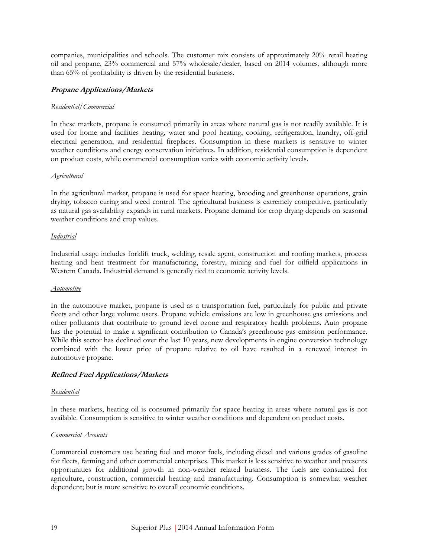companies, municipalities and schools. The customer mix consists of approximately 20% retail heating oil and propane, 23% commercial and 57% wholesale/dealer, based on 2014 volumes, although more than 65% of profitability is driven by the residential business.

#### **Propane Applications/Markets**

#### *Residential/Commercial*

In these markets, propane is consumed primarily in areas where natural gas is not readily available. It is used for home and facilities heating, water and pool heating, cooking, refrigeration, laundry, off-grid electrical generation, and residential fireplaces. Consumption in these markets is sensitive to winter weather conditions and energy conservation initiatives. In addition, residential consumption is dependent on product costs, while commercial consumption varies with economic activity levels.

#### *Agricultural*

In the agricultural market, propane is used for space heating, brooding and greenhouse operations, grain drying, tobacco curing and weed control. The agricultural business is extremely competitive, particularly as natural gas availability expands in rural markets. Propane demand for crop drying depends on seasonal weather conditions and crop values.

#### *Industrial*

Industrial usage includes forklift truck, welding, resale agent, construction and roofing markets, process heating and heat treatment for manufacturing, forestry, mining and fuel for oilfield applications in Western Canada. Industrial demand is generally tied to economic activity levels.

#### *Automotive*

In the automotive market, propane is used as a transportation fuel, particularly for public and private fleets and other large volume users. Propane vehicle emissions are low in greenhouse gas emissions and other pollutants that contribute to ground level ozone and respiratory health problems. Auto propane has the potential to make a significant contribution to Canada's greenhouse gas emission performance. While this sector has declined over the last 10 years, new developments in engine conversion technology combined with the lower price of propane relative to oil have resulted in a renewed interest in automotive propane.

#### **Refined Fuel Applications/Markets**

#### *Residential*

In these markets, heating oil is consumed primarily for space heating in areas where natural gas is not available. Consumption is sensitive to winter weather conditions and dependent on product costs.

#### *Commercial Accounts*

Commercial customers use heating fuel and motor fuels, including diesel and various grades of gasoline for fleets, farming and other commercial enterprises. This market is less sensitive to weather and presents opportunities for additional growth in non-weather related business. The fuels are consumed for agriculture, construction, commercial heating and manufacturing. Consumption is somewhat weather dependent; but is more sensitive to overall economic conditions.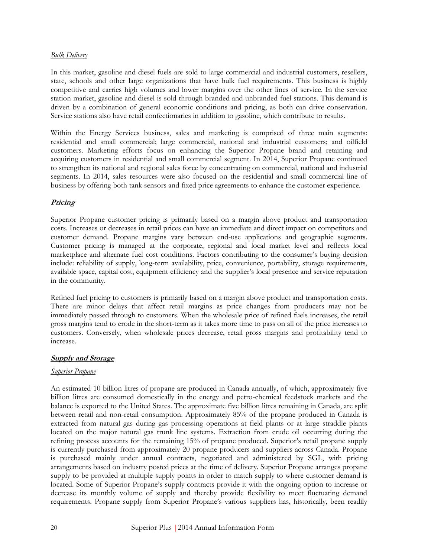#### *Bulk Delivery*

In this market, gasoline and diesel fuels are sold to large commercial and industrial customers, resellers, state, schools and other large organizations that have bulk fuel requirements. This business is highly competitive and carries high volumes and lower margins over the other lines of service. In the service station market, gasoline and diesel is sold through branded and unbranded fuel stations. This demand is driven by a combination of general economic conditions and pricing, as both can drive conservation. Service stations also have retail confectionaries in addition to gasoline, which contribute to results.

Within the Energy Services business, sales and marketing is comprised of three main segments: residential and small commercial; large commercial, national and industrial customers; and oilfield customers. Marketing efforts focus on enhancing the Superior Propane brand and retaining and acquiring customers in residential and small commercial segment. In 2014, Superior Propane continued to strengthen its national and regional sales force by concentrating on commercial, national and industrial segments. In 2014, sales resources were also focused on the residential and small commercial line of business by offering both tank sensors and fixed price agreements to enhance the customer experience.

#### **Pricing**

Superior Propane customer pricing is primarily based on a margin above product and transportation costs. Increases or decreases in retail prices can have an immediate and direct impact on competitors and customer demand. Propane margins vary between end-use applications and geographic segments. Customer pricing is managed at the corporate, regional and local market level and reflects local marketplace and alternate fuel cost conditions. Factors contributing to the consumer's buying decision include: reliability of supply, long-term availability, price, convenience, portability, storage requirements, available space, capital cost, equipment efficiency and the supplier's local presence and service reputation in the community.

Refined fuel pricing to customers is primarily based on a margin above product and transportation costs. There are minor delays that affect retail margins as price changes from producers may not be immediately passed through to customers. When the wholesale price of refined fuels increases, the retail gross margins tend to erode in the short-term as it takes more time to pass on all of the price increases to customers. Conversely, when wholesale prices decrease, retail gross margins and profitability tend to increase.

#### **Supply and Storage**

#### *Superior Propane*

An estimated 10 billion litres of propane are produced in Canada annually, of which, approximately five billion litres are consumed domestically in the energy and petro-chemical feedstock markets and the balance is exported to the United States. The approximate five billion litres remaining in Canada, are split between retail and non-retail consumption. Approximately 85% of the propane produced in Canada is extracted from natural gas during gas processing operations at field plants or at large straddle plants located on the major natural gas trunk line systems. Extraction from crude oil occurring during the refining process accounts for the remaining 15% of propane produced. Superior's retail propane supply is currently purchased from approximately 20 propane producers and suppliers across Canada. Propane is purchased mainly under annual contracts, negotiated and administered by SGL, with pricing arrangements based on industry posted prices at the time of delivery. Superior Propane arranges propane supply to be provided at multiple supply points in order to match supply to where customer demand is located. Some of Superior Propane's supply contracts provide it with the ongoing option to increase or decrease its monthly volume of supply and thereby provide flexibility to meet fluctuating demand requirements. Propane supply from Superior Propane's various suppliers has, historically, been readily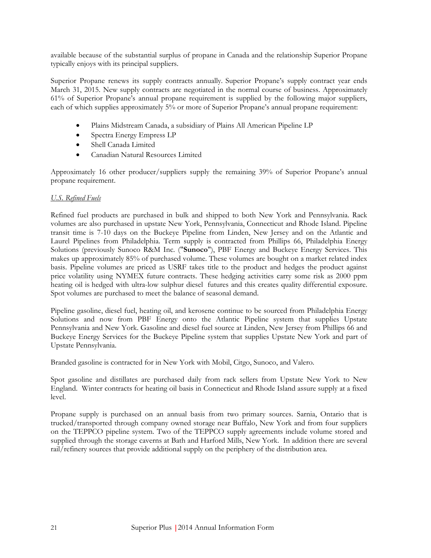available because of the substantial surplus of propane in Canada and the relationship Superior Propane typically enjoys with its principal suppliers.

Superior Propane renews its supply contracts annually. Superior Propane's supply contract year ends March 31, 2015. New supply contracts are negotiated in the normal course of business. Approximately 61% of Superior Propane's annual propane requirement is supplied by the following major suppliers, each of which supplies approximately 5% or more of Superior Propane's annual propane requirement:

- Plains Midstream Canada, a subsidiary of Plains All American Pipeline LP
- Spectra Energy Empress LP
- Shell Canada Limited
- Canadian Natural Resources Limited

Approximately 16 other producer/suppliers supply the remaining 39% of Superior Propane's annual propane requirement.

#### *U.S. Refined Fuels*

Refined fuel products are purchased in bulk and shipped to both New York and Pennsylvania. Rack volumes are also purchased in upstate New York, Pennsylvania, Connecticut and Rhode Island. Pipeline transit time is 7-10 days on the Buckeye Pipeline from Linden, New Jersey and on the Atlantic and Laurel Pipelines from Philadelphia. Term supply is contracted from Phillips 66, Philadelphia Energy Solutions (previously Sunoco R&M Inc. ("**Sunoco**"), PBF Energy and Buckeye Energy Services. This makes up approximately 85% of purchased volume. These volumes are bought on a market related index basis. Pipeline volumes are priced as USRF takes title to the product and hedges the product against price volatility using NYMEX future contracts. These hedging activities carry some risk as 2000 ppm heating oil is hedged with ultra-low sulphur diesel futures and this creates quality differential exposure. Spot volumes are purchased to meet the balance of seasonal demand.

Pipeline gasoline, diesel fuel, heating oil, and kerosene continue to be sourced from Philadelphia Energy Solutions and now from PBF Energy onto the Atlantic Pipeline system that supplies Upstate Pennsylvania and New York. Gasoline and diesel fuel source at Linden, New Jersey from Phillips 66 and Buckeye Energy Services for the Buckeye Pipeline system that supplies Upstate New York and part of Upstate Pennsylvania.

Branded gasoline is contracted for in New York with Mobil, Citgo, Sunoco, and Valero.

Spot gasoline and distillates are purchased daily from rack sellers from Upstate New York to New England. Winter contracts for heating oil basis in Connecticut and Rhode Island assure supply at a fixed level.

Propane supply is purchased on an annual basis from two primary sources. Sarnia, Ontario that is trucked/transported through company owned storage near Buffalo, New York and from four suppliers on the TEPPCO pipeline system. Two of the TEPPCO supply agreements include volume stored and supplied through the storage caverns at Bath and Harford Mills, New York. In addition there are several rail/refinery sources that provide additional supply on the periphery of the distribution area.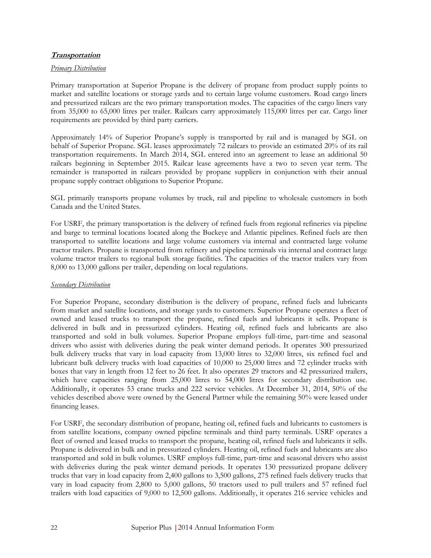#### **Transportation**

#### *Primary Distribution*

Primary transportation at Superior Propane is the delivery of propane from product supply points to market and satellite locations or storage yards and to certain large volume customers. Road cargo liners and pressurized railcars are the two primary transportation modes. The capacities of the cargo liners vary from 35,000 to 65,000 litres per trailer. Railcars carry approximately 115,000 litres per car. Cargo liner requirements are provided by third party carriers.

Approximately 14% of Superior Propane's supply is transported by rail and is managed by SGL on behalf of Superior Propane. SGL leases approximately 72 railcars to provide an estimated 20% of its rail transportation requirements. In March 2014, SGL entered into an agreement to lease an additional 50 railcars beginning in September 2015. Railcar lease agreements have a two to seven year term. The remainder is transported in railcars provided by propane suppliers in conjunction with their annual propane supply contract obligations to Superior Propane.

SGL primarily transports propane volumes by truck, rail and pipeline to wholesale customers in both Canada and the United States.

For USRF, the primary transportation is the delivery of refined fuels from regional refineries via pipeline and barge to terminal locations located along the Buckeye and Atlantic pipelines. Refined fuels are then transported to satellite locations and large volume customers via internal and contracted large volume tractor trailers. Propane is transported from refinery and pipeline terminals via internal and contract large volume tractor trailers to regional bulk storage facilities. The capacities of the tractor trailers vary from 8,000 to 13,000 gallons per trailer, depending on local regulations.

#### *Secondary Distribution*

For Superior Propane, secondary distribution is the delivery of propane, refined fuels and lubricants from market and satellite locations, and storage yards to customers. Superior Propane operates a fleet of owned and leased trucks to transport the propane, refined fuels and lubricants it sells. Propane is delivered in bulk and in pressurized cylinders. Heating oil, refined fuels and lubricants are also transported and sold in bulk volumes. Superior Propane employs full-time, part-time and seasonal drivers who assist with deliveries during the peak winter demand periods. It operates 300 pressurized bulk delivery trucks that vary in load capacity from 13,000 litres to 32,000 litres, six refined fuel and lubricant bulk delivery trucks with load capacities of 10,000 to 25,000 litres and 72 cylinder trucks with boxes that vary in length from 12 feet to 26 feet. It also operates 29 tractors and 42 pressurized trailers, which have capacities ranging from 25,000 litres to 54,000 litres for secondary distribution use. Additionally, it operates 53 crane trucks and 222 service vehicles. At December 31, 2014, 50% of the vehicles described above were owned by the General Partner while the remaining 50% were leased under financing leases.

For USRF, the secondary distribution of propane, heating oil, refined fuels and lubricants to customers is from satellite locations, company owned pipeline terminals and third party terminals. USRF operates a fleet of owned and leased trucks to transport the propane, heating oil, refined fuels and lubricants it sells. Propane is delivered in bulk and in pressurized cylinders. Heating oil, refined fuels and lubricants are also transported and sold in bulk volumes. USRF employs full-time, part-time and seasonal drivers who assist with deliveries during the peak winter demand periods. It operates 130 pressurized propane delivery trucks that vary in load capacity from 2,400 gallons to 3,500 gallons, 275 refined fuels delivery trucks that vary in load capacity from 2,800 to 5,000 gallons, 50 tractors used to pull trailers and 57 refined fuel trailers with load capacities of 9,000 to 12,500 gallons. Additionally, it operates 216 service vehicles and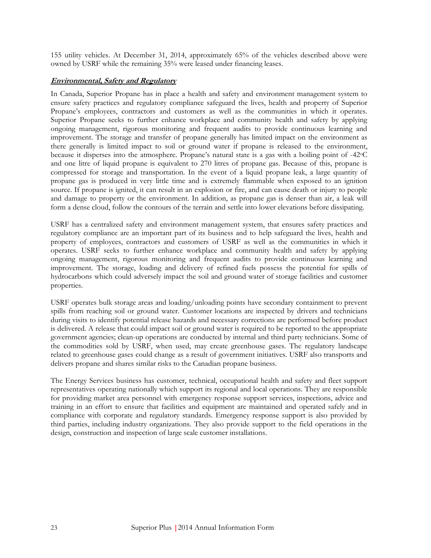155 utility vehicles. At December 31, 2014, approximately 65% of the vehicles described above were owned by USRF while the remaining 35% were leased under financing leases.

#### **Environmental, Safety and Regulatory**

In Canada, Superior Propane has in place a health and safety and environment management system to ensure safety practices and regulatory compliance safeguard the lives, health and property of Superior Propane's employees, contractors and customers as well as the communities in which it operates. Superior Propane seeks to further enhance workplace and community health and safety by applying ongoing management, rigorous monitoring and frequent audits to provide continuous learning and improvement. The storage and transfer of propane generally has limited impact on the environment as there generally is limited impact to soil or ground water if propane is released to the environment, because it disperses into the atmosphere. Propane's natural state is a gas with a boiling point of -42°C and one litre of liquid propane is equivalent to 270 litres of propane gas. Because of this, propane is compressed for storage and transportation. In the event of a liquid propane leak, a large quantity of propane gas is produced in very little time and is extremely flammable when exposed to an ignition source. If propane is ignited, it can result in an explosion or fire, and can cause death or injury to people and damage to property or the environment. In addition, as propane gas is denser than air, a leak will form a dense cloud, follow the contours of the terrain and settle into lower elevations before dissipating.

USRF has a centralized safety and environment management system, that ensures safety practices and regulatory compliance are an important part of its business and to help safeguard the lives, health and property of employees, contractors and customers of USRF as well as the communities in which it operates. USRF seeks to further enhance workplace and community health and safety by applying ongoing management, rigorous monitoring and frequent audits to provide continuous learning and improvement. The storage, loading and delivery of refined fuels possess the potential for spills of hydrocarbons which could adversely impact the soil and ground water of storage facilities and customer properties.

USRF operates bulk storage areas and loading/unloading points have secondary containment to prevent spills from reaching soil or ground water. Customer locations are inspected by drivers and technicians during visits to identify potential release hazards and necessary corrections are performed before product is delivered. A release that could impact soil or ground water is required to be reported to the appropriate government agencies; clean-up operations are conducted by internal and third party technicians. Some of the commodities sold by USRF, when used, may create greenhouse gases. The regulatory landscape related to greenhouse gases could change as a result of government initiatives. USRF also transports and delivers propane and shares similar risks to the Canadian propane business.

The Energy Services business has customer, technical, occupational health and safety and fleet support representatives operating nationally which support its regional and local operations. They are responsible for providing market area personnel with emergency response support services, inspections, advice and training in an effort to ensure that facilities and equipment are maintained and operated safely and in compliance with corporate and regulatory standards. Emergency response support is also provided by third parties, including industry organizations. They also provide support to the field operations in the design, construction and inspection of large scale customer installations.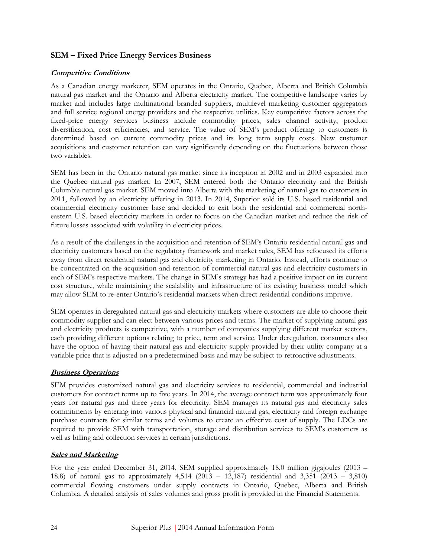#### **SEM – Fixed Price Energy Services Business**

#### **Competitive Conditions**

As a Canadian energy marketer, SEM operates in the Ontario, Quebec, Alberta and British Columbia natural gas market and the Ontario and Alberta electricity market. The competitive landscape varies by market and includes large multinational branded suppliers, multilevel marketing customer aggregators and full service regional energy providers and the respective utilities. Key competitive factors across the fixed-price energy services business include commodity prices, sales channel activity, product diversification, cost efficiencies, and service. The value of SEM's product offering to customers is determined based on current commodity prices and its long term supply costs. New customer acquisitions and customer retention can vary significantly depending on the fluctuations between those two variables.

SEM has been in the Ontario natural gas market since its inception in 2002 and in 2003 expanded into the Quebec natural gas market. In 2007, SEM entered both the Ontario electricity and the British Columbia natural gas market. SEM moved into Alberta with the marketing of natural gas to customers in 2011, followed by an electricity offering in 2013. In 2014, Superior sold its U.S. based residential and commercial electricity customer base and decided to exit both the residential and commercial northeastern U.S. based electricity markets in order to focus on the Canadian market and reduce the risk of future losses associated with volatility in electricity prices.

As a result of the challenges in the acquisition and retention of SEM's Ontario residential natural gas and electricity customers based on the regulatory framework and market rules, SEM has refocused its efforts away from direct residential natural gas and electricity marketing in Ontario. Instead, efforts continue to be concentrated on the acquisition and retention of commercial natural gas and electricity customers in each of SEM's respective markets. The change in SEM's strategy has had a positive impact on its current cost structure, while maintaining the scalability and infrastructure of its existing business model which may allow SEM to re-enter Ontario's residential markets when direct residential conditions improve.

SEM operates in deregulated natural gas and electricity markets where customers are able to choose their commodity supplier and can elect between various prices and terms. The market of supplying natural gas and electricity products is competitive, with a number of companies supplying different market sectors, each providing different options relating to price, term and service. Under deregulation, consumers also have the option of having their natural gas and electricity supply provided by their utility company at a variable price that is adjusted on a predetermined basis and may be subject to retroactive adjustments.

#### **Business Operations**

SEM provides customized natural gas and electricity services to residential, commercial and industrial customers for contract terms up to five years. In 2014, the average contract term was approximately four years for natural gas and three years for electricity. SEM manages its natural gas and electricity sales commitments by entering into various physical and financial natural gas, electricity and foreign exchange purchase contracts for similar terms and volumes to create an effective cost of supply. The LDCs are required to provide SEM with transportation, storage and distribution services to SEM's customers as well as billing and collection services in certain jurisdictions.

#### **Sales and Marketing**

For the year ended December 31, 2014, SEM supplied approximately 18.0 million gigajoules (2013 – 18.8) of natural gas to approximately 4,514 (2013 – 12,187) residential and 3,351 (2013 – 3,810) commercial flowing customers under supply contracts in Ontario, Quebec, Alberta and British Columbia. A detailed analysis of sales volumes and gross profit is provided in the Financial Statements.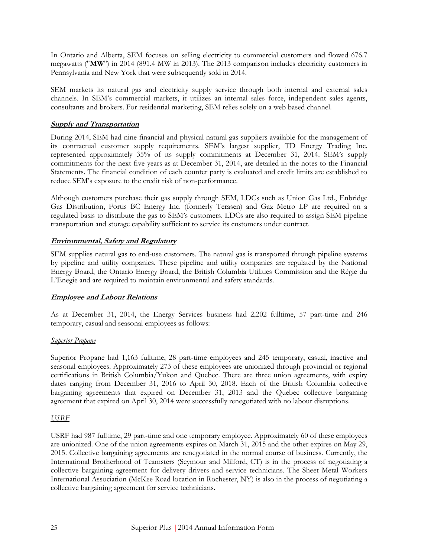In Ontario and Alberta, SEM focuses on selling electricity to commercial customers and flowed 676.7 megawatts ("**MW**") in 2014 (891.4 MW in 2013). The 2013 comparison includes electricity customers in Pennsylvania and New York that were subsequently sold in 2014.

SEM markets its natural gas and electricity supply service through both internal and external sales channels. In SEM's commercial markets, it utilizes an internal sales force, independent sales agents, consultants and brokers. For residential marketing, SEM relies solely on a web based channel.

#### **Supply and Transportation**

During 2014, SEM had nine financial and physical natural gas suppliers available for the management of its contractual customer supply requirements. SEM's largest supplier, TD Energy Trading Inc. represented approximately 35% of its supply commitments at December 31, 2014. SEM's supply commitments for the next five years as at December 31, 2014, are detailed in the notes to the Financial Statements. The financial condition of each counter party is evaluated and credit limits are established to reduce SEM's exposure to the credit risk of non-performance.

Although customers purchase their gas supply through SEM, LDCs such as Union Gas Ltd., Enbridge Gas Distribution, Fortis BC Energy Inc. (formerly Terasen) and Gaz Metro LP are required on a regulated basis to distribute the gas to SEM's customers. LDCs are also required to assign SEM pipeline transportation and storage capability sufficient to service its customers under contract.

#### **Environmental, Safety and Regulatory**

SEM supplies natural gas to end-use customers. The natural gas is transported through pipeline systems by pipeline and utility companies. These pipeline and utility companies are regulated by the National Energy Board, the Ontario Energy Board, the British Columbia Utilities Commission and the Régie du L'Enegie and are required to maintain environmental and safety standards.

#### **Employee and Labour Relations**

As at December 31, 2014, the Energy Services business had 2,202 fulltime, 57 part-time and 246 temporary, casual and seasonal employees as follows:

#### *Superior Propane*

Superior Propane had 1,163 fulltime, 28 part-time employees and 245 temporary, casual, inactive and seasonal employees. Approximately 273 of these employees are unionized through provincial or regional certifications in British Columbia/Yukon and Quebec. There are three union agreements, with expiry dates ranging from December 31, 2016 to April 30, 2018. Each of the British Columbia collective bargaining agreements that expired on December 31, 2013 and the Quebec collective bargaining agreement that expired on April 30, 2014 were successfully renegotiated with no labour disruptions.

#### *USRF*

USRF had 987 fulltime, 29 part-time and one temporary employee. Approximately 60 of these employees are unionized. One of the union agreements expires on March 31, 2015 and the other expires on May 29, 2015. Collective bargaining agreements are renegotiated in the normal course of business. Currently, the International Brotherhood of Teamsters (Seymour and Milford, CT) is in the process of negotiating a collective bargaining agreement for delivery drivers and service technicians. The Sheet Metal Workers International Association (McKee Road location in Rochester, NY) is also in the process of negotiating a collective bargaining agreement for service technicians.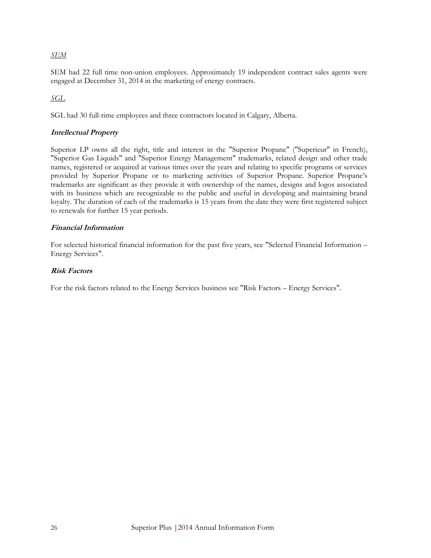#### *SEM*

SEM had 22 full time non-union employees. Approximately 19 independent contract sales agents were engaged at December 31, 2014 in the marketing of energy contracts.

*SGL*

SGL had 30 full-time employees and three contractors located in Calgary, Alberta.

#### **Intellectual Property**

Superior LP owns all the right, title and interest in the "Superior Propane" ("Superieur" in French), "Superior Gas Liquids" and "Superior Energy Management" trademarks, related design and other trade names, registered or acquired at various times over the years and relating to specific programs or services provided by Superior Propane or to marketing activities of Superior Propane. Superior Propane's trademarks are significant as they provide it with ownership of the names, designs and logos associated with its business which are recognizable to the public and useful in developing and maintaining brand loyalty. The duration of each of the trademarks is 15 years from the date they were first registered subject to renewals for further 15 year periods.

#### **Financial Information**

For selected historical financial information for the past five years, see "Selected Financial Information – Energy Services".

#### **Risk Factors**

For the risk factors related to the Energy Services business see "Risk Factors – Energy Services".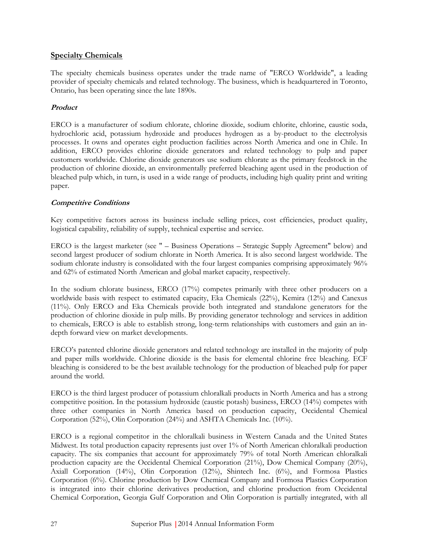#### <span id="page-32-0"></span>**Specialty Chemicals**

The specialty chemicals business operates under the trade name of "ERCO Worldwide", a leading provider of specialty chemicals and related technology. The business, which is headquartered in Toronto, Ontario, has been operating since the late 1890s.

#### **Product**

ERCO is a manufacturer of sodium chlorate, chlorine dioxide, sodium chlorite, chlorine, caustic soda, hydrochloric acid, potassium hydroxide and produces hydrogen as a by-product to the electrolysis processes. It owns and operates eight production facilities across North America and one in Chile. In addition, ERCO provides chlorine dioxide generators and related technology to pulp and paper customers worldwide. Chlorine dioxide generators use sodium chlorate as the primary feedstock in the production of chlorine dioxide, an environmentally preferred bleaching agent used in the production of bleached pulp which, in turn, is used in a wide range of products, including high quality print and writing paper.

#### **Competitive Conditions**

Key competitive factors across its business include selling prices, cost efficiencies, product quality, logistical capability, reliability of supply, technical expertise and service.

ERCO is the largest marketer (see " – Business Operations – Strategic Supply Agreement" below) and second largest producer of sodium chlorate in North America. It is also second largest worldwide. The sodium chlorate industry is consolidated with the four largest companies comprising approximately 96% and 62% of estimated North American and global market capacity, respectively.

In the sodium chlorate business, ERCO (17%) competes primarily with three other producers on a worldwide basis with respect to estimated capacity, Eka Chemicals (22%), Kemira (12%) and Canexus (11%). Only ERCO and Eka Chemicals provide both integrated and standalone generators for the production of chlorine dioxide in pulp mills. By providing generator technology and services in addition to chemicals, ERCO is able to establish strong, long-term relationships with customers and gain an indepth forward view on market developments.

ERCO's patented chlorine dioxide generators and related technology are installed in the majority of pulp and paper mills worldwide. Chlorine dioxide is the basis for elemental chlorine free bleaching. ECF bleaching is considered to be the best available technology for the production of bleached pulp for paper around the world.

ERCO is the third largest producer of potassium chloralkali products in North America and has a strong competitive position. In the potassium hydroxide (caustic potash) business, ERCO (14%) competes with three other companies in North America based on production capacity, Occidental Chemical Corporation (52%), Olin Corporation (24%) and ASHTA Chemicals Inc. (10%).

ERCO is a regional competitor in the chloralkali business in Western Canada and the United States Midwest. Its total production capacity represents just over 1% of North American chloralkali production capacity. The six companies that account for approximately 79% of total North American chloralkali production capacity are the Occidental Chemical Corporation (21%), Dow Chemical Company (20%), Axiall Corporation (14%), Olin Corporation (12%), Shintech Inc. (6%), and Formosa Plastics Corporation (6%). Chlorine production by Dow Chemical Company and Formosa Plastics Corporation is integrated into their chlorine derivatives production, and chlorine production from Occidental Chemical Corporation, Georgia Gulf Corporation and Olin Corporation is partially integrated, with all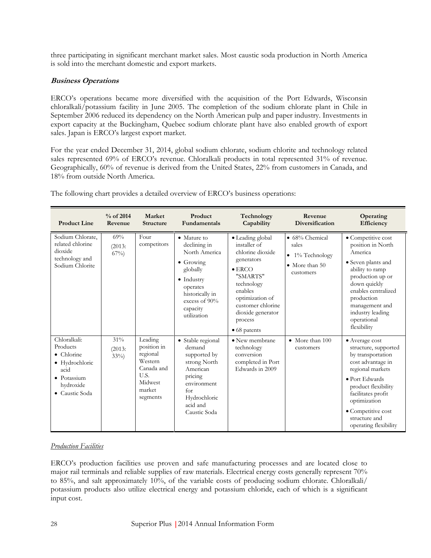three participating in significant merchant market sales. Most caustic soda production in North America is sold into the merchant domestic and export markets.

#### **Business Operations**

ERCO's operations became more diversified with the acquisition of the Port Edwards, Wisconsin chloralkali/potassium facility in June 2005. The completion of the sodium chlorate plant in Chile in September 2006 reduced its dependency on the North American pulp and paper industry. Investments in export capacity at the Buckingham, Quebec sodium chlorate plant have also enabled growth of export sales. Japan is ERCO's largest export market.

For the year ended December 31, 2014, global sodium chlorate, sodium chlorite and technology related sales represented 69% of ERCO's revenue. Chloralkali products in total represented 31% of revenue. Geographically, 60% of revenue is derived from the United States, 22% from customers in Canada, and 18% from outside North America.

| <b>Product Line</b>                                                                                            | $%$ of 2014<br>Revenue  | Market<br><b>Structure</b>                                                                           | Product<br><b>Fundamentals</b>                                                                                                                                                 | Technology<br>Capability                                                                                                                                                                                                  | Revenue<br>Diversification                                                                           | Operating<br>Efficiency                                                                                                                                                                                                                             |
|----------------------------------------------------------------------------------------------------------------|-------------------------|------------------------------------------------------------------------------------------------------|--------------------------------------------------------------------------------------------------------------------------------------------------------------------------------|---------------------------------------------------------------------------------------------------------------------------------------------------------------------------------------------------------------------------|------------------------------------------------------------------------------------------------------|-----------------------------------------------------------------------------------------------------------------------------------------------------------------------------------------------------------------------------------------------------|
| Sodium Chlorate,<br>related chlorine<br>dioxide<br>technology and<br>Sodium Chlorite                           | 69%<br>(2013:<br>$67\%$ | Four<br>competitors                                                                                  | • Mature to<br>declining in<br>North America<br>$\bullet$ Growing<br>globally<br>$\bullet$ Industry<br>operates<br>historically in<br>excess of 90%<br>capacity<br>utilization | · Leading global<br>installer of<br>chlorine dioxide<br>generators<br>$\bullet$ ERCO<br>"SMARTS"<br>technology<br>enables<br>optimization of<br>customer chlorine<br>dioxide generator<br>process<br>$\bullet$ 68 patents | $\bullet$ 68% Chemical<br>sales<br>1% Technology<br>$\bullet$<br>$\bullet$ More than 50<br>customers | · Competitive cost<br>position in North<br>America<br>• Seven plants and<br>ability to ramp<br>production up or<br>down quickly<br>enables centralized<br>production<br>management and<br>industry leading<br>operational<br>flexibility            |
| Chloralkali:<br>Products<br>• Chlorine<br>• Hydrochloric<br>acid<br>· Potassium<br>hydroxide<br>• Caustic Soda | 31%<br>(2013:<br>$33\%$ | Leading<br>position in<br>regional<br>Western<br>Canada and<br>U.S.<br>Midwest<br>market<br>segments | · Stable regional<br>demand<br>supported by<br>strong North<br>American<br>pricing<br>environment<br>for<br>Hydrochloric<br>acid and<br>Caustic Soda                           | • New membrane<br>technology<br>conversion<br>completed in Port<br>Edwards in 2009                                                                                                                                        | • More than 100<br>customers                                                                         | • Average cost<br>structure, supported<br>by transportation<br>cost advantage in<br>regional markets<br>· Port Edwards<br>product flexibility<br>facilitates profit<br>optimization<br>• Competitive cost<br>structure and<br>operating flexibility |

The following chart provides a detailed overview of ERCO's business operations:

#### *Production Facilities*

ERCO's production facilities use proven and safe manufacturing processes and are located close to major rail terminals and reliable supplies of raw materials. Electrical energy costs generally represent 70% to 85%, and salt approximately 10%, of the variable costs of producing sodium chlorate. Chloralkali/ potassium products also utilize electrical energy and potassium chloride, each of which is a significant input cost.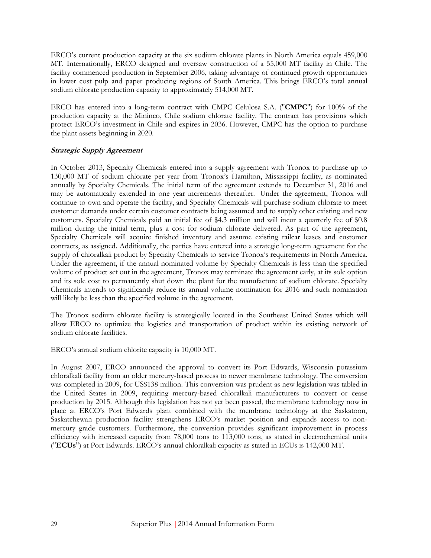ERCO's current production capacity at the six sodium chlorate plants in North America equals 459,000 MT. Internationally, ERCO designed and oversaw construction of a 55,000 MT facility in Chile. The facility commenced production in September 2006, taking advantage of continued growth opportunities in lower cost pulp and paper producing regions of South America. This brings ERCO's total annual sodium chlorate production capacity to approximately 514,000 MT.

ERCO has entered into a long-term contract with CMPC Celulosa S.A. ("**CMPC**") for 100% of the production capacity at the Mininco, Chile sodium chlorate facility. The contract has provisions which protect ERCO's investment in Chile and expires in 2036. However, CMPC has the option to purchase the plant assets beginning in 2020.

#### **Strategic Supply Agreement**

In October 2013, Specialty Chemicals entered into a supply agreement with Tronox to purchase up to 130,000 MT of sodium chlorate per year from Tronox's Hamilton, Mississippi facility, as nominated annually by Specialty Chemicals. The initial term of the agreement extends to December 31, 2016 and may be automatically extended in one year increments thereafter. Under the agreement, Tronox will continue to own and operate the facility, and Specialty Chemicals will purchase sodium chlorate to meet customer demands under certain customer contracts being assumed and to supply other existing and new customers. Specialty Chemicals paid an initial fee of \$4.3 million and will incur a quarterly fee of \$0.8 million during the initial term, plus a cost for sodium chlorate delivered. As part of the agreement, Specialty Chemicals will acquire finished inventory and assume existing railcar leases and customer contracts, as assigned. Additionally, the parties have entered into a strategic long-term agreement for the supply of chloralkali product by Specialty Chemicals to service Tronox's requirements in North America. Under the agreement, if the annual nominated volume by Specialty Chemicals is less than the specified volume of product set out in the agreement, Tronox may terminate the agreement early, at its sole option and its sole cost to permanently shut down the plant for the manufacture of sodium chlorate. Specialty Chemicals intends to significantly reduce its annual volume nomination for 2016 and such nomination will likely be less than the specified volume in the agreement.

The Tronox sodium chlorate facility is strategically located in the Southeast United States which will allow ERCO to optimize the logistics and transportation of product within its existing network of sodium chlorate facilities.

ERCO's annual sodium chlorite capacity is 10,000 MT.

In August 2007, ERCO announced the approval to convert its Port Edwards, Wisconsin potassium chloralkali facility from an older mercury-based process to newer membrane technology. The conversion was completed in 2009, for US\$138 million. This conversion was prudent as new legislation was tabled in the United States in 2009, requiring mercury-based chloralkali manufacturers to convert or cease production by 2015. Although this legislation has not yet been passed, the membrane technology now in place at ERCO's Port Edwards plant combined with the membrane technology at the Saskatoon, Saskatchewan production facility strengthens ERCO's market position and expands access to nonmercury grade customers. Furthermore, the conversion provides significant improvement in process efficiency with increased capacity from 78,000 tons to 113,000 tons, as stated in electrochemical units ("**ECUs**") at Port Edwards. ERCO's annual chloralkali capacity as stated in ECUs is 142,000 MT.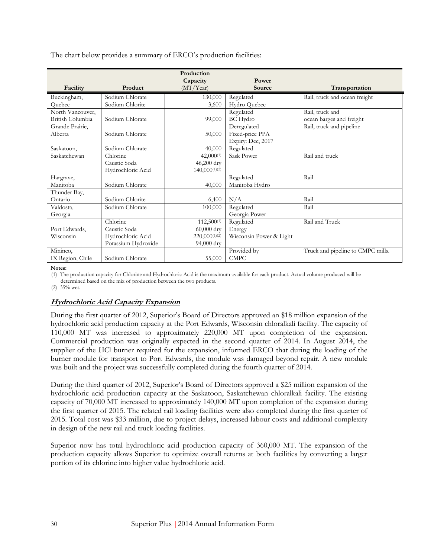The chart below provides a summary of ERCO's production facilities:

|                  |                     | Production<br>Capacity | Power                   |                                   |
|------------------|---------------------|------------------------|-------------------------|-----------------------------------|
| Facility         | Product             | (MT/Year)              | Source                  | Transportation                    |
| Buckingham,      | Sodium Chlorate     | 130,000                | Regulated               | Rail, truck and ocean freight     |
| Ouebec           | Sodium Chlorite     | 3,600                  | Hydro Quebec            |                                   |
| North Vancouver, |                     |                        | Regulated               | Rail, truck and                   |
| British Columbia | Sodium Chlorate     | 99,000                 | <b>BC</b> Hydro         | ocean barges and freight          |
| Grande Prairie,  |                     |                        | Deregulated             | Rail, truck and pipeline          |
| Alberta          | Sodium Chlorate     | 50,000                 | Fixed-price PPA         |                                   |
|                  |                     |                        | Expiry: Dec, 2017       |                                   |
| Saskatoon,       | Sodium Chlorate     | 40,000                 | Regulated               |                                   |
| Saskatchewan     | Chlorine            | $42,000^{(1)}$         | Sask Power              | Rail and truck                    |
|                  | Caustic Soda        | 46,200 dry             |                         |                                   |
|                  | Hydrochloric Acid   | $140,000^{(1)(2)}$     |                         |                                   |
| Hargrave,        |                     |                        | Regulated               | Rail                              |
| Manitoba         | Sodium Chlorate     | 40,000                 | Manitoba Hydro          |                                   |
| Thunder Bay,     |                     |                        |                         |                                   |
| Ontario          | Sodium Chlorite     | 6,400                  | N/A                     | Rail                              |
| Valdosta,        | Sodium Chlorate     | 100,000                | Regulated               | Rail                              |
| Georgia          |                     |                        | Georgia Power           |                                   |
|                  | Chlorine            | 112,500(1)             | Regulated               | Rail and Truck                    |
| Port Edwards,    | Caustic Soda        | $60,000$ dry           | Energy                  |                                   |
| Wisconsin        | Hydrochloric Acid   | $220,000^{(1)(2)}$     | Wisconsin Power & Light |                                   |
|                  | Potassium Hydroxide | 94,000 dry             |                         |                                   |
| Mininco,         |                     |                        | Provided by             | Truck and pipeline to CMPC mills. |
| IX Region, Chile | Sodium Chlorate     | 55,000                 | <b>CMPC</b>             |                                   |

**Notes:**

(1) The production capacity for Chlorine and Hydrochloric Acid is the maximum available for each product. Actual volume produced will be

determined based on the mix of production between the two products.

(2) 35% wet.

#### **Hydrochloric Acid Capacity Expansion**

During the first quarter of 2012, Superior's Board of Directors approved an \$18 million expansion of the hydrochloric acid production capacity at the Port Edwards, Wisconsin chloralkali facility. The capacity of 110,000 MT was increased to approximately 220,000 MT upon completion of the expansion. Commercial production was originally expected in the second quarter of 2014. In August 2014, the supplier of the HCl burner required for the expansion, informed ERCO that during the loading of the burner module for transport to Port Edwards, the module was damaged beyond repair. A new module was built and the project was successfully completed during the fourth quarter of 2014.

During the third quarter of 2012, Superior's Board of Directors approved a \$25 million expansion of the hydrochloric acid production capacity at the Saskatoon, Saskatchewan chloralkali facility. The existing capacity of 70,000 MT increased to approximately 140,000 MT upon completion of the expansion during the first quarter of 2015. The related rail loading facilities were also completed during the first quarter of 2015. Total cost was \$33 million, due to project delays, increased labour costs and additional complexity in design of the new rail and truck loading facilities.

Superior now has total hydrochloric acid production capacity of 360,000 MT. The expansion of the production capacity allows Superior to optimize overall returns at both facilities by converting a larger portion of its chlorine into higher value hydrochloric acid.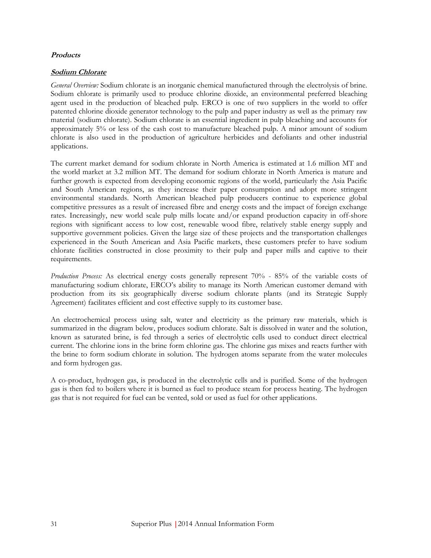### **Products**

### **Sodium Chlorate**

*General Overview:* Sodium chlorate is an inorganic chemical manufactured through the electrolysis of brine. Sodium chlorate is primarily used to produce chlorine dioxide, an environmental preferred bleaching agent used in the production of bleached pulp. ERCO is one of two suppliers in the world to offer patented chlorine dioxide generator technology to the pulp and paper industry as well as the primary raw material (sodium chlorate). Sodium chlorate is an essential ingredient in pulp bleaching and accounts for approximately 5% or less of the cash cost to manufacture bleached pulp. A minor amount of sodium chlorate is also used in the production of agriculture herbicides and defoliants and other industrial applications.

The current market demand for sodium chlorate in North America is estimated at 1.6 million MT and the world market at 3.2 million MT. The demand for sodium chlorate in North America is mature and further growth is expected from developing economic regions of the world, particularly the Asia Pacific and South American regions, as they increase their paper consumption and adopt more stringent environmental standards. North American bleached pulp producers continue to experience global competitive pressures as a result of increased fibre and energy costs and the impact of foreign exchange rates. Increasingly, new world scale pulp mills locate and/or expand production capacity in off-shore regions with significant access to low cost, renewable wood fibre, relatively stable energy supply and supportive government policies. Given the large size of these projects and the transportation challenges experienced in the South American and Asia Pacific markets, these customers prefer to have sodium chlorate facilities constructed in close proximity to their pulp and paper mills and captive to their requirements.

*Production Process:* As electrical energy costs generally represent 70% - 85% of the variable costs of manufacturing sodium chlorate, ERCO's ability to manage its North American customer demand with production from its six geographically diverse sodium chlorate plants (and its Strategic Supply Agreement) facilitates efficient and cost effective supply to its customer base.

An electrochemical process using salt, water and electricity as the primary raw materials, which is summarized in the diagram below, produces sodium chlorate. Salt is dissolved in water and the solution, known as saturated brine, is fed through a series of electrolytic cells used to conduct direct electrical current. The chlorine ions in the brine form chlorine gas. The chlorine gas mixes and reacts further with the brine to form sodium chlorate in solution. The hydrogen atoms separate from the water molecules and form hydrogen gas.

A co-product, hydrogen gas, is produced in the electrolytic cells and is purified. Some of the hydrogen gas is then fed to boilers where it is burned as fuel to produce steam for process heating. The hydrogen gas that is not required for fuel can be vented, sold or used as fuel for other applications.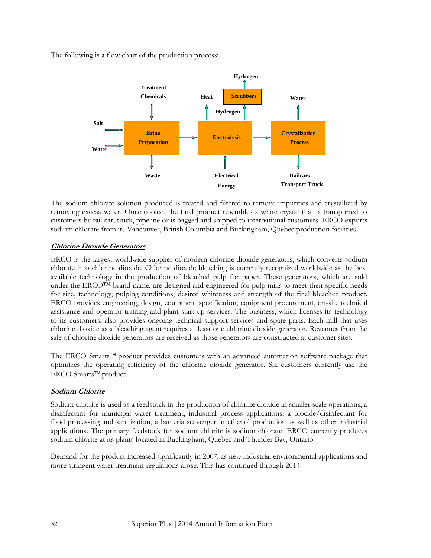The following is a flow chart of the production process:



The sodium chlorate solution produced is treated and filtered to remove impurities and crystallized by removing excess water. Once cooled, the final product resembles a white crystal that is transported to customers by rail car, truck, pipeline or is bagged and shipped to international customers. ERCO exports sodium chlorate from its Vancouver, British Columbia and Buckingham, Quebec production facilities.

# **Chlorine Dioxide Generators**

ERCO is the largest worldwide supplier of modern chlorine dioxide generators, which converts sodium chlorate into chlorine dioxide. Chlorine dioxide bleaching is currently recognized worldwide as the best available technology in the production of bleached pulp for paper. These generators, which are sold under the ERCO<sup>™</sup> brand name, are designed and engineered for pulp mills to meet their specific needs for size, technology, pulping conditions, desired whiteness and strength of the final bleached product. ERCO provides engineering, design, equipment specification, equipment procurement, on-site technical assistance and operator training and plant start-up services. The business, which licenses its technology to its customers, also provides ongoing technical support services and spare parts. Each mill that uses chlorine dioxide as a bleaching agent requires at least one chlorine dioxide generator. Revenues from the sale of chlorine dioxide generators are received as those generators are constructed at customer sites.

The ERCO Smarts<sup> $TM$ </sup> product provides customers with an advanced automation software package that optimizes the operating efficiency of the chlorine dioxide generator. Six customers currently use the ERCO Smarts<sup>™</sup> product.

### **Sodium Chlorite**

Sodium chlorite is used as a feedstock in the production of chlorine dioxide in smaller scale operations, a disinfectant for municipal water treatment, industrial process applications, a biocide/disinfectant for food processing and sanitization, a bacteria scavenger in ethanol production as well as other industrial applications. The primary feedstock for sodium chlorite is sodium chlorate. ERCO currently produces sodium chlorite at its plants located in Buckingham, Quebec and Thunder Bay, Ontario.

Demand for the product increased significantly in 2007, as new industrial environmental applications and more stringent water treatment regulations arose. This has continued through 2014.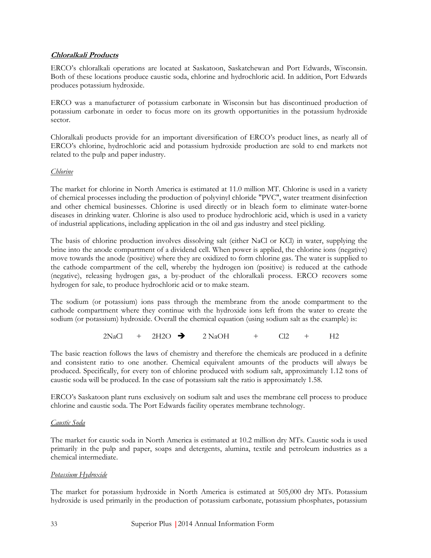### **Chloralkali Products**

ERCO's chloralkali operations are located at Saskatoon, Saskatchewan and Port Edwards, Wisconsin. Both of these locations produce caustic soda, chlorine and hydrochloric acid. In addition, Port Edwards produces potassium hydroxide.

ERCO was a manufacturer of potassium carbonate in Wisconsin but has discontinued production of potassium carbonate in order to focus more on its growth opportunities in the potassium hydroxide sector.

Chloralkali products provide for an important diversification of ERCO's product lines, as nearly all of ERCO's chlorine, hydrochloric acid and potassium hydroxide production are sold to end markets not related to the pulp and paper industry.

### *Chlorine*

The market for chlorine in North America is estimated at 11.0 million MT. Chlorine is used in a variety of chemical processes including the production of polyvinyl chloride "PVC", water treatment disinfection and other chemical businesses. Chlorine is used directly or in bleach form to eliminate water-borne diseases in drinking water. Chlorine is also used to produce hydrochloric acid, which is used in a variety of industrial applications, including application in the oil and gas industry and steel pickling.

The basis of chlorine production involves dissolving salt (either NaCl or KCl) in water, supplying the brine into the anode compartment of a dividend cell. When power is applied, the chlorine ions (negative) move towards the anode (positive) where they are oxidized to form chlorine gas. The water is supplied to the cathode compartment of the cell, whereby the hydrogen ion (positive) is reduced at the cathode (negative), releasing hydrogen gas, a by-product of the chloralkali process. ERCO recovers some hydrogen for sale, to produce hydrochloric acid or to make steam.

The sodium (or potassium) ions pass through the membrane from the anode compartment to the cathode compartment where they continue with the hydroxide ions left from the water to create the sodium (or potassium) hydroxide. Overall the chemical equation (using sodium salt as the example) is:

 $2NaCl + 2H2O \rightarrow 2NaOH + Cl2 + H2$ 

The basic reaction follows the laws of chemistry and therefore the chemicals are produced in a definite and consistent ratio to one another. Chemical equivalent amounts of the products will always be produced. Specifically, for every ton of chlorine produced with sodium salt, approximately 1.12 tons of caustic soda will be produced. In the case of potassium salt the ratio is approximately 1.58.

ERCO's Saskatoon plant runs exclusively on sodium salt and uses the membrane cell process to produce chlorine and caustic soda. The Port Edwards facility operates membrane technology.

### *Caustic Soda*

The market for caustic soda in North America is estimated at 10.2 million dry MTs. Caustic soda is used primarily in the pulp and paper, soaps and detergents, alumina, textile and petroleum industries as a chemical intermediate.

### *Potassium Hydroxide*

The market for potassium hydroxide in North America is estimated at 505,000 dry MTs. Potassium hydroxide is used primarily in the production of potassium carbonate, potassium phosphates, potassium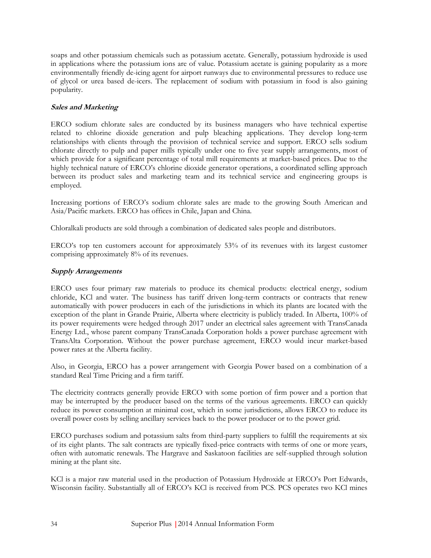soaps and other potassium chemicals such as potassium acetate. Generally, potassium hydroxide is used in applications where the potassium ions are of value. Potassium acetate is gaining popularity as a more environmentally friendly de-icing agent for airport runways due to environmental pressures to reduce use of glycol or urea based de-icers. The replacement of sodium with potassium in food is also gaining popularity.

### **Sales and Marketing**

ERCO sodium chlorate sales are conducted by its business managers who have technical expertise related to chlorine dioxide generation and pulp bleaching applications. They develop long-term relationships with clients through the provision of technical service and support. ERCO sells sodium chlorate directly to pulp and paper mills typically under one to five year supply arrangements, most of which provide for a significant percentage of total mill requirements at market-based prices. Due to the highly technical nature of ERCO's chlorine dioxide generator operations, a coordinated selling approach between its product sales and marketing team and its technical service and engineering groups is employed.

Increasing portions of ERCO's sodium chlorate sales are made to the growing South American and Asia/Pacific markets. ERCO has offices in Chile, Japan and China.

Chloralkali products are sold through a combination of dedicated sales people and distributors.

ERCO's top ten customers account for approximately 53% of its revenues with its largest customer comprising approximately 8% of its revenues.

### **Supply Arrangements**

ERCO uses four primary raw materials to produce its chemical products: electrical energy, sodium chloride, KCl and water. The business has tariff driven long-term contracts or contracts that renew automatically with power producers in each of the jurisdictions in which its plants are located with the exception of the plant in Grande Prairie, Alberta where electricity is publicly traded. In Alberta, 100% of its power requirements were hedged through 2017 under an electrical sales agreement with TransCanada Energy Ltd., whose parent company TransCanada Corporation holds a power purchase agreement with TransAlta Corporation. Without the power purchase agreement, ERCO would incur market-based power rates at the Alberta facility.

Also, in Georgia, ERCO has a power arrangement with Georgia Power based on a combination of a standard Real Time Pricing and a firm tariff.

The electricity contracts generally provide ERCO with some portion of firm power and a portion that may be interrupted by the producer based on the terms of the various agreements. ERCO can quickly reduce its power consumption at minimal cost, which in some jurisdictions, allows ERCO to reduce its overall power costs by selling ancillary services back to the power producer or to the power grid.

ERCO purchases sodium and potassium salts from third-party suppliers to fulfill the requirements at six of its eight plants. The salt contracts are typically fixed-price contracts with terms of one or more years, often with automatic renewals. The Hargrave and Saskatoon facilities are self-supplied through solution mining at the plant site.

KCl is a major raw material used in the production of Potassium Hydroxide at ERCO's Port Edwards, Wisconsin facility. Substantially all of ERCO's KCl is received from PCS. PCS operates two KCl mines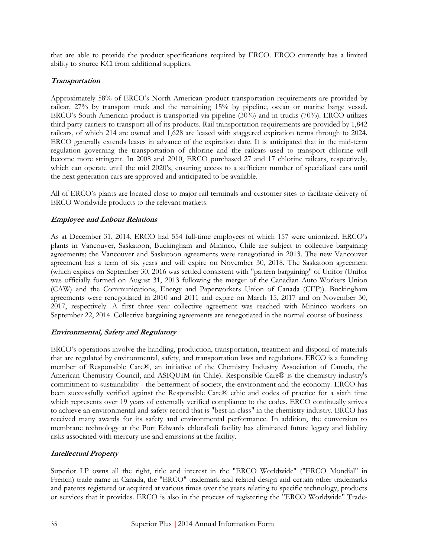that are able to provide the product specifications required by ERCO. ERCO currently has a limited ability to source KCl from additional suppliers.

# **Transportation**

Approximately 58% of ERCO's North American product transportation requirements are provided by railcar, 27% by transport truck and the remaining 15% by pipeline, ocean or marine barge vessel. ERCO's South American product is transported via pipeline (30%) and in trucks (70%). ERCO utilizes third party carriers to transport all of its products. Rail transportation requirements are provided by 1,842 railcars, of which 214 are owned and 1,628 are leased with staggered expiration terms through to 2024. ERCO generally extends leases in advance of the expiration date. It is anticipated that in the mid-term regulation governing the transportation of chlorine and the railcars used to transport chlorine will become more stringent. In 2008 and 2010, ERCO purchased 27 and 17 chlorine railcars, respectively, which can operate until the mid 2020's, ensuring access to a sufficient number of specialized cars until the next generation cars are approved and anticipated to be available.

All of ERCO's plants are located close to major rail terminals and customer sites to facilitate delivery of ERCO Worldwide products to the relevant markets.

# **Employee and Labour Relations**

As at December 31, 2014, ERCO had 554 full-time employees of which 157 were unionized. ERCO's plants in Vancouver, Saskatoon, Buckingham and Mininco, Chile are subject to collective bargaining agreements; the Vancouver and Saskatoon agreements were renegotiated in 2013. The new Vancouver agreement has a term of six years and will expire on November 30, 2018. The Saskatoon agreement (which expires on September 30, 2016 was settled consistent with "pattern bargaining" of Unifor (Unifor was officially formed on August 31, 2013 following the merger of the Canadian Auto Workers Union (CAW) and the Communications, Energy and Paperworkers Union of Canada (CEP)). Buckingham agreements were renegotiated in 2010 and 2011 and expire on March 15, 2017 and on November 30, 2017, respectively. A first three year collective agreement was reached with Mininco workers on September 22, 2014. Collective bargaining agreements are renegotiated in the normal course of business.

### **Environmental, Safety and Regulatory**

ERCO's operations involve the handling, production, transportation, treatment and disposal of materials that are regulated by environmental, safety, and transportation laws and regulations. ERCO is a founding member of Responsible Care®, an initiative of the Chemistry Industry Association of Canada, the American Chemistry Council, and ASIQUIM (in Chile). Responsible Care® is the chemistry industry's commitment to sustainability - the betterment of society, the environment and the economy. ERCO has been successfully verified against the Responsible Care® ethic and codes of practice for a sixth time which represents over 19 years of externally verified compliance to the codes. ERCO continually strives to achieve an environmental and safety record that is "best-in-class" in the chemistry industry. ERCO has received many awards for its safety and environmental performance. In addition, the conversion to membrane technology at the Port Edwards chloralkali facility has eliminated future legacy and liability risks associated with mercury use and emissions at the facility.

# **Intellectual Property**

Superior LP owns all the right, title and interest in the "ERCO Worldwide" ("ERCO Mondial" in French) trade name in Canada, the "ERCO" trademark and related design and certain other trademarks and patents registered or acquired at various times over the years relating to specific technology, products or services that it provides. ERCO is also in the process of registering the "ERCO Worldwide" Trade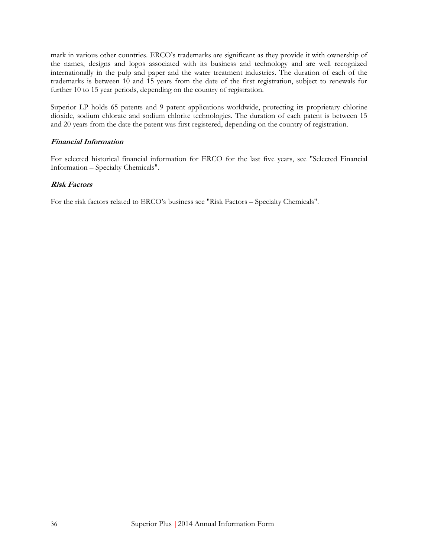mark in various other countries. ERCO's trademarks are significant as they provide it with ownership of the names, designs and logos associated with its business and technology and are well recognized internationally in the pulp and paper and the water treatment industries. The duration of each of the trademarks is between 10 and 15 years from the date of the first registration, subject to renewals for further 10 to 15 year periods, depending on the country of registration.

Superior LP holds 65 patents and 9 patent applications worldwide, protecting its proprietary chlorine dioxide, sodium chlorate and sodium chlorite technologies. The duration of each patent is between 15 and 20 years from the date the patent was first registered, depending on the country of registration.

### **Financial Information**

For selected historical financial information for ERCO for the last five years, see "Selected Financial Information – Specialty Chemicals".

### **Risk Factors**

For the risk factors related to ERCO's business see "Risk Factors – Specialty Chemicals".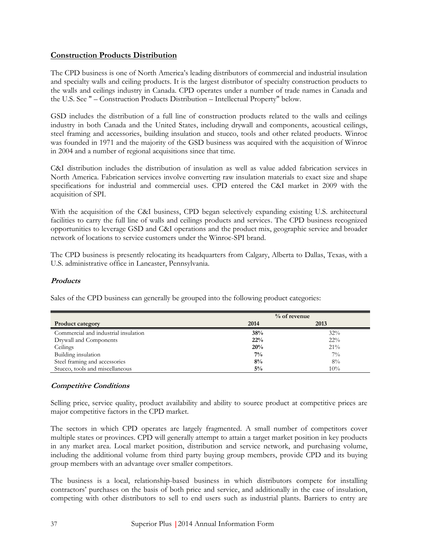# **Construction Products Distribution**

The CPD business is one of North America's leading distributors of commercial and industrial insulation and specialty walls and ceiling products. It is the largest distributor of specialty construction products to the walls and ceilings industry in Canada. CPD operates under a number of trade names in Canada and the U.S. See " – Construction Products Distribution – Intellectual Property" below.

GSD includes the distribution of a full line of construction products related to the walls and ceilings industry in both Canada and the United States, including drywall and components, acoustical ceilings, steel framing and accessories, building insulation and stucco, tools and other related products. Winroc was founded in 1971 and the majority of the GSD business was acquired with the acquisition of Winroc in 2004 and a number of regional acquisitions since that time.

C&I distribution includes the distribution of insulation as well as value added fabrication services in North America. Fabrication services involve converting raw insulation materials to exact size and shape specifications for industrial and commercial uses. CPD entered the C&I market in 2009 with the acquisition of SPI.

With the acquisition of the C&I business, CPD began selectively expanding existing U.S. architectural facilities to carry the full line of walls and ceilings products and services. The CPD business recognized opportunities to leverage GSD and C&I operations and the product mix, geographic service and broader network of locations to service customers under the Winroc-SPI brand.

The CPD business is presently relocating its headquarters from Calgary, Alberta to Dallas, Texas, with a U.S. administrative office in Lancaster, Pennsylvania.

### **Products**

Sales of the CPD business can generally be grouped into the following product categories:

|                                      |       | $%$ of revenue |
|--------------------------------------|-------|----------------|
| <b>Product category</b>              | 2014  | 2013           |
| Commercial and industrial insulation | 38%   | 32%            |
| Drywall and Components               | 22%   | $22\%$         |
| Ceilings                             | 20%   | $21\%$         |
| Building insulation                  | $7\%$ | $7\%$          |
| Steel framing and accessories        | 8%    | 8%             |
| Stucco, tools and miscellaneous      | $5\%$ | 10%            |

### **Competitive Conditions**

Selling price, service quality, product availability and ability to source product at competitive prices are major competitive factors in the CPD market.

The sectors in which CPD operates are largely fragmented. A small number of competitors cover multiple states or provinces. CPD will generally attempt to attain a target market position in key products in any market area. Local market position, distribution and service network, and purchasing volume, including the additional volume from third party buying group members, provide CPD and its buying group members with an advantage over smaller competitors.

The business is a local, relationship-based business in which distributors compete for installing contractors' purchases on the basis of both price and service, and additionally in the case of insulation, competing with other distributors to sell to end users such as industrial plants. Barriers to entry are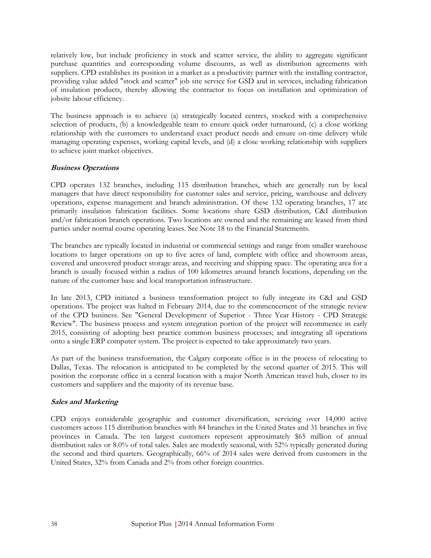relatively low, but include proficiency in stock and scatter service, the ability to aggregate significant purchase quantities and corresponding volume discounts, as well as distribution agreements with suppliers. CPD establishes its position in a market as a productivity partner with the installing contractor, providing value added "stock and scatter" job site service for GSD and in services, including fabrication of insulation products, thereby allowing the contractor to focus on installation and optimization of jobsite labour efficiency.

The business approach is to achieve (a) strategically located centres, stocked with a comprehensive selection of products, (b) a knowledgeable team to ensure quick order turnaround, (c) a close working relationship with the customers to understand exact product needs and ensure on-time delivery while managing operating expenses, working capital levels, and (d) a close working relationship with suppliers to achieve joint market objectives.

### **Business Operations**

CPD operates 132 branches, including 115 distribution branches, which are generally run by local managers that have direct responsibility for customer sales and service, pricing, warehouse and delivery operations, expense management and branch administration. Of these 132 operating branches, 17 are primarily insulation fabrication facilities. Some locations share GSD distribution, C&I distribution and/or fabrication branch operations. Two locations are owned and the remaining are leased from third parties under normal course operating leases. See Note 18 to the Financial Statements.

The branches are typically located in industrial or commercial settings and range from smaller warehouse locations to larger operations on up to five acres of land, complete with office and showroom areas, covered and uncovered product storage areas, and receiving and shipping space. The operating area for a branch is usually focused within a radius of 100 kilometres around branch locations, depending on the nature of the customer base and local transportation infrastructure.

In late 2013, CPD initiated a business transformation project to fully integrate its C&I and GSD operations. The project was halted in February 2014, due to the commencement of the strategic review of the CPD business. See "General Development of Superior - Three Year History - CPD Strategic Review". The business process and system integration portion of the project will recommence in early 2015, consisting of adopting best practice common business processes; and integrating all operations onto a single ERP computer system. The project is expected to take approximately two years.

As part of the business transformation, the Calgary corporate office is in the process of relocating to Dallas, Texas. The relocation is anticipated to be completed by the second quarter of 2015. This will position the corporate office in a central location with a major North American travel hub, closer to its customers and suppliers and the majority of its revenue base.

### **Sales and Marketing**

CPD enjoys considerable geographic and customer diversification, servicing over 14,000 active customers across 115 distribution branches with 84 branches in the United States and 31 branches in five provinces in Canada. The ten largest customers represent approximately \$65 million of annual distribution sales or 8.0% of total sales. Sales are modestly seasonal, with 52% typically generated during the second and third quarters. Geographically, 66% of 2014 sales were derived from customers in the United States, 32% from Canada and 2% from other foreign countries.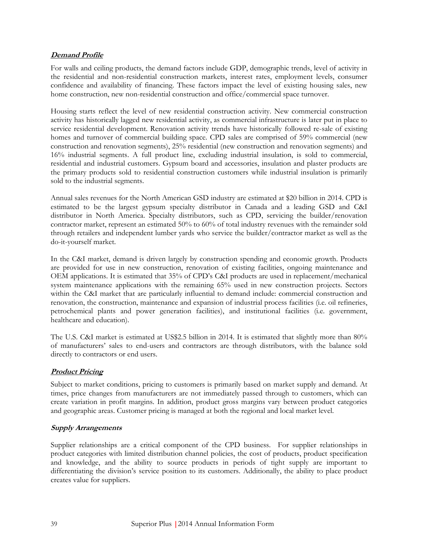# **Demand Profile**

For walls and ceiling products, the demand factors include GDP, demographic trends, level of activity in the residential and non-residential construction markets, interest rates, employment levels, consumer confidence and availability of financing. These factors impact the level of existing housing sales, new home construction, new non-residential construction and office/commercial space turnover.

Housing starts reflect the level of new residential construction activity. New commercial construction activity has historically lagged new residential activity, as commercial infrastructure is later put in place to service residential development. Renovation activity trends have historically followed re-sale of existing homes and turnover of commercial building space. CPD sales are comprised of 59% commercial (new construction and renovation segments), 25% residential (new construction and renovation segments) and 16% industrial segments. A full product line, excluding industrial insulation, is sold to commercial, residential and industrial customers. Gypsum board and accessories, insulation and plaster products are the primary products sold to residential construction customers while industrial insulation is primarily sold to the industrial segments.

Annual sales revenues for the North American GSD industry are estimated at \$20 billion in 2014. CPD is estimated to be the largest gypsum specialty distributor in Canada and a leading GSD and C&I distributor in North America. Specialty distributors, such as CPD, servicing the builder/renovation contractor market, represent an estimated 50% to 60% of total industry revenues with the remainder sold through retailers and independent lumber yards who service the builder/contractor market as well as the do-it-yourself market.

In the C&I market, demand is driven largely by construction spending and economic growth. Products are provided for use in new construction, renovation of existing facilities, ongoing maintenance and OEM applications. It is estimated that 35% of CPD's C&I products are used in replacement/mechanical system maintenance applications with the remaining 65% used in new construction projects. Sectors within the C&I market that are particularly influential to demand include: commercial construction and renovation, the construction, maintenance and expansion of industrial process facilities (i.e. oil refineries, petrochemical plants and power generation facilities), and institutional facilities (i.e. government, healthcare and education).

The U.S. C&I market is estimated at US\$2.5 billion in 2014. It is estimated that slightly more than 80% of manufacturers' sales to end-users and contractors are through distributors, with the balance sold directly to contractors or end users.

### **Product Pricing**

Subject to market conditions, pricing to customers is primarily based on market supply and demand. At times, price changes from manufacturers are not immediately passed through to customers, which can create variation in profit margins. In addition, product gross margins vary between product categories and geographic areas. Customer pricing is managed at both the regional and local market level.

### **Supply Arrangements**

Supplier relationships are a critical component of the CPD business. For supplier relationships in product categories with limited distribution channel policies, the cost of products, product specification and knowledge, and the ability to source products in periods of tight supply are important to differentiating the division's service position to its customers. Additionally, the ability to place product creates value for suppliers.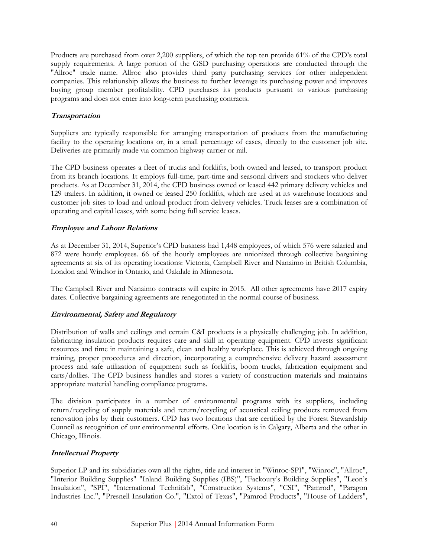Products are purchased from over 2,200 suppliers, of which the top ten provide 61% of the CPD's total supply requirements. A large portion of the GSD purchasing operations are conducted through the "Allroc" trade name. Allroc also provides third party purchasing services for other independent companies. This relationship allows the business to further leverage its purchasing power and improves buying group member profitability. CPD purchases its products pursuant to various purchasing programs and does not enter into long-term purchasing contracts.

# **Transportation**

Suppliers are typically responsible for arranging transportation of products from the manufacturing facility to the operating locations or, in a small percentage of cases, directly to the customer job site. Deliveries are primarily made via common highway carrier or rail.

The CPD business operates a fleet of trucks and forklifts, both owned and leased, to transport product from its branch locations. It employs full-time, part-time and seasonal drivers and stockers who deliver products. As at December 31, 2014, the CPD business owned or leased 442 primary delivery vehicles and 129 trailers. In addition, it owned or leased 250 forklifts, which are used at its warehouse locations and customer job sites to load and unload product from delivery vehicles. Truck leases are a combination of operating and capital leases, with some being full service leases.

### **Employee and Labour Relations**

As at December 31, 2014, Superior's CPD business had 1,448 employees, of which 576 were salaried and 872 were hourly employees. 66 of the hourly employees are unionized through collective bargaining agreements at six of its operating locations: Victoria, Campbell River and Nanaimo in British Columbia, London and Windsor in Ontario, and Oakdale in Minnesota.

The Campbell River and Nanaimo contracts will expire in 2015. All other agreements have 2017 expiry dates. Collective bargaining agreements are renegotiated in the normal course of business.

### **Environmental, Safety and Regulatory**

Distribution of walls and ceilings and certain C&I products is a physically challenging job. In addition, fabricating insulation products requires care and skill in operating equipment. CPD invests significant resources and time in maintaining a safe, clean and healthy workplace. This is achieved through ongoing training, proper procedures and direction, incorporating a comprehensive delivery hazard assessment process and safe utilization of equipment such as forklifts, boom trucks, fabrication equipment and carts/dollies. The CPD business handles and stores a variety of construction materials and maintains appropriate material handling compliance programs.

The division participates in a number of environmental programs with its suppliers, including return/recycling of supply materials and return/recycling of acoustical ceiling products removed from renovation jobs by their customers. CPD has two locations that are certified by the Forest Stewardship Council as recognition of our environmental efforts. One location is in Calgary, Alberta and the other in Chicago, Illinois.

# **Intellectual Property**

Superior LP and its subsidiaries own all the rights, title and interest in "Winroc-SPI", "Winroc", "Allroc", "Interior Building Supplies" "Inland Building Supplies (IBS)", "Fackoury's Building Supplies", "Leon's Insulation", "SPI", "International Technifab", "Construction Systems", "CSI", "Pamrod", "Paragon Industries Inc.", "Presnell Insulation Co.", "Extol of Texas", "Pamrod Products", "House of Ladders",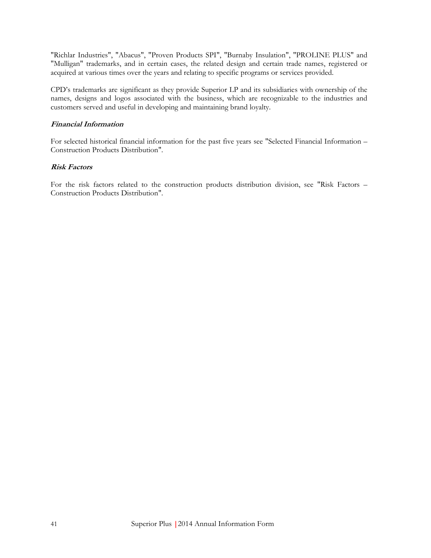"Richlar Industries", "Abacus", "Proven Products SPI", "Burnaby Insulation", "PROLINE PLUS" and "Mulligan" trademarks, and in certain cases, the related design and certain trade names, registered or acquired at various times over the years and relating to specific programs or services provided.

CPD's trademarks are significant as they provide Superior LP and its subsidiaries with ownership of the names, designs and logos associated with the business, which are recognizable to the industries and customers served and useful in developing and maintaining brand loyalty.

### **Financial Information**

For selected historical financial information for the past five years see "Selected Financial Information – Construction Products Distribution".

### **Risk Factors**

For the risk factors related to the construction products distribution division, see "Risk Factors – Construction Products Distribution".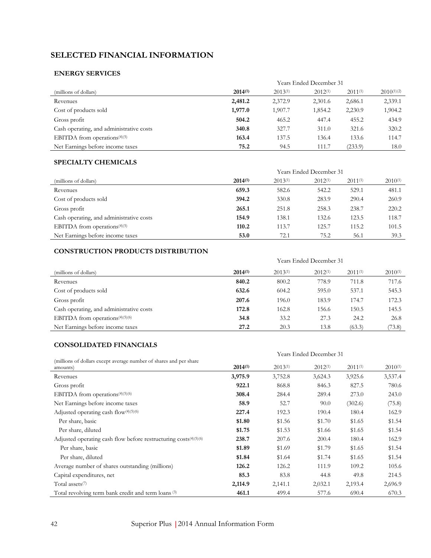# **SELECTED FINANCIAL INFORMATION**

### **ENERGY SERVICES**

|                                          | Years Ended December 31 |              |              |              |                 |
|------------------------------------------|-------------------------|--------------|--------------|--------------|-----------------|
| (millions of dollars)                    | $2014^{(1)}$            | $2013^{(1)}$ | $2012^{(1)}$ | $2011^{(1)}$ | $2010^{(1)(2)}$ |
| Revenues                                 | 2,481.2                 | 2,372.9      | 2,301.6      | 2,686.1      | 2,339.1         |
| Cost of products sold                    | 1,977.0                 | 1,907.7      | 1,854.2      | 2,230.9      | 1,904.2         |
| Gross profit                             | 504.2                   | 465.2        | 447.4        | 455.2        | 434.9           |
| Cash operating, and administrative costs | 340.8                   | 327.7        | 311.0        | 321.6        | 320.2           |
| EBITDA from operations $(4)(5)$          | 163.4                   | 137.5        | 136.4        | 133.6        | 114.7           |
| Net Earnings before income taxes         | 75.2                    | 94.5         | 111.7        | (233.9)      | 18.0            |

### **SPECIALTY CHEMICALS**

|                                          | Years Ended December 31 |              |              |              |              |
|------------------------------------------|-------------------------|--------------|--------------|--------------|--------------|
| (millions of dollars)                    | $2014^{(1)}$            | $2013^{(1)}$ | $2012^{(1)}$ | $2011^{(1)}$ | $2010^{(1)}$ |
| Revenues                                 | 659.3                   | 582.6        | 542.2        | 529.1        | 481.1        |
| Cost of products sold                    | 394.2                   | 330.8        | 283.9        | 290.4        | 260.9        |
| Gross profit                             | 265.1                   | 251.8        | 258.3        | 238.7        | 220.2        |
| Cash operating, and administrative costs | 154.9                   | 138.1        | 132.6        | 123.5        | 118.7        |
| EBITDA from operations $(4)(5)$          | 110.2                   | 113.7        | 125.7        | 115.2        | 101.5        |
| Net Earnings before income taxes         | 53.0                    | 72.1         | 75.2         | 56.1         | 39.3         |

### **CONSTRUCTION PRODUCTS DISTRIBUTION**

|                                             | Years Ended December 31 |              |              |              |              |
|---------------------------------------------|-------------------------|--------------|--------------|--------------|--------------|
| (millions of dollars)                       | $2014^{(1)}$            | $2013^{(1)}$ | $2012^{(1)}$ | $2011^{(1)}$ | $2010^{(1)}$ |
| Revenues                                    | 840.2                   | 800.2        | 778.9        | 711.8        | 717.6        |
| Cost of products sold                       | 632.6                   | 604.2        | 595.0        | 537.1        | 545.3        |
| Gross profit                                | 207.6                   | 196.0        | 183.9        | 174.7        | 172.3        |
| Cash operating, and administrative costs    | 172.8                   | 162.8        | 156.6        | 150.5        | 145.5        |
| EBITDA from operations <sup>(4)(5)(6)</sup> | 34.8                    | 33.2         | 27.3         | 24.2         | 26.8         |
| Net Earnings before income taxes            | 27.2                    | 20.3         | 13.8         | (63.3)       | (73.8)       |

### **CONSOLIDATED FINANCIALS**

|                                                                                | Years Ended December 31 |              |              |              |              |
|--------------------------------------------------------------------------------|-------------------------|--------------|--------------|--------------|--------------|
|                                                                                |                         |              |              |              |              |
| (millions of dollars except average number of shares and per share<br>amounts) | $2014^{(1)}$            | $2013^{(1)}$ | $2012^{(1)}$ | $2011^{(1)}$ | $2010^{(1)}$ |
| Revenues                                                                       | 3,975.9                 | 3,752.8      | 3,624.3      | 3,925.6      | 3,537.4      |
| Gross profit                                                                   | 922.1                   | 868.8        | 846.3        | 827.5        | 780.6        |
| EBITDA from operations $(4)(5)(6)$                                             | 308.4                   | 284.4        | 289.4        | 273.0        | 243.0        |
| Net Earnings before income taxes                                               | 58.9                    | 52.7         | 90.0         | (302.6)      | (75.8)       |
| Adjusted operating cash flow $(4)(5)(6)$                                       | 227.4                   | 192.3        | 190.4        | 180.4        | 162.9        |
| Per share, basic                                                               | \$1.80                  | \$1.56       | \$1.70       | \$1.65       | \$1.54       |
| Per share, diluted                                                             | \$1.75                  | \$1.53       | \$1.66       | \$1.65       | \$1.54       |
| Adjusted operating cash flow before restructuring $costs^{(4)(5)(6)}$          | 238.7                   | 207.6        | 200.4        | 180.4        | 162.9        |
| Per share, basic                                                               | \$1.89                  | \$1.69       | \$1.79       | \$1.65       | \$1.54       |
| Per share, diluted                                                             | \$1.84                  | \$1.64       | \$1.74       | \$1.65       | \$1.54       |
| Average number of shares outstanding (millions)                                | 126.2                   | 126.2        | 111.9        | 109.2        | 105.6        |
| Capital expenditures, net                                                      | 85.3                    | 83.8         | 44.8         | 49.8         | 214.5        |
| Total assets <sup>(7)</sup>                                                    | 2,114.9                 | 2,141.1      | 2,032.1      | 2,193.4      | 2,696.9      |
| Total revolving term bank credit and term loans (3)                            | 461.1                   | 499.4        | 577.6        | 690.4        | 670.3        |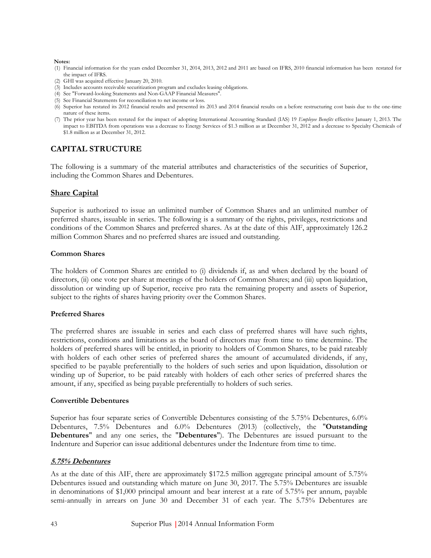#### **Notes:**

- (1) Financial information for the years ended December 31, 2014, 2013, 2012 and 2011 are based on IFRS, 2010 financial information has been restated for the impact of IFRS.
- (2) GHI was acquired effective January 20, 2010.
- (3) Includes accounts receivable securitization program and excludes leasing obligations.
- (4) See "Forward-looking Statements and Non-GAAP Financial Measures".
- (5) See Financial Statements for reconciliation to net income or loss.
- (6) Superior has restated its 2012 financial results and presented its 2013 and 2014 financial results on a before restructuring cost basis due to the one-time nature of these items.
- (7) The prior year has been restated for the impact of adopting International Accounting Standard (IAS) 19 *Employee Benefits* effective January 1, 2013. The impact to EBITDA from operations was a decrease to Energy Services of \$1.3 million as at December 31, 2012 and a decrease to Specialty Chemicals of \$1.8 million as at December 31, 2012.

# **CAPITAL STRUCTURE**

The following is a summary of the material attributes and characteristics of the securities of Superior, including the Common Shares and Debentures.

### **Share Capital**

Superior is authorized to issue an unlimited number of Common Shares and an unlimited number of preferred shares, issuable in series. The following is a summary of the rights, privileges, restrictions and conditions of the Common Shares and preferred shares. As at the date of this AIF, approximately 126.2 million Common Shares and no preferred shares are issued and outstanding.

#### **Common Shares**

The holders of Common Shares are entitled to (i) dividends if, as and when declared by the board of directors, (ii) one vote per share at meetings of the holders of Common Shares; and (iii) upon liquidation, dissolution or winding up of Superior, receive pro rata the remaining property and assets of Superior, subject to the rights of shares having priority over the Common Shares.

#### **Preferred Shares**

The preferred shares are issuable in series and each class of preferred shares will have such rights, restrictions, conditions and limitations as the board of directors may from time to time determine. The holders of preferred shares will be entitled, in priority to holders of Common Shares, to be paid rateably with holders of each other series of preferred shares the amount of accumulated dividends, if any, specified to be payable preferentially to the holders of such series and upon liquidation, dissolution or winding up of Superior, to be paid rateably with holders of each other series of preferred shares the amount, if any, specified as being payable preferentially to holders of such series.

#### **Convertible Debentures**

Superior has four separate series of Convertible Debentures consisting of the 5.75% Debentures, 6.0% Debentures, 7.5% Debentures and 6.0% Debentures (2013) (collectively, the "**Outstanding Debentures**" and any one series, the "**Debentures**"). The Debentures are issued pursuant to the Indenture and Superior can issue additional debentures under the Indenture from time to time.

#### **5.75% Debentures**

As at the date of this AIF, there are approximately \$172.5 million aggregate principal amount of 5.75% Debentures issued and outstanding which mature on June 30, 2017. The 5.75% Debentures are issuable in denominations of \$1,000 principal amount and bear interest at a rate of 5.75% per annum, payable semi-annually in arrears on June 30 and December 31 of each year. The 5.75% Debentures are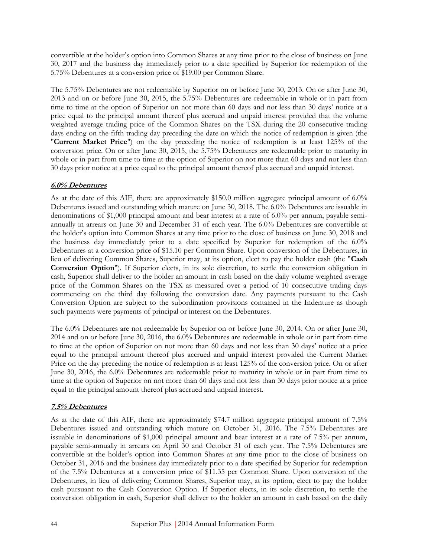convertible at the holder's option into Common Shares at any time prior to the close of business on June 30, 2017 and the business day immediately prior to a date specified by Superior for redemption of the 5.75% Debentures at a conversion price of \$19.00 per Common Share.

The 5.75% Debentures are not redeemable by Superior on or before June 30, 2013. On or after June 30, 2013 and on or before June 30, 2015, the 5.75% Debentures are redeemable in whole or in part from time to time at the option of Superior on not more than 60 days and not less than 30 days' notice at a price equal to the principal amount thereof plus accrued and unpaid interest provided that the volume weighted average trading price of the Common Shares on the TSX during the 20 consecutive trading days ending on the fifth trading day preceding the date on which the notice of redemption is given (the "**Current Market Price**") on the day preceding the notice of redemption is at least 125% of the conversion price. On or after June 30, 2015, the 5.75% Debentures are redeemable prior to maturity in whole or in part from time to time at the option of Superior on not more than 60 days and not less than 30 days prior notice at a price equal to the principal amount thereof plus accrued and unpaid interest.

### **6.0% Debentures**

As at the date of this AIF, there are approximately \$150.0 million aggregate principal amount of 6.0% Debentures issued and outstanding which mature on June 30, 2018. The 6.0% Debentures are issuable in denominations of \$1,000 principal amount and bear interest at a rate of 6.0% per annum, payable semiannually in arrears on June 30 and December 31 of each year. The 6.0% Debentures are convertible at the holder's option into Common Shares at any time prior to the close of business on June 30, 2018 and the business day immediately prior to a date specified by Superior for redemption of the 6.0% Debentures at a conversion price of \$15.10 per Common Share. Upon conversion of the Debentures, in lieu of delivering Common Shares, Superior may, at its option, elect to pay the holder cash (the "**Cash Conversion Option**"). If Superior elects, in its sole discretion, to settle the conversion obligation in cash, Superior shall deliver to the holder an amount in cash based on the daily volume weighted average price of the Common Shares on the TSX as measured over a period of 10 consecutive trading days commencing on the third day following the conversion date. Any payments pursuant to the Cash Conversion Option are subject to the subordination provisions contained in the Indenture as though such payments were payments of principal or interest on the Debentures.

The 6.0% Debentures are not redeemable by Superior on or before June 30, 2014. On or after June 30, 2014 and on or before June 30, 2016, the 6.0% Debentures are redeemable in whole or in part from time to time at the option of Superior on not more than 60 days and not less than 30 days' notice at a price equal to the principal amount thereof plus accrued and unpaid interest provided the Current Market Price on the day preceding the notice of redemption is at least 125% of the conversion price. On or after June 30, 2016, the 6.0% Debentures are redeemable prior to maturity in whole or in part from time to time at the option of Superior on not more than 60 days and not less than 30 days prior notice at a price equal to the principal amount thereof plus accrued and unpaid interest.

### **7.5% Debentures**

As at the date of this AIF, there are approximately \$74.7 million aggregate principal amount of 7.5% Debentures issued and outstanding which mature on October 31, 2016. The 7.5% Debentures are issuable in denominations of \$1,000 principal amount and bear interest at a rate of 7.5% per annum, payable semi-annually in arrears on April 30 and October 31 of each year. The 7.5% Debentures are convertible at the holder's option into Common Shares at any time prior to the close of business on October 31, 2016 and the business day immediately prior to a date specified by Superior for redemption of the 7.5% Debentures at a conversion price of \$11.35 per Common Share. Upon conversion of the Debentures, in lieu of delivering Common Shares, Superior may, at its option, elect to pay the holder cash pursuant to the Cash Conversion Option. If Superior elects, in its sole discretion, to settle the conversion obligation in cash, Superior shall deliver to the holder an amount in cash based on the daily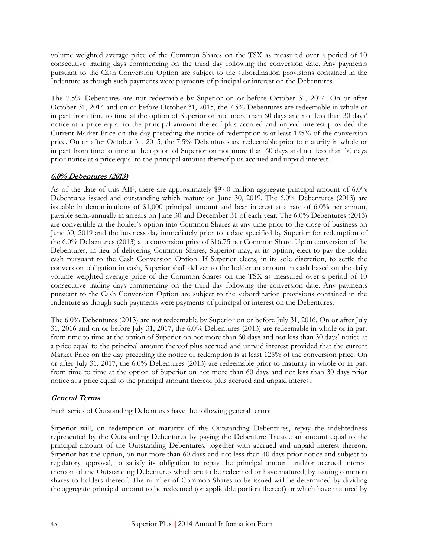volume weighted average price of the Common Shares on the TSX as measured over a period of 10 consecutive trading days commencing on the third day following the conversion date. Any payments pursuant to the Cash Conversion Option are subject to the subordination provisions contained in the Indenture as though such payments were payments of principal or interest on the Debentures.

The 7.5% Debentures are not redeemable by Superior on or before October 31, 2014. On or after October 31, 2014 and on or before October 31, 2015, the 7.5% Debentures are redeemable in whole or in part from time to time at the option of Superior on not more than 60 days and not less than 30 days' notice at a price equal to the principal amount thereof plus accrued and unpaid interest provided the Current Market Price on the day preceding the notice of redemption is at least 125% of the conversion price. On or after October 31, 2015, the 7.5% Debentures are redeemable prior to maturity in whole or in part from time to time at the option of Superior on not more than 60 days and not less than 30 days prior notice at a price equal to the principal amount thereof plus accrued and unpaid interest.

# **6.0% Debentures (2013)**

As of the date of this AIF, there are approximately \$97.0 million aggregate principal amount of 6.0% Debentures issued and outstanding which mature on June 30, 2019. The 6.0% Debentures (2013) are issuable in denominations of \$1,000 principal amount and bear interest at a rate of 6.0% per annum, payable semi-annually in arrears on June 30 and December 31 of each year. The 6.0% Debentures (2013) are convertible at the holder's option into Common Shares at any time prior to the close of business on June 30, 2019 and the business day immediately prior to a date specified by Superior for redemption of the 6.0% Debentures (2013) at a conversion price of \$16.75 per Common Share. Upon conversion of the Debentures, in lieu of delivering Common Shares, Superior may, at its option, elect to pay the holder cash pursuant to the Cash Conversion Option. If Superior elects, in its sole discretion, to settle the conversion obligation in cash, Superior shall deliver to the holder an amount in cash based on the daily volume weighted average price of the Common Shares on the TSX as measured over a period of 10 consecutive trading days commencing on the third day following the conversion date. Any payments pursuant to the Cash Conversion Option are subject to the subordination provisions contained in the Indenture as though such payments were payments of principal or interest on the Debentures.

The 6.0% Debentures (2013) are not redeemable by Superior on or before July 31, 2016. On or after July 31, 2016 and on or before July 31, 2017, the 6.0% Debentures (2013) are redeemable in whole or in part from time to time at the option of Superior on not more than 60 days and not less than 30 days' notice at a price equal to the principal amount thereof plus accrued and unpaid interest provided that the current Market Price on the day preceding the notice of redemption is at least 125% of the conversion price. On or after July 31, 2017, the 6.0% Debentures (2013) are redeemable prior to maturity in whole or in part from time to time at the option of Superior on not more than 60 days and not less than 30 days prior notice at a price equal to the principal amount thereof plus accrued and unpaid interest.

### **General Terms**

Each series of Outstanding Debentures have the following general terms:

Superior will, on redemption or maturity of the Outstanding Debentures, repay the indebtedness represented by the Outstanding Debentures by paying the Debenture Trustee an amount equal to the principal amount of the Outstanding Debentures, together with accrued and unpaid interest thereon. Superior has the option, on not more than 60 days and not less than 40 days prior notice and subject to regulatory approval, to satisfy its obligation to repay the principal amount and/or accrued interest thereon of the Outstanding Debentures which are to be redeemed or have matured, by issuing common shares to holders thereof. The number of Common Shares to be issued will be determined by dividing the aggregate principal amount to be redeemed (or applicable portion thereof) or which have matured by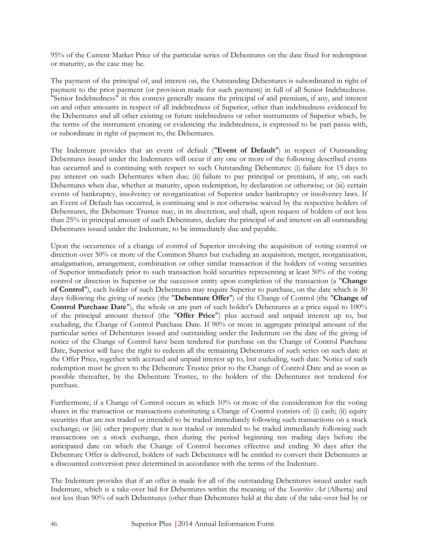95% of the Current Market Price of the particular series of Debentures on the date fixed for redemption or maturity, as the case may be.

The payment of the principal of, and interest on, the Outstanding Debentures is subordinated in right of payment to the prior payment (or provision made for such payment) in full of all Senior Indebtedness. "Senior Indebtedness" in this context generally means the principal of and premium, if any, and interest on and other amounts in respect of all indebtedness of Superior, other than indebtedness evidenced by the Debentures and all other existing or future indebtedness or other instruments of Superior which, by the terms of the instrument creating or evidencing the indebtedness, is expressed to be pari passu with, or subordinate in right of payment to, the Debentures.

The Indenture provides that an event of default ("**Event of Default**") in respect of Outstanding Debentures issued under the Indentures will occur if any one or more of the following described events has occurred and is continuing with respect to such Outstanding Debentures: (i) failure for 15 days to pay interest on such Debentures when due; (ii) failure to pay principal or premium, if any, on such Debentures when due, whether at maturity, upon redemption, by declaration or otherwise; or (iii) certain events of bankruptcy, insolvency or reorganization of Superior under bankruptcy or insolvency laws. If an Event of Default has occurred, is continuing and is not otherwise waived by the respective holders of Debentures, the Debenture Trustee may, in its discretion, and shall, upon request of holders of not less than 25% in principal amount of such Debentures, declare the principal of and interest on all outstanding Debentures issued under the Indenture, to be immediately due and payable.

Upon the occurrence of a change of control of Superior involving the acquisition of voting control or direction over 50% or more of the Common Shares but excluding an acquisition, merger, reorganization, amalgamation, arrangement, combination or other similar transaction if the holders of voting securities of Superior immediately prior to such transaction hold securities representing at least 50% of the voting control or direction in Superior or the successor entity upon completion of the transaction (a "**Change of Control**"), each holder of such Debentures may require Superior to purchase, on the date which is 30 days following the giving of notice (the "**Debenture Offer**") of the Change of Control (the "**Change of Control Purchase Date**"), the whole or any part of such holder's Debentures at a price equal to 100% of the principal amount thereof (the "**Offer Price**") plus accrued and unpaid interest up to, but excluding, the Change of Control Purchase Date. If 90% or more in aggregate principal amount of the particular series of Debentures issued and outstanding under the Indenture on the date of the giving of notice of the Change of Control have been tendered for purchase on the Change of Control Purchase Date, Superior will have the right to redeem all the remaining Debentures of such series on such date at the Offer Price, together with accrued and unpaid interest up to, but excluding, such date. Notice of such redemption must be given to the Debenture Trustee prior to the Change of Control Date and as soon as possible thereafter, by the Debenture Trustee, to the holders of the Debentures not tendered for purchase.

Furthermore, if a Change of Control occurs in which 10% or more of the consideration for the voting shares in the transaction or transactions constituting a Change of Control consists of: (i) cash; (ii) equity securities that are not traded or intended to be traded immediately following such transactions on a stock exchange; or (iii) other property that is not traded or intended to be traded immediately following such transactions on a stock exchange, then during the period beginning ten trading days before the anticipated date on which the Change of Control becomes effective and ending 30 days after the Debenture Offer is delivered, holders of such Debentures will be entitled to convert their Debentures at a discounted conversion price determined in accordance with the terms of the Indenture.

The Indenture provides that if an offer is made for all of the outstanding Debentures issued under such Indenture, which is a take-over bid for Debentures within the meaning of the *Securities Act* (Alberta) and not less than 90% of such Debentures (other than Debentures held at the date of the take-over bid by or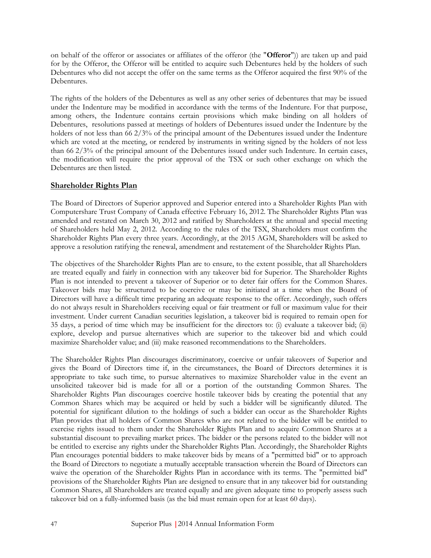on behalf of the offeror or associates or affiliates of the offeror (the "**Offeror**")) are taken up and paid for by the Offeror, the Offeror will be entitled to acquire such Debentures held by the holders of such Debentures who did not accept the offer on the same terms as the Offeror acquired the first 90% of the Debentures.

The rights of the holders of the Debentures as well as any other series of debentures that may be issued under the Indenture may be modified in accordance with the terms of the Indenture. For that purpose, among others, the Indenture contains certain provisions which make binding on all holders of Debentures, resolutions passed at meetings of holders of Debentures issued under the Indenture by the holders of not less than 66 2/3% of the principal amount of the Debentures issued under the Indenture which are voted at the meeting, or rendered by instruments in writing signed by the holders of not less than 66 2/3% of the principal amount of the Debentures issued under such Indenture. In certain cases, the modification will require the prior approval of the TSX or such other exchange on which the Debentures are then listed.

# **Shareholder Rights Plan**

The Board of Directors of Superior approved and Superior entered into a Shareholder Rights Plan with Computershare Trust Company of Canada effective February 16, 2012. The Shareholder Rights Plan was amended and restated on March 30, 2012 and ratified by Shareholders at the annual and special meeting of Shareholders held May 2, 2012. According to the rules of the TSX, Shareholders must confirm the Shareholder Rights Plan every three years. Accordingly, at the 2015 AGM, Shareholders will be asked to approve a resolution ratifying the renewal, amendment and restatement of the Shareholder Rights Plan.

The objectives of the Shareholder Rights Plan are to ensure, to the extent possible, that all Shareholders are treated equally and fairly in connection with any takeover bid for Superior. The Shareholder Rights Plan is not intended to prevent a takeover of Superior or to deter fair offers for the Common Shares. Takeover bids may be structured to be coercive or may be initiated at a time when the Board of Directors will have a difficult time preparing an adequate response to the offer. Accordingly, such offers do not always result in Shareholders receiving equal or fair treatment or full or maximum value for their investment. Under current Canadian securities legislation, a takeover bid is required to remain open for 35 days, a period of time which may be insufficient for the directors to: (i) evaluate a takeover bid; (ii) explore, develop and pursue alternatives which are superior to the takeover bid and which could maximize Shareholder value; and (iii) make reasoned recommendations to the Shareholders.

The Shareholder Rights Plan discourages discriminatory, coercive or unfair takeovers of Superior and gives the Board of Directors time if, in the circumstances, the Board of Directors determines it is appropriate to take such time, to pursue alternatives to maximize Shareholder value in the event an unsolicited takeover bid is made for all or a portion of the outstanding Common Shares. The Shareholder Rights Plan discourages coercive hostile takeover bids by creating the potential that any Common Shares which may be acquired or held by such a bidder will be significantly diluted. The potential for significant dilution to the holdings of such a bidder can occur as the Shareholder Rights Plan provides that all holders of Common Shares who are not related to the bidder will be entitled to exercise rights issued to them under the Shareholder Rights Plan and to acquire Common Shares at a substantial discount to prevailing market prices. The bidder or the persons related to the bidder will not be entitled to exercise any rights under the Shareholder Rights Plan. Accordingly, the Shareholder Rights Plan encourages potential bidders to make takeover bids by means of a "permitted bid" or to approach the Board of Directors to negotiate a mutually acceptable transaction wherein the Board of Directors can waive the operation of the Shareholder Rights Plan in accordance with its terms. The "permitted bid" provisions of the Shareholder Rights Plan are designed to ensure that in any takeover bid for outstanding Common Shares, all Shareholders are treated equally and are given adequate time to properly assess such takeover bid on a fully-informed basis (as the bid must remain open for at least 60 days).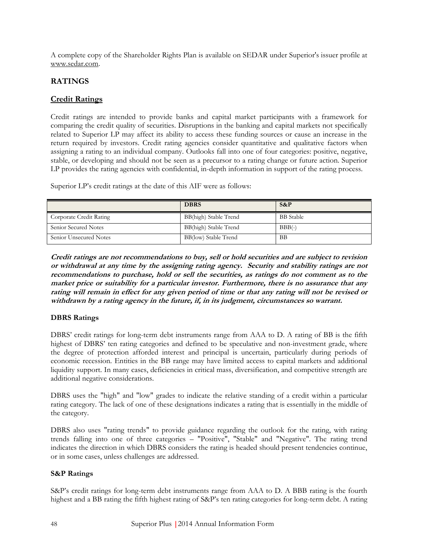A complete copy of the Shareholder Rights Plan is available on SEDAR under Superior's issuer profile at www.sedar.com.

# **RATINGS**

# **Credit Ratings**

Credit ratings are intended to provide banks and capital market participants with a framework for comparing the credit quality of securities. Disruptions in the banking and capital markets not specifically related to Superior LP may affect its ability to access these funding sources or cause an increase in the return required by investors. Credit rating agencies consider quantitative and qualitative factors when assigning a rating to an individual company. Outlooks fall into one of four categories: positive, negative, stable, or developing and should not be seen as a precursor to a rating change or future action. Superior LP provides the rating agencies with confidential, in-depth information in support of the rating process.

Superior LP's credit ratings at the date of this AIF were as follows:

|                         | <b>DBRS</b>           | $S\&P$           |
|-------------------------|-----------------------|------------------|
| Corporate Credit Rating | BB(high) Stable Trend | <b>BB</b> Stable |
| Senior Secured Notes    | BB(high) Stable Trend | $BBB(-)$         |
| Senior Unsecured Notes  | BB(low) Stable Trend  | BB               |

**Credit ratings are not recommendations to buy, sell or hold securities and are subject to revision or withdrawal at any time by the assigning rating agency. Security and stability ratings are not recommendations to purchase, hold or sell the securities, as ratings do not comment as to the market price or suitability for a particular investor. Furthermore, there is no assurance that any rating will remain in effect for any given period of time or that any rating will not be revised or withdrawn by a rating agency in the future, if, in its judgment, circumstances so warrant.**

# **DBRS Ratings**

DBRS' credit ratings for long-term debt instruments range from AAA to D. A rating of BB is the fifth highest of DBRS' ten rating categories and defined to be speculative and non-investment grade, where the degree of protection afforded interest and principal is uncertain, particularly during periods of economic recession. Entities in the BB range may have limited access to capital markets and additional liquidity support. In many cases, deficiencies in critical mass, diversification, and competitive strength are additional negative considerations.

DBRS uses the "high" and "low" grades to indicate the relative standing of a credit within a particular rating category. The lack of one of these designations indicates a rating that is essentially in the middle of the category.

DBRS also uses "rating trends" to provide guidance regarding the outlook for the rating, with rating trends falling into one of three categories – "Positive", "Stable" and "Negative". The rating trend indicates the direction in which DBRS considers the rating is headed should present tendencies continue, or in some cases, unless challenges are addressed.

### **S&P Ratings**

S&P's credit ratings for long-term debt instruments range from AAA to D. A BBB rating is the fourth highest and a BB rating the fifth highest rating of S&P's ten rating categories for long-term debt. A rating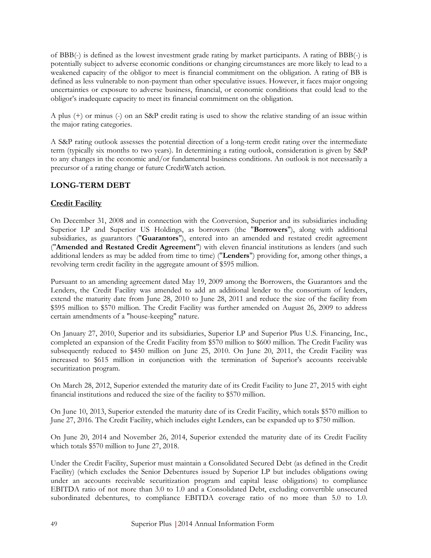of BBB(-) is defined as the lowest investment grade rating by market participants. A rating of BBB(-) is potentially subject to adverse economic conditions or changing circumstances are more likely to lead to a weakened capacity of the obligor to meet is financial commitment on the obligation. A rating of BB is defined as less vulnerable to non-payment than other speculative issues. However, it faces major ongoing uncertainties or exposure to adverse business, financial, or economic conditions that could lead to the obligor's inadequate capacity to meet its financial commitment on the obligation.

A plus (+) or minus (-) on an S&P credit rating is used to show the relative standing of an issue within the major rating categories.

A S&P rating outlook assesses the potential direction of a long-term credit rating over the intermediate term (typically six months to two years). In determining a rating outlook, consideration is given by S&P to any changes in the economic and/or fundamental business conditions. An outlook is not necessarily a precursor of a rating change or future CreditWatch action.

# **LONG-TERM DEBT**

# **Credit Facility**

On December 31, 2008 and in connection with the Conversion, Superior and its subsidiaries including Superior LP and Superior US Holdings, as borrowers (the "**Borrowers**"), along with additional subsidiaries, as guarantors ("**Guarantors**"), entered into an amended and restated credit agreement ("**Amended and Restated Credit Agreement**") with eleven financial institutions as lenders (and such additional lenders as may be added from time to time) ("**Lenders**") providing for, among other things, a revolving term credit facility in the aggregate amount of \$595 million.

Pursuant to an amending agreement dated May 19, 2009 among the Borrowers, the Guarantors and the Lenders, the Credit Facility was amended to add an additional lender to the consortium of lenders, extend the maturity date from June 28, 2010 to June 28, 2011 and reduce the size of the facility from \$595 million to \$570 million. The Credit Facility was further amended on August 26, 2009 to address certain amendments of a "house-keeping" nature.

On January 27, 2010, Superior and its subsidiaries, Superior LP and Superior Plus U.S. Financing, Inc., completed an expansion of the Credit Facility from \$570 million to \$600 million. The Credit Facility was subsequently reduced to \$450 million on June 25, 2010. On June 20, 2011, the Credit Facility was increased to \$615 million in conjunction with the termination of Superior's accounts receivable securitization program.

On March 28, 2012, Superior extended the maturity date of its Credit Facility to June 27, 2015 with eight financial institutions and reduced the size of the facility to \$570 million.

On June 10, 2013, Superior extended the maturity date of its Credit Facility, which totals \$570 million to June 27, 2016. The Credit Facility, which includes eight Lenders, can be expanded up to \$750 million.

On June 20, 2014 and November 26, 2014, Superior extended the maturity date of its Credit Facility which totals \$570 million to June 27, 2018.

Under the Credit Facility, Superior must maintain a Consolidated Secured Debt (as defined in the Credit Facility) (which excludes the Senior Debentures issued by Superior LP but includes obligations owing under an accounts receivable securitization program and capital lease obligations) to compliance EBITDA ratio of not more than 3.0 to 1.0 and a Consolidated Debt, excluding convertible unsecured subordinated debentures, to compliance EBITDA coverage ratio of no more than 5.0 to 1.0.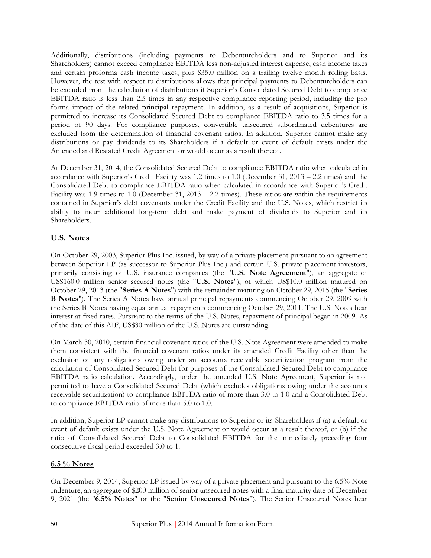Additionally, distributions (including payments to Debentureholders and to Superior and its Shareholders) cannot exceed compliance EBITDA less non-adjusted interest expense, cash income taxes and certain proforma cash income taxes, plus \$35.0 million on a trailing twelve month rolling basis. However, the test with respect to distributions allows that principal payments to Debentureholders can be excluded from the calculation of distributions if Superior's Consolidated Secured Debt to compliance EBITDA ratio is less than 2.5 times in any respective compliance reporting period, including the pro forma impact of the related principal repayment. In addition, as a result of acquisitions, Superior is permitted to increase its Consolidated Secured Debt to compliance EBITDA ratio to 3.5 times for a period of 90 days. For compliance purposes, convertible unsecured subordinated debentures are excluded from the determination of financial covenant ratios. In addition, Superior cannot make any distributions or pay dividends to its Shareholders if a default or event of default exists under the Amended and Restated Credit Agreement or would occur as a result thereof.

At December 31, 2014, the Consolidated Secured Debt to compliance EBITDA ratio when calculated in accordance with Superior's Credit Facility was 1.2 times to 1.0 (December 31, 2013 – 2.2 times) and the Consolidated Debt to compliance EBITDA ratio when calculated in accordance with Superior's Credit Facility was 1.9 times to 1.0 (December 31, 2013 – 2.2 times). These ratios are within the requirements contained in Superior's debt covenants under the Credit Facility and the U.S. Notes, which restrict its ability to incur additional long-term debt and make payment of dividends to Superior and its Shareholders.

# **U.S. Notes**

On October 29, 2003, Superior Plus Inc. issued, by way of a private placement pursuant to an agreement between Superior LP (as successor to Superior Plus Inc.) and certain U.S. private placement investors, primarily consisting of U.S. insurance companies (the "**U.S. Note Agreement**"), an aggregate of US\$160.0 million senior secured notes (the "**U.S. Notes**"), of which US\$10.0 million matured on October 29, 2013 (the "**Series A Notes**") with the remainder maturing on October 29, 2015 (the "**Series B Notes**"). The Series A Notes have annual principal repayments commencing October 29, 2009 with the Series B Notes having equal annual repayments commencing October 29, 2011. The U.S. Notes bear interest at fixed rates. Pursuant to the terms of the U.S. Notes, repayment of principal began in 2009. As of the date of this AIF, US\$30 million of the U.S. Notes are outstanding.

On March 30, 2010, certain financial covenant ratios of the U.S. Note Agreement were amended to make them consistent with the financial covenant ratios under its amended Credit Facility other than the exclusion of any obligations owing under an accounts receivable securitization program from the calculation of Consolidated Secured Debt for purposes of the Consolidated Secured Debt to compliance EBITDA ratio calculation. Accordingly, under the amended U.S. Note Agreement, Superior is not permitted to have a Consolidated Secured Debt (which excludes obligations owing under the accounts receivable securitization) to compliance EBITDA ratio of more than 3.0 to 1.0 and a Consolidated Debt to compliance EBITDA ratio of more than 5.0 to 1.0.

In addition, Superior LP cannot make any distributions to Superior or its Shareholders if (a) a default or event of default exists under the U.S. Note Agreement or would occur as a result thereof, or (b) if the ratio of Consolidated Secured Debt to Consolidated EBITDA for the immediately preceding four consecutive fiscal period exceeded 3.0 to 1.

# **6.5 % Notes**

On December 9, 2014, Superior LP issued by way of a private placement and pursuant to the 6.5% Note Indenture, an aggregate of \$200 million of senior unsecured notes with a final maturity date of December 9, 2021 (the "**6.5% Notes**" or the "**Senior Unsecured Notes**"). The Senior Unsecured Notes bear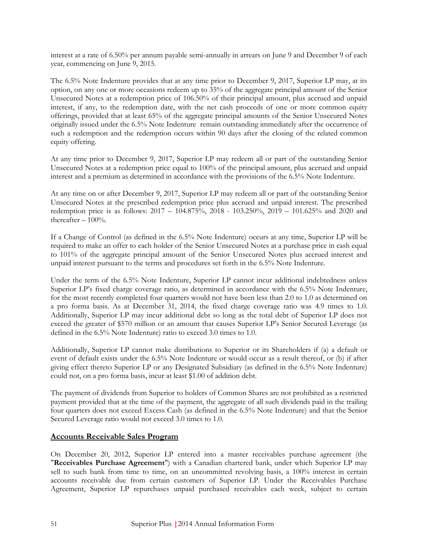interest at a rate of 6.50% per annum payable semi-annually in arrears on June 9 and December 9 of each year, commencing on June 9, 2015.

The 6.5% Note Indenture provides that at any time prior to December 9, 2017, Superior LP may, at its option, on any one or more occasions redeem up to 35% of the aggregate principal amount of the Senior Unsecured Notes at a redemption price of 106.50% of their principal amount, plus accrued and unpaid interest, if any, to the redemption date, with the net cash proceeds of one or more common equity offerings, provided that at least 65% of the aggregate principal amounts of the Senior Unsecured Notes originally issued under the 6.5% Note Indenture remain outstanding immediately after the occurrence of such a redemption and the redemption occurs within 90 days after the closing of the related common equity offering.

At any time prior to December 9, 2017, Superior LP may redeem all or part of the outstanding Senior Unsecured Notes at a redemption price equal to 100% of the principal amount, plus accrued and unpaid interest and a premium as determined in accordance with the provisions of the 6.5% Note Indenture.

At any time on or after December 9, 2017, Superior LP may redeem all or part of the outstanding Senior Unsecured Notes at the prescribed redemption price plus accrued and unpaid interest. The prescribed redemption price is as follows: 2017 – 104.875%, 2018 - 103.250%, 2019 – 101.625% and 2020 and thereafter  $-100\%$ .

If a Change of Control (as defined in the 6.5% Note Indenture) occurs at any time, Superior LP will be required to make an offer to each holder of the Senior Unsecured Notes at a purchase price in cash equal to 101% of the aggregate principal amount of the Senior Unsecured Notes plus accrued interest and unpaid interest pursuant to the terms and procedures set forth in the 6.5% Note Indenture.

Under the term of the 6.5% Note Indenture, Superior LP cannot incur additional indebtedness unless Superior LP's fixed charge coverage ratio, as determined in accordance with the 6.5% Note Indenture, for the most recently completed four quarters would not have been less than 2.0 to 1.0 as determined on a pro forma basis. As at December 31, 2014, the fixed charge coverage ratio was 4.9 times to 1.0. Additionally, Superior LP may incur additional debt so long as the total debt of Superior LP does not exceed the greater of \$570 million or an amount that causes Superior LP's Senior Secured Leverage (as defined in the 6.5% Note Indenture) ratio to exceed 3.0 times to 1.0.

Additionally, Superior LP cannot make distributions to Superior or its Shareholders if (a) a default or event of default exists under the 6.5% Note Indenture or would occur as a result thereof, or (b) if after giving effect thereto Superior LP or any Designated Subsidiary (as defined in the 6.5% Note Indenture) could not, on a pro forma basis, incur at least \$1.00 of addition debt.

The payment of dividends from Superior to holders of Common Shares are not prohibited as a restricted payment provided that at the time of the payment, the aggregate of all such dividends paid in the trailing four quarters does not exceed Excess Cash (as defined in the 6.5% Note Indenture) and that the Senior Secured Leverage ratio would not exceed 3.0 times to 1.0.

### **Accounts Receivable Sales Program**

On December 20, 2012, Superior LP entered into a master receivables purchase agreement (the "**Receivables Purchase Agreement**") with a Canadian chartered bank, under which Superior LP may sell to such bank from time to time, on an uncommitted revolving basis, a 100% interest in certain accounts receivable due from certain customers of Superior LP. Under the Receivables Purchase Agreement, Superior LP repurchases unpaid purchased receivables each week, subject to certain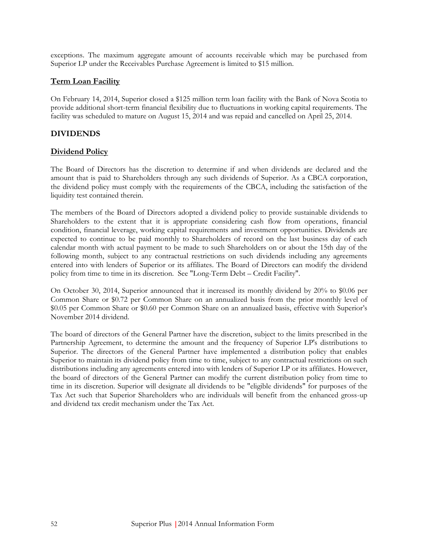exceptions. The maximum aggregate amount of accounts receivable which may be purchased from Superior LP under the Receivables Purchase Agreement is limited to \$15 million.

# **Term Loan Facility**

On February 14, 2014, Superior closed a \$125 million term loan facility with the Bank of Nova Scotia to provide additional short-term financial flexibility due to fluctuations in working capital requirements. The facility was scheduled to mature on August 15, 2014 and was repaid and cancelled on April 25, 2014.

# **DIVIDENDS**

# **Dividend Policy**

The Board of Directors has the discretion to determine if and when dividends are declared and the amount that is paid to Shareholders through any such dividends of Superior. As a CBCA corporation, the dividend policy must comply with the requirements of the CBCA, including the satisfaction of the liquidity test contained therein.

The members of the Board of Directors adopted a dividend policy to provide sustainable dividends to Shareholders to the extent that it is appropriate considering cash flow from operations, financial condition, financial leverage, working capital requirements and investment opportunities. Dividends are expected to continue to be paid monthly to Shareholders of record on the last business day of each calendar month with actual payment to be made to such Shareholders on or about the 15th day of the following month, subject to any contractual restrictions on such dividends including any agreements entered into with lenders of Superior or its affiliates. The Board of Directors can modify the dividend policy from time to time in its discretion. See "Long-Term Debt – Credit Facility".

On October 30, 2014, Superior announced that it increased its monthly dividend by 20% to \$0.06 per Common Share or \$0.72 per Common Share on an annualized basis from the prior monthly level of \$0.05 per Common Share or \$0.60 per Common Share on an annualized basis, effective with Superior's November 2014 dividend.

The board of directors of the General Partner have the discretion, subject to the limits prescribed in the Partnership Agreement, to determine the amount and the frequency of Superior LP's distributions to Superior. The directors of the General Partner have implemented a distribution policy that enables Superior to maintain its dividend policy from time to time, subject to any contractual restrictions on such distributions including any agreements entered into with lenders of Superior LP or its affiliates. However, the board of directors of the General Partner can modify the current distribution policy from time to time in its discretion. Superior will designate all dividends to be "eligible dividends" for purposes of the Tax Act such that Superior Shareholders who are individuals will benefit from the enhanced gross-up and dividend tax credit mechanism under the Tax Act.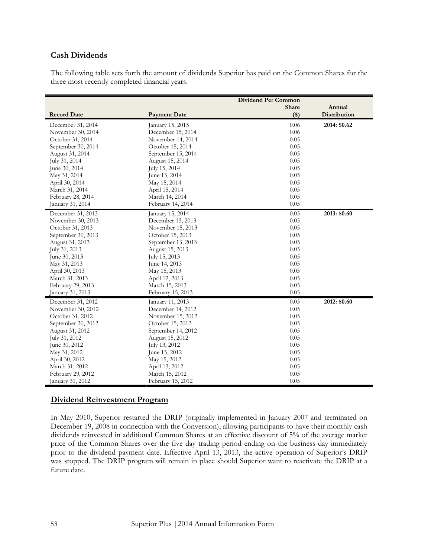### **Cash Dividends**

The following table sets forth the amount of dividends Superior has paid on the Common Shares for the three most recently completed financial years.

|                    |                     | <b>Dividend Per Common</b> |                     |
|--------------------|---------------------|----------------------------|---------------------|
|                    |                     | Share                      | Annual              |
| <b>Record Date</b> | <b>Payment Date</b> | $($ \$)                    | <b>Distribution</b> |
| December 31, 2014  | January 15, 2015    | 0.06                       | 2014: \$0.62        |
| November 30, 2014  | December 15, 2014   | 0.06                       |                     |
| October 31, 2014   | November 14, 2014   | 0.05                       |                     |
| September 30, 2014 | October 15, 2014    | 0.05                       |                     |
| August 31, 2014    | September 15, 2014  | 0.05                       |                     |
| July 31, 2014      | August 15, 2014     | 0.05                       |                     |
| June 30, 2014      | July 15, 2014       | 0.05                       |                     |
| May 31, 2014       | June 13, 2014       | 0.05                       |                     |
| April 30, 2014     | May 15, 2014        | 0.05                       |                     |
| March 31, 2014     | April 15, 2014      | 0.05                       |                     |
| February 28, 2014  | March 14, 2014      | 0.05                       |                     |
| January 31, 2014   | February 14, 2014   | 0.05                       |                     |
| December 31, 2013  | January 15, 2014    | 0.05                       | 2013: \$0.60        |
| November 30, 2013  | December 13, 2013   | 0.05                       |                     |
| October 31, 2013   | November 15, 2013   | 0.05                       |                     |
| September 30, 2013 | October 15, 2013    | 0.05                       |                     |
| August 31, 2013    | September 13, 2013  | 0.05                       |                     |
| July 31, 2013      | August 15, 2013     | 0.05                       |                     |
| June 30, 2013      | July 15, 2013       | 0.05                       |                     |
| May 31, 2013       | June 14, 2013       | 0.05                       |                     |
| April 30, 2013     | May 15, 2013        | 0.05                       |                     |
| March 31, 2013     | April 12, 2013      | 0.05                       |                     |
| February 29, 2013  | March 15, 2013      | 0.05                       |                     |
| January 31, 2013   | February 15, 2013   | 0.05                       |                     |
| December 31, 2012  | January 11, 2013    | 0.05                       | 2012: \$0.60        |
| November 30, 2012  | December 14, 2012   | 0.05                       |                     |
| October 31, 2012   | November 15, 2012   | 0.05                       |                     |
| September 30, 2012 | October 15, 2012    | 0.05                       |                     |
| August 31, 2012    | September 14, 2012  | 0.05                       |                     |
| July 31, 2012      | August 15, 2012     | 0.05                       |                     |
| June 30, 2012      | July 13, 2012       | 0.05                       |                     |
| May 31, 2012       | June 15, 2012       | 0.05                       |                     |
| April 30, 2012     | May 15, 2012        | 0.05                       |                     |
| March 31, 2012     | April 13, 2012      | 0.05                       |                     |
| February 29, 2012  | March 15, 2012      | 0.05                       |                     |
| January 31, 2012   | February 15, 2012   | 0.05                       |                     |

#### **Dividend Reinvestment Program**

In May 2010, Superior restarted the DRIP (originally implemented in January 2007 and terminated on December 19, 2008 in connection with the Conversion), allowing participants to have their monthly cash dividends reinvested in additional Common Shares at an effective discount of 5% of the average market price of the Common Shares over the five day trading period ending on the business day immediately prior to the dividend payment date. Effective April 13, 2013, the active operation of Superior's DRIP was stopped. The DRIP program will remain in place should Superior want to reactivate the DRIP at a future date.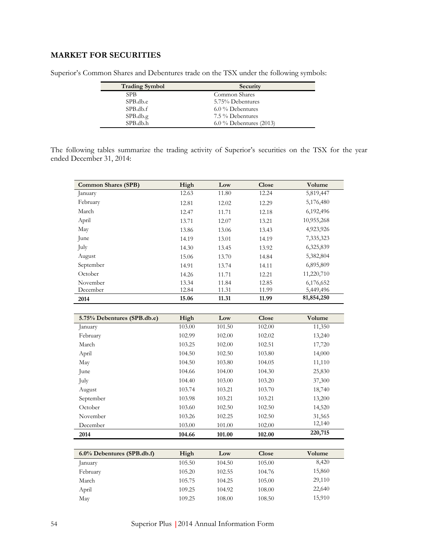# **MARKET FOR SECURITIES**

| <b>Trading Symbol</b> | Security                  |
|-----------------------|---------------------------|
| <b>SPB</b>            | Common Shares             |
| SPB.db.e              | 5.75% Debentures          |
| SPB.db.f              | $6.0\%$ Debentures        |
| SPB.db.g              | 7.5 % Debentures          |
| SPB.db.h              | $6.0\%$ Debentures (2013) |

Superior's Common Shares and Debentures trade on the TSX under the following symbols:

The following tables summarize the trading activity of Superior's securities on the TSX for the year ended December 31, 2014:

| <b>Common Shares (SPB)</b> | High  | Low   | <b>Close</b> | Volume     |
|----------------------------|-------|-------|--------------|------------|
| January                    | 12.63 | 11.80 | 12.24        | 5,819,447  |
| February                   | 12.81 | 12.02 | 12.29        | 5,176,480  |
| March                      | 12.47 | 11.71 | 12.18        | 6,192,496  |
| April                      | 13.71 | 12.07 | 13.21        | 10,955,268 |
| May                        | 13.86 | 13.06 | 13.43        | 4,923,926  |
| June                       | 14.19 | 13.01 | 14.19        | 7,335,323  |
| July                       | 14.30 | 13.45 | 13.92        | 6,325,839  |
| August                     | 15.06 | 13.70 | 14.84        | 5,382,804  |
| September                  | 14.91 | 13.74 | 14.11        | 6,895,809  |
| October                    | 14.26 | 11.71 | 12.21        | 11,220,710 |
| November                   | 13.34 | 11.84 | 12.85        | 6,176,652  |
| December                   | 12.84 | 11.31 | 11.99        | 5,449,496  |
| 2014                       | 15.06 | 11.31 | 11.99        | 81,854,250 |

| 5.75% Debentures (SPB.db.e) | High   | Low    | Close  | Volume  |
|-----------------------------|--------|--------|--------|---------|
| January                     | 103.00 | 101.50 | 102.00 | 11,350  |
| February                    | 102.99 | 102.00 | 102.02 | 13,240  |
| March                       | 103.25 | 102.00 | 102.51 | 17,720  |
| April                       | 104.50 | 102.50 | 103.80 | 14,000  |
| May                         | 104.50 | 103.80 | 104.05 | 11,110  |
| June                        | 104.66 | 104.00 | 104.30 | 25,830  |
| July                        | 104.40 | 103.00 | 103.20 | 37,300  |
| August                      | 103.74 | 103.21 | 103.70 | 18,740  |
| September                   | 103.98 | 103.21 | 103.21 | 13,200  |
| October                     | 103.60 | 102.50 | 102.50 | 14,520  |
| November                    | 103.26 | 102.25 | 102.50 | 31,565  |
| December                    | 103.00 | 101.00 | 102.00 | 12,140  |
| 2014                        | 104.66 | 101.00 | 102.00 | 220,715 |

| $6.0\%$ Debentures (SPB.db.f) | High   | Low    | <b>Close</b> | Volume |
|-------------------------------|--------|--------|--------------|--------|
| anuary                        | 105.50 | 104.50 | 105.00       | 8,420  |
| February                      | 105.20 | 102.55 | 104.76       | 15,860 |
| March                         | 105.75 | 104.25 | 105.00       | 29,110 |
| April                         | 109.25 | 104.92 | 108.00       | 22,640 |
| May                           | 109.25 | 108.00 | 108.50       | 15,910 |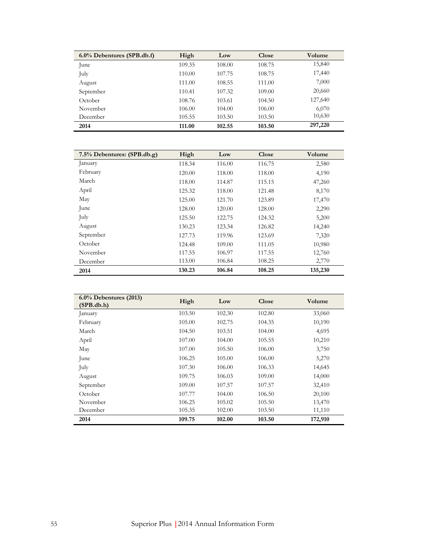| $6.0\%$ Debentures (SPB.db.f) | High   | Low    | Close  | <b>Volume</b> |
|-------------------------------|--------|--------|--------|---------------|
| June                          | 109.35 | 108.00 | 108.75 | 15,840        |
| July                          | 110.00 | 107.75 | 108.75 | 17,440        |
| August                        | 111.00 | 108.55 | 111.00 | 7,000         |
| September                     | 110.41 | 107.32 | 109.00 | 20,660        |
| October                       | 108.76 | 103.61 | 104.50 | 127,640       |
| November                      | 106.00 | 104.00 | 106.00 | 6,070         |
| December                      | 105.55 | 103.50 | 103.50 | 10,630        |
| 2014                          | 111.00 | 102.55 | 103.50 | 297,220       |

| 7.5% Debentures: (SPB.db.g) | High   | Low    | Close  | Volume  |
|-----------------------------|--------|--------|--------|---------|
| January                     | 118.34 | 116.00 | 116.75 | 2,580   |
| February                    | 120.00 | 118.00 | 118.00 | 4,190   |
| March                       | 118.00 | 114.87 | 115.15 | 47,260  |
| April                       | 125.32 | 118.00 | 121.48 | 8,170   |
| May                         | 125.00 | 121.70 | 123.89 | 17,470  |
| June                        | 128.00 | 120.00 | 128.00 | 2,290   |
| July                        | 125.50 | 122.75 | 124.32 | 5,200   |
| August                      | 130.23 | 123.34 | 126.82 | 14,240  |
| September                   | 127.73 | 119.96 | 123.69 | 7,320   |
| October                     | 124.48 | 109.00 | 111.05 | 10,980  |
| November                    | 117.55 | 106.97 | 117.55 | 12,760  |
| December                    | 113.00 | 106.84 | 108.25 | 2,770   |
| 2014                        | 130.23 | 106.84 | 108.25 | 135,230 |

| $6.0\%$ Debentures (2013)<br>(SPB.db.h) | High   | Low    | Close  | Volume  |
|-----------------------------------------|--------|--------|--------|---------|
| January                                 | 103.50 | 102.30 | 102.80 | 33,060  |
| February                                | 105.00 | 102.75 | 104.35 | 10,190  |
| March                                   | 104.50 | 103.51 | 104.00 | 4,695   |
| April                                   | 107.00 | 104.00 | 105.55 | 10,210  |
| May                                     | 107.00 | 105.50 | 106.00 | 3,750   |
| June                                    | 106.25 | 105.00 | 106.00 | 5,270   |
| July                                    | 107.30 | 106.00 | 106.33 | 14,645  |
| August                                  | 109.75 | 106.03 | 109.00 | 14,000  |
| September                               | 109.00 | 107.57 | 107.57 | 32,410  |
| October                                 | 107.77 | 104.00 | 106.50 | 20,100  |
| November                                | 106.25 | 105.02 | 105.50 | 13,470  |
| December                                | 105.35 | 102.00 | 103.50 | 11,110  |
| 2014                                    | 109.75 | 102.00 | 103.50 | 172,910 |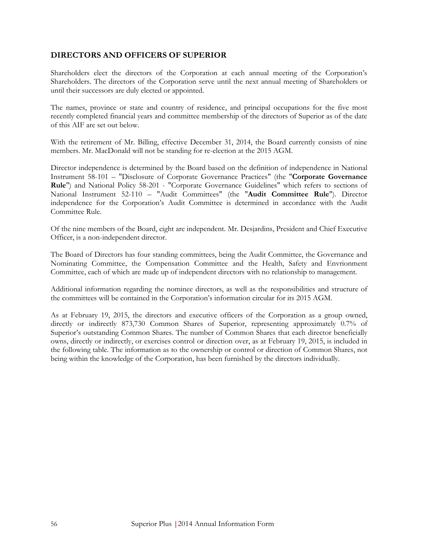### **DIRECTORS AND OFFICERS OF SUPERIOR**

Shareholders elect the directors of the Corporation at each annual meeting of the Corporation's Shareholders. The directors of the Corporation serve until the next annual meeting of Shareholders or until their successors are duly elected or appointed.

The names, province or state and country of residence, and principal occupations for the five most recently completed financial years and committee membership of the directors of Superior as of the date of this AIF are set out below.

With the retirement of Mr. Billing, effective December 31, 2014, the Board currently consists of nine members. Mr. MacDonald will not be standing for re-election at the 2015 AGM.

Director independence is determined by the Board based on the definition of independence in National Instrument 58-101 – "Disclosure of Corporate Governance Practices" (the "**Corporate Governance Rule**") and National Policy 58-201 - "Corporate Governance Guidelines" which refers to sections of National Instrument 52-110 – "Audit Committees" (the "**Audit Committee Rule**"). Director independence for the Corporation's Audit Committee is determined in accordance with the Audit Committee Rule.

Of the nine members of the Board, eight are independent. Mr. Desjardins, President and Chief Executive Officer, is a non-independent director.

The Board of Directors has four standing committees, being the Audit Committee, the Governance and Nominating Committee, the Compensation Committee and the Health, Safety and Envrionment Committee, each of which are made up of independent directors with no relationship to management.

Additional information regarding the nominee directors, as well as the responsibilities and structure of the committees will be contained in the Corporation's information circular for its 2015 AGM.

As at February 19, 2015, the directors and executive officers of the Corporation as a group owned, directly or indirectly 873,730 Common Shares of Superior, representing approximately 0.7% of Superior's outstanding Common Shares. The number of Common Shares that each director beneficially owns, directly or indirectly, or exercises control or direction over, as at February 19, 2015, is included in the following table. The information as to the ownership or control or direction of Common Shares, not being within the knowledge of the Corporation, has been furnished by the directors individually.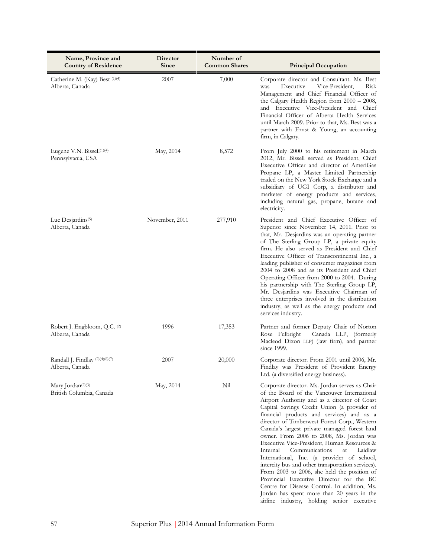| Name, Province and<br><b>Country of Residence</b>            | Director<br>Since | Number of<br><b>Common Shares</b> | <b>Principal Occupation</b>                                                                                                                                                                                                                                                                                                                                                                                                                                                                                                                                                                                                                                                                                                                                                                                                   |
|--------------------------------------------------------------|-------------------|-----------------------------------|-------------------------------------------------------------------------------------------------------------------------------------------------------------------------------------------------------------------------------------------------------------------------------------------------------------------------------------------------------------------------------------------------------------------------------------------------------------------------------------------------------------------------------------------------------------------------------------------------------------------------------------------------------------------------------------------------------------------------------------------------------------------------------------------------------------------------------|
| Catherine M. (Kay) Best <sup>(1)(4)</sup><br>Alberta, Canada | 2007              | 7,000                             | Corporate director and Consultant. Ms. Best<br>Vice-President,<br>Risk<br>Executive<br>was<br>Management and Chief Financial Officer of<br>the Calgary Health Region from 2000 - 2008,<br>and Executive Vice-President and Chief<br>Financial Officer of Alberta Health Services<br>until March 2009. Prior to that, Ms. Best was a<br>partner with Ernst & Young, an accounting<br>firm, in Calgary.                                                                                                                                                                                                                                                                                                                                                                                                                         |
| Eugene V.N. Bissell <sup>(1)(4)</sup><br>Pennsylvania, USA   | May, 2014         | 8,572                             | From July 2000 to his retirement in March<br>2012, Mr. Bissell served as President, Chief<br>Executive Officer and director of AmeriGas<br>Propane LP, a Master Limited Partnership<br>traded on the New York Stock Exchange and a<br>subsidiary of UGI Corp, a distributor and<br>marketer of energy products and services,<br>including natural gas, propane, butane and<br>electricity.                                                                                                                                                                                                                                                                                                                                                                                                                                    |
| Luc Desjardins <sup>(5)</sup><br>Alberta, Canada             | November, 2011    | 277,910                           | President and Chief Executive Officer of<br>Superior since November 14, 2011. Prior to<br>that, Mr. Desjardins was an operating partner<br>of The Sterling Group LP, a private equity<br>firm. He also served as President and Chief<br>Executive Officer of Transcontinental Inc., a<br>leading publisher of consumer magazines from<br>2004 to 2008 and as its President and Chief<br>Operating Officer from 2000 to 2004. During<br>his partnership with The Sterling Group LP,<br>Mr. Desjardins was Executive Chairman of<br>three enterprises involved in the distribution<br>industry, as well as the energy products and<br>services industry.                                                                                                                                                                        |
| Robert J. Engbloom, Q.C. <sup>(2)</sup><br>Alberta, Canada   | 1996              | 17,353                            | Partner and former Deputy Chair of Norton<br>Rose Fulbright<br>Canada LLP, (formerly<br>Macleod Dixon LLP) (law firm), and partner<br>since 1999.                                                                                                                                                                                                                                                                                                                                                                                                                                                                                                                                                                                                                                                                             |
| Randall J. Findlay (2)(4)(6)(7)<br>Alberta, Canada           | 2007              | 20,000                            | Corporate director. From 2001 until 2006, Mr.<br>Findlay was President of Provident Energy<br>Ltd. (a diversified energy business).                                                                                                                                                                                                                                                                                                                                                                                                                                                                                                                                                                                                                                                                                           |
| Mary Jordan <sup>(2)(3)</sup><br>British Columbia, Canada    | May, 2014         | Nil                               | Corporate director. Ms. Jordan serves as Chair<br>of the Board of the Vancouver International<br>Airport Authority and as a director of Coast<br>Capital Savings Credit Union (a provider of<br>financial products and services) and as a<br>director of Timberwest Forest Corp., Western<br>Canada's largest private managed forest land<br>owner. From 2006 to 2008, Ms. Jordan was<br>Executive Vice-President, Human Resources &<br>Communications<br>Internal<br>at<br>Laidlaw<br>International, Inc. (a provider of school,<br>intercity bus and other transportation services).<br>From 2003 to 2006, she held the position of<br>Provincial Executive Director for the BC<br>Centre for Disease Control. In addition, Ms.<br>Jordan has spent more than 20 years in the<br>airline industry, holding senior executive |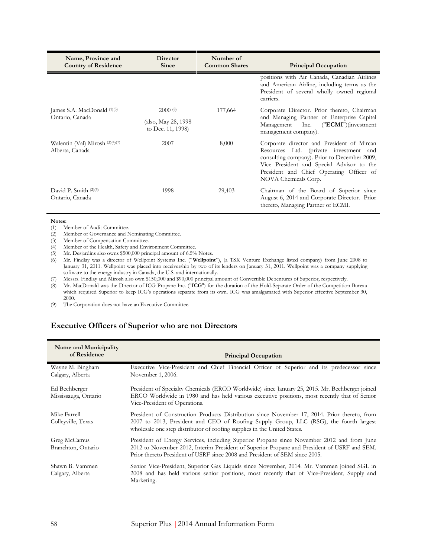| Name, Province and<br><b>Country of Residence</b>  | <b>Director</b><br><b>Since</b>           | Number of<br><b>Common Shares</b> | <b>Principal Occupation</b>                                                                                                                                                                                                                           |
|----------------------------------------------------|-------------------------------------------|-----------------------------------|-------------------------------------------------------------------------------------------------------------------------------------------------------------------------------------------------------------------------------------------------------|
|                                                    |                                           |                                   | positions with Air Canada, Canadian Airlines<br>and American Airline, including terms as the<br>President of several wholly owned regional<br>carriers.                                                                                               |
| James S.A. MacDonald (1)(3)                        | 2000(8)                                   | 177,664                           | Corporate Director. Prior thereto, Chairman                                                                                                                                                                                                           |
| Ontario, Canada                                    | (also, May 28, 1998)<br>to Dec. 11, 1998) |                                   | and Managing Partner of Enterprise Capital<br>$("ECMI")$ (investment<br>Management Inc.<br>management company).                                                                                                                                       |
| Walentin (Val) Mirosh (3)(4)(7)<br>Alberta, Canada | 2007                                      | 8,000                             | Corporate director and President of Mircan<br>Resources Ltd. (private investment and<br>consulting company). Prior to December 2009,<br>Vice President and Special Advisor to the<br>President and Chief Operating Officer of<br>NOVA Chemicals Corp. |
| David P. Smith (2)(3)<br>Ontario, Canada           | 1998                                      | 29,403                            | Chairman of the Board of Superior since<br>August 6, 2014 and Corporate Director. Prior<br>thereto, Managing Partner of ECMI.                                                                                                                         |

#### **Notes:**

(1) Member of Audit Committee.

(2) Member of Governance and Nominating Committee.

Member of Compensation Committee.

(4) Member of the Health, Safety and Environment Committee.

(5) Mr. Desjardins also owns \$500,000 principal amount of 6.5% Notes.

(6) Mr. Findlay was a director of Wellpoint Systems Inc. ("**Wellpoint**"), (a TSX Venture Exchange listed company) from June 2008 to January 31, 2011. Wellpoint was placed into receivership by two of its lenders on January 31, 2011. Wellpoint was a company supplying software to the energy industry in Canada, the U.S. and internationally.

(7) Messrs. Findlay and Mirosh also own \$150,000 and \$90,000 principal amount of Convertible Debentures of Superior, respectively.

(8) Mr. MacDonald was the Director of ICG Propane Inc. ("**ICG**") for the duration of the Hold-Separate Order of the Competition Bureau which required Superior to keep ICG's operations separate from its own. ICG was amalgamated with Superior effective September 30, 2000.

(9) The Corporation does not have an Executive Committee.

### **Executive Officers of Superior who are not Directors**

| Name and Municipality<br>of Residence | <b>Principal Occupation</b>                                                                                                                                                                                                                                              |
|---------------------------------------|--------------------------------------------------------------------------------------------------------------------------------------------------------------------------------------------------------------------------------------------------------------------------|
| Wayne M. Bingham<br>Calgary, Alberta  | Executive Vice-President and Chief Financial Officer of Superior and its predecessor since<br>November 1, 2006.                                                                                                                                                          |
| Ed Bechberger<br>Mississauga, Ontario | President of Specialty Chemicals (ERCO Worldwide) since January 25, 2015. Mr. Bechberger joined<br>ERCO Worldwide in 1980 and has held various executive positions, most recently that of Senior<br>Vice-President of Operations.                                        |
| Mike Farrell<br>Colleyville, Texas    | President of Construction Products Distribution since November 17, 2014. Prior thereto, from<br>2007 to 2013, President and CEO of Roofing Supply Group, LLC (RSG), the fourth largest<br>wholesale one step distributor of roofing supplies in the United States.       |
| Greg McCamus<br>Branchton, Ontario    | President of Energy Services, including Superior Propane since November 2012 and from June<br>2012 to November 2012, Interim President of Superior Propane and President of USRF and SEM.<br>Prior thereto President of USRF since 2008 and President of SEM since 2005. |
| Shawn B. Vammen<br>Calgary, Alberta   | Senior Vice-President, Superior Gas Liquids since November, 2014. Mr. Vammen joined SGL in<br>2008 and has held various senior positions, most recently that of Vice-President, Supply and<br>Marketing.                                                                 |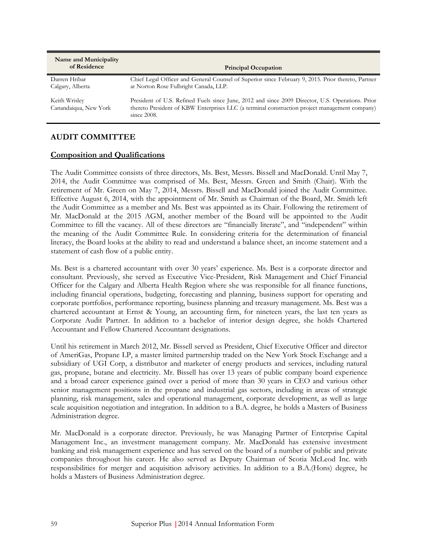| Name and Municipality<br>of Residence  | <b>Principal Occupation</b>                                                                                                                                                                                         |
|----------------------------------------|---------------------------------------------------------------------------------------------------------------------------------------------------------------------------------------------------------------------|
| Darren Hribar<br>Calgary, Alberta      | Chief Legal Officer and General Counsel of Superior since February 9, 2015. Prior thereto, Partner<br>at Norton Rose Fulbright Canada, LLP.                                                                         |
| Keith Wrisley<br>Canandaiqua, New York | President of U.S. Refined Fuels since June, 2012 and since 2009 Director, U.S. Operations. Prior<br>thereto President of KBW Enterprises LLC (a terminal construction project management company)<br>since $2008$ . |

### **AUDIT COMMITTEE**

### **Composition and Qualifications**

The Audit Committee consists of three directors, Ms. Best, Messrs. Bissell and MacDonald. Until May 7, 2014, the Audit Committee was comprised of Ms. Best, Messrs. Green and Smith (Chair). With the retirement of Mr. Green on May 7, 2014, Messrs. Bissell and MacDonald joined the Audit Committee. Effective August 6, 2014, with the appointment of Mr. Smith as Chairman of the Board, Mr. Smith left the Audit Committee as a member and Ms. Best was appointed as its Chair. Following the retirement of Mr. MacDonald at the 2015 AGM, another member of the Board will be appointed to the Audit Committee to fill the vacancy. All of these directors are "financially literate", and "independent" within the meaning of the Audit Committee Rule. In considering criteria for the determination of financial literacy, the Board looks at the ability to read and understand a balance sheet, an income statement and a statement of cash flow of a public entity.

Ms. Best is a chartered accountant with over 30 years' experience. Ms. Best is a corporate director and consultant. Previously, she served as Executive Vice-President, Risk Management and Chief Financial Officer for the Calgary and Alberta Health Region where she was responsible for all finance functions, including financial operations, budgeting, forecasting and planning, business support for operating and corporate portfolios, performance reporting, business planning and treasury management. Ms. Best was a chartered accountant at Ernst & Young, an accounting firm, for nineteen years, the last ten years as Corporate Audit Partner. In addition to a bachelor of interior design degree, she holds Chartered Accountant and Fellow Chartered Accountant designations.

Until his retirement in March 2012, Mr. Bissell served as President, Chief Executive Officer and director of AmeriGas, Propane LP, a master limited partnership traded on the New York Stock Exchange and a subsidiary of UGI Corp, a distributor and marketer of energy products and services, including natural gas, propane, butane and electricity. Mr. Bissell has over 13 years of public company board experience and a broad career experience gained over a period of more than 30 years in CEO and various other senior management positions in the propane and industrial gas sectors, including in areas of strategic planning, risk management, sales and operational management, corporate development, as well as large scale acquisition negotiation and integration. In addition to a B.A. degree, he holds a Masters of Business Administration degree.

Mr. MacDonald is a corporate director. Previously, he was Managing Partner of Enterprise Capital Management Inc., an investment management company. Mr. MacDonald has extensive investment banking and risk management experience and has served on the board of a number of public and private companies throughout his career. He also served as Deputy Chairman of Scotia McLeod Inc. with responsibilities for merger and acquisition advisory activities. In addition to a B.A.(Hons) degree, he holds a Masters of Business Administration degree.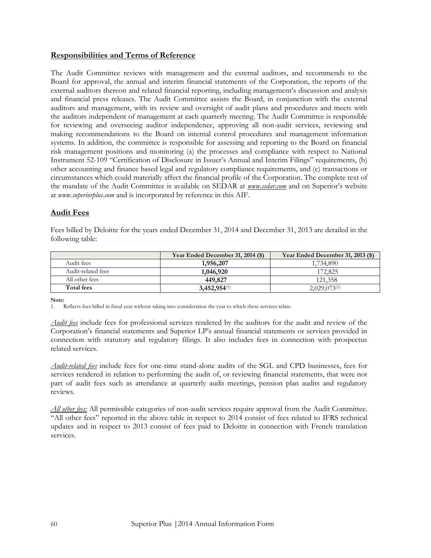# **Responsibilities and Terms of Reference**

The Audit Committee reviews with management and the external auditors, and recommends to the Board for approval, the annual and interim financial statements of the Corporation, the reports of the external auditors thereon and related financial reporting, including management's discussion and analysis and financial press releases. The Audit Committee assists the Board, in conjunction with the external auditors and management, with its review and oversight of audit plans and procedures and meets with the auditors independent of management at each quarterly meeting. The Audit Committee is responsible for reviewing and overseeing auditor independence, approving all non-audit services, reviewing and making recommendations to the Board on internal control procedures and management information systems. In addition, the committee is responsible for assessing and reporting to the Board on financial risk management positions and monitoring (a) the processes and compliance with respect to National Instrument 52-109 "Certification of Disclosure in Issuer's Annual and Interim Filings" requirements, (b) other accounting and finance based legal and regulatory compliance requirements, and (c) transactions or circumstances which could materially affect the financial profile of the Corporation. The complete text of the mandate of the Audit Committee is available on SEDAR at *www.sedar.com* and on Superior's website at *www.superiorplus.com* and is incorporated by reference in this AIF.

# **Audit Fees**

Fees billed by Deloitte for the years ended December 31, 2014 and December 31, 2013 are detailed in the following table:

|                    | Year Ended December 31, 2014 (\$) | Year Ended December 31, 2013 (\$) |
|--------------------|-----------------------------------|-----------------------------------|
| Audit fees         | 1,956,207                         | 1,734,890                         |
| Audit-related fees | 1,046,920                         | 172.825                           |
| All other fees     | 449,827                           | 121,358                           |
| Total fees         | $3,452,954^{(1)}$                 | $2,029,073^{(1)}$                 |

**Note:**

1. Reflects fees billed in fiscal year without taking into consideration the year to which these services relate.

*Audit fees* include fees for professional services rendered by the auditors for the audit and review of the Corporation's financial statements and Superior LP's annual financial statements or services provided in connection with statutory and regulatory filings. It also includes fees in connection with prospectus related services.

*Audit-related fees* include fees for one-time stand-alone audits of the SGL and CPD businesses, fees for services rendered in relation to performing the audit of, or reviewing financial statements, that were not part of audit fees such as attendance at quarterly audit meetings, pension plan audits and regulatory reviews.

*All other fees:* All permissible categories of non-audit services require approval from the Audit Committee. "All other fees" reported in the above table in respect to 2014 consist of fees related to IFRS technical updates and in respect to 2013 consist of fees paid to Deloitte in connection with French translation services.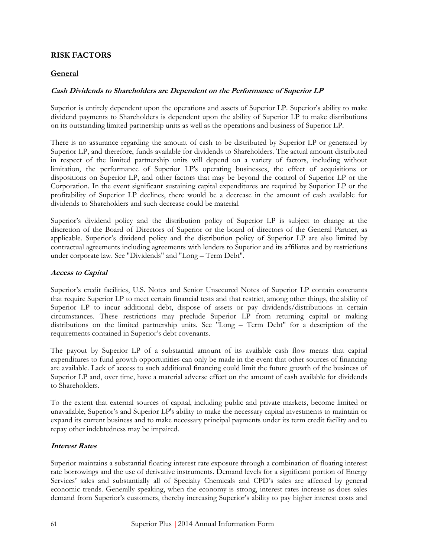# **RISK FACTORS**

### **General**

### **Cash Dividends to Shareholders are Dependent on the Performance of Superior LP**

Superior is entirely dependent upon the operations and assets of Superior LP. Superior's ability to make dividend payments to Shareholders is dependent upon the ability of Superior LP to make distributions on its outstanding limited partnership units as well as the operations and business of Superior LP.

There is no assurance regarding the amount of cash to be distributed by Superior LP or generated by Superior LP, and therefore, funds available for dividends to Shareholders. The actual amount distributed in respect of the limited partnership units will depend on a variety of factors, including without limitation, the performance of Superior LP's operating businesses, the effect of acquisitions or dispositions on Superior LP, and other factors that may be beyond the control of Superior LP or the Corporation. In the event significant sustaining capital expenditures are required by Superior LP or the profitability of Superior LP declines, there would be a decrease in the amount of cash available for dividends to Shareholders and such decrease could be material.

Superior's dividend policy and the distribution policy of Superior LP is subject to change at the discretion of the Board of Directors of Superior or the board of directors of the General Partner, as applicable. Superior's dividend policy and the distribution policy of Superior LP are also limited by contractual agreements including agreements with lenders to Superior and its affiliates and by restrictions under corporate law. See "Dividends" and "Long – Term Debt".

### **Access to Capital**

Superior's credit facilities, U.S. Notes and Senior Unsecured Notes of Superior LP contain covenants that require Superior LP to meet certain financial tests and that restrict, among other things, the ability of Superior LP to incur additional debt, dispose of assets or pay dividends/distributions in certain circumstances. These restrictions may preclude Superior LP from returning capital or making distributions on the limited partnership units. See "Long – Term Debt" for a description of the requirements contained in Superior's debt covenants.

The payout by Superior LP of a substantial amount of its available cash flow means that capital expenditures to fund growth opportunities can only be made in the event that other sources of financing are available. Lack of access to such additional financing could limit the future growth of the business of Superior LP and, over time, have a material adverse effect on the amount of cash available for dividends to Shareholders.

To the extent that external sources of capital, including public and private markets, become limited or unavailable, Superior's and Superior LP's ability to make the necessary capital investments to maintain or expand its current business and to make necessary principal payments under its term credit facility and to repay other indebtedness may be impaired.

### **Interest Rates**

Superior maintains a substantial floating interest rate exposure through a combination of floating interest rate borrowings and the use of derivative instruments. Demand levels for a significant portion of Energy Services' sales and substantially all of Specialty Chemicals and CPD's sales are affected by general economic trends. Generally speaking, when the economy is strong, interest rates increase as does sales demand from Superior's customers, thereby increasing Superior's ability to pay higher interest costs and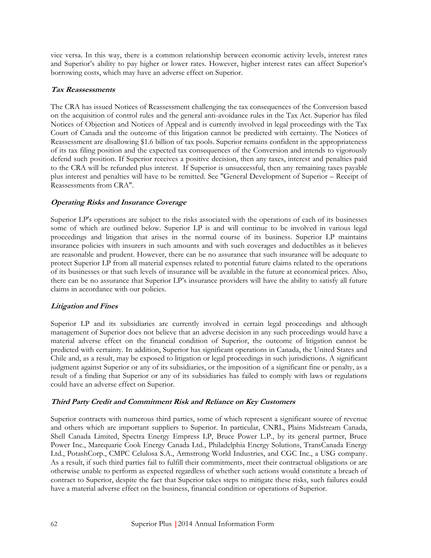vice versa. In this way, there is a common relationship between economic activity levels, interest rates and Superior's ability to pay higher or lower rates. However, higher interest rates can affect Superior's borrowing costs, which may have an adverse effect on Superior.

### **Tax Reassessments**

The CRA has issued Notices of Reassessment challenging the tax consequences of the Conversion based on the acquisition of control rules and the general anti-avoidance rules in the Tax Act. Superior has filed Notices of Objection and Notices of Appeal and is currently involved in legal proceedings with the Tax Court of Canada and the outcome of this litigation cannot be predicted with certainty. The Notices of Reassessment are disallowing \$1.6 billion of tax pools. Superior remains confident in the appropriateness of its tax filing position and the expected tax consequences of the Conversion and intends to vigorously defend such position. If Superior receives a positive decision, then any taxes, interest and penalties paid to the CRA will be refunded plus interest. If Superior is unsuccessful, then any remaining taxes payable plus interest and penalties will have to be remitted. See "General Development of Superior – Receipt of Reassessments from CRA".

### **Operating Risks and Insurance Coverage**

Superior LP's operations are subject to the risks associated with the operations of each of its businesses some of which are outlined below. Superior LP is and will continue to be involved in various legal proceedings and litigation that arises in the normal course of its business. Superior LP maintains insurance policies with insurers in such amounts and with such coverages and deductibles as it believes are reasonable and prudent. However, there can be no assurance that such insurance will be adequate to protect Superior LP from all material expenses related to potential future claims related to the operations of its businesses or that such levels of insurance will be available in the future at economical prices. Also, there can be no assurance that Superior LP's insurance providers will have the ability to satisfy all future claims in accordance with our policies.

### **Litigation and Fines**

Superior LP and its subsidiaries are currently involved in certain legal proceedings and although management of Superior does not believe that an adverse decision in any such proceedings would have a material adverse effect on the financial condition of Superior, the outcome of litigation cannot be predicted with certainty. In addition, Superior has significant operations in Canada, the United States and Chile and, as a result, may be exposed to litigation or legal proceedings in such jurisdictions. A significant judgment against Superior or any of its subsidiaries, or the imposition of a significant fine or penalty, as a result of a finding that Superior or any of its subsidiaries has failed to comply with laws or regulations could have an adverse effect on Superior.

#### **Third Party Credit and Commitment Risk and Reliance on Key Customers**

Superior contracts with numerous third parties, some of which represent a significant source of revenue and others which are important suppliers to Superior. In particular, CNRL, Plains Midstream Canada, Shell Canada Limited, Spectra Energy Empress LP, Bruce Power L.P., by its general partner, Bruce Power Inc., Marcquarie Cook Energy Canada Ltd., Philadelphia Energy Solutions, TransCanada Energy Ltd., PotashCorp., CMPC Celulosa S.A., Armstrong World Industries, and CGC Inc., a USG company. As a result, if such third parties fail to fulfill their commitments, meet their contractual obligations or are otherwise unable to perform as expected regardless of whether such actions would constitute a breach of contract to Superior, despite the fact that Superior takes steps to mitigate these risks, such failures could have a material adverse effect on the business, financial condition or operations of Superior.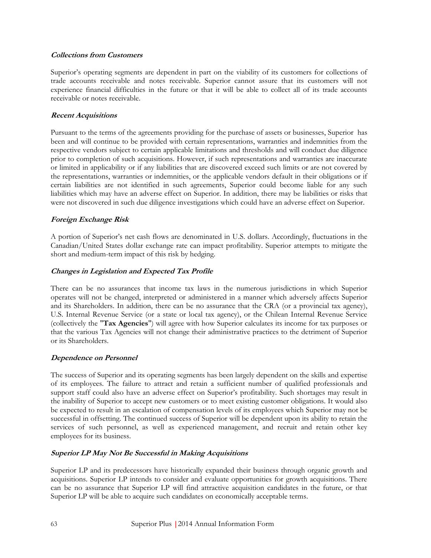#### **Collections from Customers**

Superior's operating segments are dependent in part on the viability of its customers for collections of trade accounts receivable and notes receivable. Superior cannot assure that its customers will not experience financial difficulties in the future or that it will be able to collect all of its trade accounts receivable or notes receivable.

### **Recent Acquisitions**

Pursuant to the terms of the agreements providing for the purchase of assets or businesses, Superior has been and will continue to be provided with certain representations, warranties and indemnities from the respective vendors subject to certain applicable limitations and thresholds and will conduct due diligence prior to completion of such acquisitions. However, if such representations and warranties are inaccurate or limited in applicability or if any liabilities that are discovered exceed such limits or are not covered by the representations, warranties or indemnities, or the applicable vendors default in their obligations or if certain liabilities are not identified in such agreements, Superior could become liable for any such liabilities which may have an adverse effect on Superior. In addition, there may be liabilities or risks that were not discovered in such due diligence investigations which could have an adverse effect on Superior.

# **Foreign Exchange Risk**

A portion of Superior's net cash flows are denominated in U.S. dollars. Accordingly, fluctuations in the Canadian/United States dollar exchange rate can impact profitability. Superior attempts to mitigate the short and medium-term impact of this risk by hedging.

# **Changes in Legislation and Expected Tax Profile**

There can be no assurances that income tax laws in the numerous jurisdictions in which Superior operates will not be changed, interpreted or administered in a manner which adversely affects Superior and its Shareholders. In addition, there can be no assurance that the CRA (or a provincial tax agency), U.S. Internal Revenue Service (or a state or local tax agency), or the Chilean Internal Revenue Service (collectively the "**Tax Agencies**") will agree with how Superior calculates its income for tax purposes or that the various Tax Agencies will not change their administrative practices to the detriment of Superior or its Shareholders.

### **Dependence on Personnel**

The success of Superior and its operating segments has been largely dependent on the skills and expertise of its employees. The failure to attract and retain a sufficient number of qualified professionals and support staff could also have an adverse effect on Superior's profitability. Such shortages may result in the inability of Superior to accept new customers or to meet existing customer obligations. It would also be expected to result in an escalation of compensation levels of its employees which Superior may not be successful in offsetting. The continued success of Superior will be dependent upon its ability to retain the services of such personnel, as well as experienced management, and recruit and retain other key employees for its business.

# **Superior LP May Not Be Successful in Making Acquisitions**

Superior LP and its predecessors have historically expanded their business through organic growth and acquisitions. Superior LP intends to consider and evaluate opportunities for growth acquisitions. There can be no assurance that Superior LP will find attractive acquisition candidates in the future, or that Superior LP will be able to acquire such candidates on economically acceptable terms.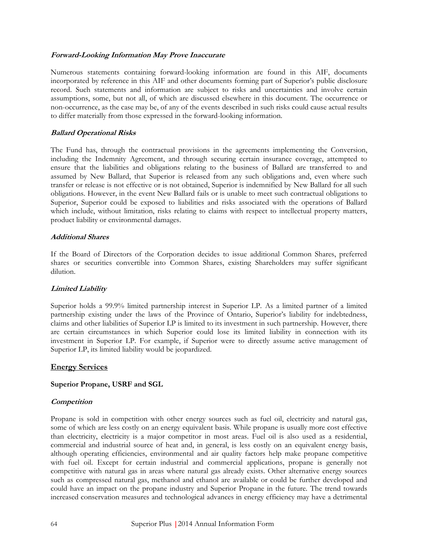#### **Forward-Looking Information May Prove Inaccurate**

Numerous statements containing forward-looking information are found in this AIF, documents incorporated by reference in this AIF and other documents forming part of Superior's public disclosure record. Such statements and information are subject to risks and uncertainties and involve certain assumptions, some, but not all, of which are discussed elsewhere in this document. The occurrence or non-occurrence, as the case may be, of any of the events described in such risks could cause actual results to differ materially from those expressed in the forward-looking information.

### **Ballard Operational Risks**

The Fund has, through the contractual provisions in the agreements implementing the Conversion, including the Indemnity Agreement, and through securing certain insurance coverage, attempted to ensure that the liabilities and obligations relating to the business of Ballard are transferred to and assumed by New Ballard, that Superior is released from any such obligations and, even where such transfer or release is not effective or is not obtained, Superior is indemnified by New Ballard for all such obligations. However, in the event New Ballard fails or is unable to meet such contractual obligations to Superior, Superior could be exposed to liabilities and risks associated with the operations of Ballard which include, without limitation, risks relating to claims with respect to intellectual property matters, product liability or environmental damages.

### **Additional Shares**

If the Board of Directors of the Corporation decides to issue additional Common Shares, preferred shares or securities convertible into Common Shares, existing Shareholders may suffer significant dilution.

### **Limited Liability**

Superior holds a 99.9% limited partnership interest in Superior LP. As a limited partner of a limited partnership existing under the laws of the Province of Ontario, Superior's liability for indebtedness, claims and other liabilities of Superior LP is limited to its investment in such partnership. However, there are certain circumstances in which Superior could lose its limited liability in connection with its investment in Superior LP. For example, if Superior were to directly assume active management of Superior LP, its limited liability would be jeopardized.

### **Energy Services**

### **Superior Propane, USRF and SGL**

#### **Competition**

Propane is sold in competition with other energy sources such as fuel oil, electricity and natural gas, some of which are less costly on an energy equivalent basis. While propane is usually more cost effective than electricity, electricity is a major competitor in most areas. Fuel oil is also used as a residential, commercial and industrial source of heat and, in general, is less costly on an equivalent energy basis, although operating efficiencies, environmental and air quality factors help make propane competitive with fuel oil. Except for certain industrial and commercial applications, propane is generally not competitive with natural gas in areas where natural gas already exists. Other alternative energy sources such as compressed natural gas, methanol and ethanol are available or could be further developed and could have an impact on the propane industry and Superior Propane in the future. The trend towards increased conservation measures and technological advances in energy efficiency may have a detrimental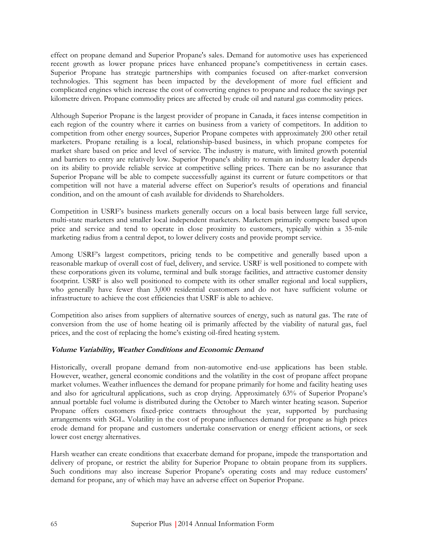effect on propane demand and Superior Propane's sales. Demand for automotive uses has experienced recent growth as lower propane prices have enhanced propane's competitiveness in certain cases. Superior Propane has strategic partnerships with companies focused on after-market conversion technologies. This segment has been impacted by the development of more fuel efficient and complicated engines which increase the cost of converting engines to propane and reduce the savings per kilometre driven. Propane commodity prices are affected by crude oil and natural gas commodity prices.

Although Superior Propane is the largest provider of propane in Canada, it faces intense competition in each region of the country where it carries on business from a variety of competitors. In addition to competition from other energy sources, Superior Propane competes with approximately 200 other retail marketers. Propane retailing is a local, relationship-based business, in which propane competes for market share based on price and level of service. The industry is mature, with limited growth potential and barriers to entry are relatively low. Superior Propane's ability to remain an industry leader depends on its ability to provide reliable service at competitive selling prices. There can be no assurance that Superior Propane will be able to compete successfully against its current or future competitors or that competition will not have a material adverse effect on Superior's results of operations and financial condition, and on the amount of cash available for dividends to Shareholders.

Competition in USRF's business markets generally occurs on a local basis between large full service, multi-state marketers and smaller local independent marketers. Marketers primarily compete based upon price and service and tend to operate in close proximity to customers, typically within a 35-mile marketing radius from a central depot, to lower delivery costs and provide prompt service.

Among USRF's largest competitors, pricing tends to be competitive and generally based upon a reasonable markup of overall cost of fuel, delivery, and service. USRF is well positioned to compete with these corporations given its volume, terminal and bulk storage facilities, and attractive customer density footprint. USRF is also well positioned to compete with its other smaller regional and local suppliers, who generally have fewer than 3,000 residential customers and do not have sufficient volume or infrastructure to achieve the cost efficiencies that USRF is able to achieve.

Competition also arises from suppliers of alternative sources of energy, such as natural gas. The rate of conversion from the use of home heating oil is primarily affected by the viability of natural gas, fuel prices, and the cost of replacing the home's existing oil-fired heating system.

### **Volume Variability, Weather Conditions and Economic Demand**

Historically, overall propane demand from non-automotive end-use applications has been stable. However, weather, general economic conditions and the volatility in the cost of propane affect propane market volumes. Weather influences the demand for propane primarily for home and facility heating uses and also for agricultural applications, such as crop drying. Approximately 63% of Superior Propane's annual portable fuel volume is distributed during the October to March winter heating season. Superior Propane offers customers fixed-price contracts throughout the year, supported by purchasing arrangements with SGL. Volatility in the cost of propane influences demand for propane as high prices erode demand for propane and customers undertake conservation or energy efficient actions, or seek lower cost energy alternatives.

Harsh weather can create conditions that exacerbate demand for propane, impede the transportation and delivery of propane, or restrict the ability for Superior Propane to obtain propane from its suppliers. Such conditions may also increase Superior Propane's operating costs and may reduce customers' demand for propane, any of which may have an adverse effect on Superior Propane.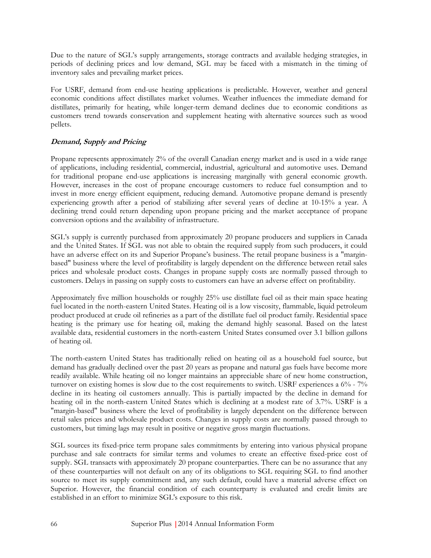Due to the nature of SGL's supply arrangements, storage contracts and available hedging strategies, in periods of declining prices and low demand, SGL may be faced with a mismatch in the timing of inventory sales and prevailing market prices.

For USRF, demand from end-use heating applications is predictable. However, weather and general economic conditions affect distillates market volumes. Weather influences the immediate demand for distillates, primarily for heating, while longer-term demand declines due to economic conditions as customers trend towards conservation and supplement heating with alternative sources such as wood pellets.

# **Demand, Supply and Pricing**

Propane represents approximately 2% of the overall Canadian energy market and is used in a wide range of applications, including residential, commercial, industrial, agricultural and automotive uses. Demand for traditional propane end-use applications is increasing marginally with general economic growth. However, increases in the cost of propane encourage customers to reduce fuel consumption and to invest in more energy efficient equipment, reducing demand. Automotive propane demand is presently experiencing growth after a period of stabilizing after several years of decline at 10-15% a year. A declining trend could return depending upon propane pricing and the market acceptance of propane conversion options and the availability of infrastructure.

SGL's supply is currently purchased from approximately 20 propane producers and suppliers in Canada and the United States. If SGL was not able to obtain the required supply from such producers, it could have an adverse effect on its and Superior Propane's business. The retail propane business is a "marginbased" business where the level of profitability is largely dependent on the difference between retail sales prices and wholesale product costs. Changes in propane supply costs are normally passed through to customers. Delays in passing on supply costs to customers can have an adverse effect on profitability.

Approximately five million households or roughly 25% use distillate fuel oil as their main space heating fuel located in the north-eastern United States. Heating oil is a low viscosity, flammable, liquid petroleum product produced at crude oil refineries as a part of the distillate fuel oil product family. Residential space heating is the primary use for heating oil, making the demand highly seasonal. Based on the latest available data, residential customers in the north-eastern United States consumed over 3.1 billion gallons of heating oil.

The north-eastern United States has traditionally relied on heating oil as a household fuel source, but demand has gradually declined over the past 20 years as propane and natural gas fuels have become more readily available. While heating oil no longer maintains an appreciable share of new home construction, turnover on existing homes is slow due to the cost requirements to switch. USRF experiences a 6% - 7% decline in its heating oil customers annually. This is partially impacted by the decline in demand for heating oil in the north-eastern United States which is declining at a modest rate of 3.7%. USRF is a "margin-based" business where the level of profitability is largely dependent on the difference between retail sales prices and wholesale product costs. Changes in supply costs are normally passed through to customers, but timing lags may result in positive or negative gross margin fluctuations.

SGL sources its fixed-price term propane sales commitments by entering into various physical propane purchase and sale contracts for similar terms and volumes to create an effective fixed-price cost of supply. SGL transacts with approximately 20 propane counterparties. There can be no assurance that any of these counterparties will not default on any of its obligations to SGL requiring SGL to find another source to meet its supply commitment and, any such default, could have a material adverse effect on Superior. However, the financial condition of each counterparty is evaluated and credit limits are established in an effort to minimize SGL's exposure to this risk.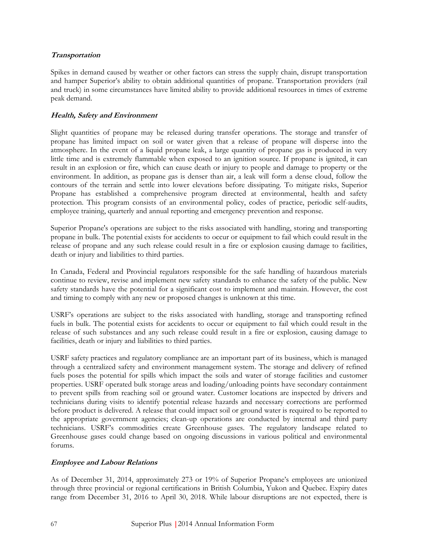### **Transportation**

Spikes in demand caused by weather or other factors can stress the supply chain, disrupt transportation and hamper Superior's ability to obtain additional quantities of propane. Transportation providers (rail and truck) in some circumstances have limited ability to provide additional resources in times of extreme peak demand.

## **Health, Safety and Environment**

Slight quantities of propane may be released during transfer operations. The storage and transfer of propane has limited impact on soil or water given that a release of propane will disperse into the atmosphere. In the event of a liquid propane leak, a large quantity of propane gas is produced in very little time and is extremely flammable when exposed to an ignition source. If propane is ignited, it can result in an explosion or fire, which can cause death or injury to people and damage to property or the environment. In addition, as propane gas is denser than air, a leak will form a dense cloud, follow the contours of the terrain and settle into lower elevations before dissipating. To mitigate risks, Superior Propane has established a comprehensive program directed at environmental, health and safety protection. This program consists of an environmental policy, codes of practice, periodic self-audits, employee training, quarterly and annual reporting and emergency prevention and response.

Superior Propane's operations are subject to the risks associated with handling, storing and transporting propane in bulk. The potential exists for accidents to occur or equipment to fail which could result in the release of propane and any such release could result in a fire or explosion causing damage to facilities, death or injury and liabilities to third parties.

In Canada, Federal and Provincial regulators responsible for the safe handling of hazardous materials continue to review, revise and implement new safety standards to enhance the safety of the public. New safety standards have the potential for a significant cost to implement and maintain. However, the cost and timing to comply with any new or proposed changes is unknown at this time.

USRF's operations are subject to the risks associated with handling, storage and transporting refined fuels in bulk. The potential exists for accidents to occur or equipment to fail which could result in the release of such substances and any such release could result in a fire or explosion, causing damage to facilities, death or injury and liabilities to third parties.

USRF safety practices and regulatory compliance are an important part of its business, which is managed through a centralized safety and environment management system. The storage and delivery of refined fuels poses the potential for spills which impact the soils and water of storage facilities and customer properties. USRF operated bulk storage areas and loading/unloading points have secondary containment to prevent spills from reaching soil or ground water. Customer locations are inspected by drivers and technicians during visits to identify potential release hazards and necessary corrections are performed before product is delivered. A release that could impact soil or ground water is required to be reported to the appropriate government agencies; clean-up operations are conducted by internal and third party technicians. USRF's commodities create Greenhouse gases. The regulatory landscape related to Greenhouse gases could change based on ongoing discussions in various political and environmental forums.

### **Employee and Labour Relations**

As of December 31, 2014, approximately 273 or 19% of Superior Propane's employees are unionized through three provincial or regional certifications in British Columbia, Yukon and Quebec. Expiry dates range from December 31, 2016 to April 30, 2018. While labour disruptions are not expected, there is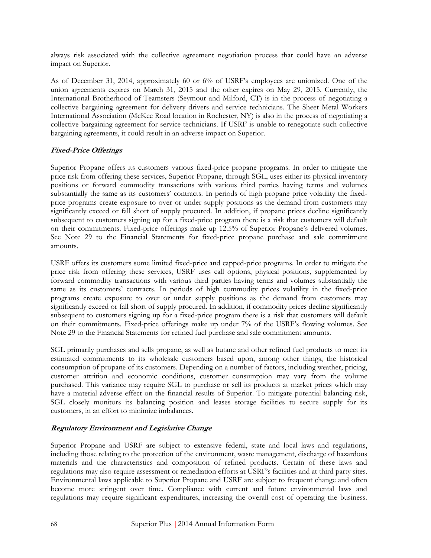always risk associated with the collective agreement negotiation process that could have an adverse impact on Superior.

As of December 31, 2014, approximately 60 or 6% of USRF's employees are unionized. One of the union agreements expires on March 31, 2015 and the other expires on May 29, 2015. Currently, the International Brotherhood of Teamsters (Seymour and Milford, CT) is in the process of negotiating a collective bargaining agreement for delivery drivers and service technicians. The Sheet Metal Workers International Association (McKee Road location in Rochester, NY) is also in the process of negotiating a collective bargaining agreement for service technicians. If USRF is unable to renegotiate such collective bargaining agreements, it could result in an adverse impact on Superior.

### **Fixed-Price Offerings**

Superior Propane offers its customers various fixed-price propane programs. In order to mitigate the price risk from offering these services, Superior Propane, through SGL, uses either its physical inventory positions or forward commodity transactions with various third parties having terms and volumes substantially the same as its customers' contracts. In periods of high propane price volatility the fixedprice programs create exposure to over or under supply positions as the demand from customers may significantly exceed or fall short of supply procured. In addition, if propane prices decline significantly subsequent to customers signing up for a fixed-price program there is a risk that customers will default on their commitments. Fixed-price offerings make up 12.5% of Superior Propane's delivered volumes. See Note 29 to the Financial Statements for fixed-price propane purchase and sale commitment amounts.

USRF offers its customers some limited fixed-price and capped-price programs. In order to mitigate the price risk from offering these services, USRF uses call options, physical positions, supplemented by forward commodity transactions with various third parties having terms and volumes substantially the same as its customers' contracts. In periods of high commodity prices volatility in the fixed-price programs create exposure to over or under supply positions as the demand from customers may significantly exceed or fall short of supply procured. In addition, if commodity prices decline significantly subsequent to customers signing up for a fixed-price program there is a risk that customers will default on their commitments. Fixed-price offerings make up under 7% of the USRF's flowing volumes. See Note 29 to the Financial Statements for refined fuel purchase and sale commitment amounts.

SGL primarily purchases and sells propane, as well as butane and other refined fuel products to meet its estimated commitments to its wholesale customers based upon, among other things, the historical consumption of propane of its customers. Depending on a number of factors, including weather, pricing, customer attrition and economic conditions, customer consumption may vary from the volume purchased. This variance may require SGL to purchase or sell its products at market prices which may have a material adverse effect on the financial results of Superior. To mitigate potential balancing risk, SGL closely monitors its balancing position and leases storage facilities to secure supply for its customers, in an effort to minimize imbalances.

# **Regulatory Environment and Legislative Change**

Superior Propane and USRF are subject to extensive federal, state and local laws and regulations, including those relating to the protection of the environment, waste management, discharge of hazardous materials and the characteristics and composition of refined products. Certain of these laws and regulations may also require assessment or remediation efforts at USRF's facilities and at third party sites. Environmental laws applicable to Superior Propane and USRF are subject to frequent change and often become more stringent over time. Compliance with current and future environmental laws and regulations may require significant expenditures, increasing the overall cost of operating the business.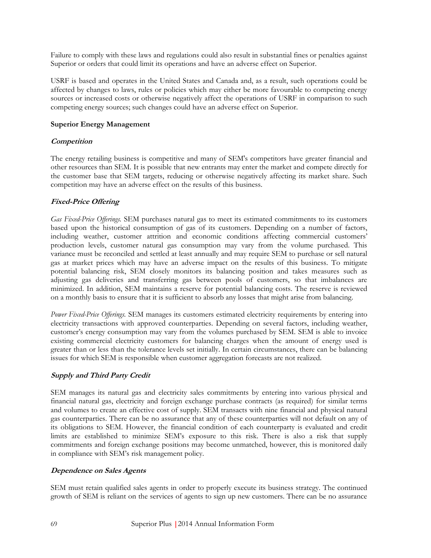Failure to comply with these laws and regulations could also result in substantial fines or penalties against Superior or orders that could limit its operations and have an adverse effect on Superior.

USRF is based and operates in the United States and Canada and, as a result, such operations could be affected by changes to laws, rules or policies which may either be more favourable to competing energy sources or increased costs or otherwise negatively affect the operations of USRF in comparison to such competing energy sources; such changes could have an adverse effect on Superior.

#### **Superior Energy Management**

#### **Competition**

The energy retailing business is competitive and many of SEM's competitors have greater financial and other resources than SEM. It is possible that new entrants may enter the market and compete directly for the customer base that SEM targets, reducing or otherwise negatively affecting its market share. Such competition may have an adverse effect on the results of this business.

### **Fixed-Price Offering**

*Gas Fixed-Price Offerings.* SEM purchases natural gas to meet its estimated commitments to its customers based upon the historical consumption of gas of its customers. Depending on a number of factors, including weather, customer attrition and economic conditions affecting commercial customers' production levels, customer natural gas consumption may vary from the volume purchased. This variance must be reconciled and settled at least annually and may require SEM to purchase or sell natural gas at market prices which may have an adverse impact on the results of this business. To mitigate potential balancing risk, SEM closely monitors its balancing position and takes measures such as adjusting gas deliveries and transferring gas between pools of customers, so that imbalances are minimized. In addition, SEM maintains a reserve for potential balancing costs. The reserve is reviewed on a monthly basis to ensure that it is sufficient to absorb any losses that might arise from balancing.

*Power Fixed-Price Offerings.* SEM manages its customers estimated electricity requirements by entering into electricity transactions with approved counterparties. Depending on several factors, including weather, customer's energy consumption may vary from the volumes purchased by SEM. SEM is able to invoice existing commercial electricity customers for balancing charges when the amount of energy used is greater than or less than the tolerance levels set initially. In certain circumstances, there can be balancing issues for which SEM is responsible when customer aggregation forecasts are not realized.

#### **Supply and Third Party Credit**

SEM manages its natural gas and electricity sales commitments by entering into various physical and financial natural gas, electricity and foreign exchange purchase contracts (as required) for similar terms and volumes to create an effective cost of supply. SEM transacts with nine financial and physical natural gas counterparties. There can be no assurance that any of these counterparties will not default on any of its obligations to SEM. However, the financial condition of each counterparty is evaluated and credit limits are established to minimize SEM's exposure to this risk. There is also a risk that supply commitments and foreign exchange positions may become unmatched, however, this is monitored daily in compliance with SEM's risk management policy.

#### **Dependence on Sales Agents**

SEM must retain qualified sales agents in order to properly execute its business strategy. The continued growth of SEM is reliant on the services of agents to sign up new customers. There can be no assurance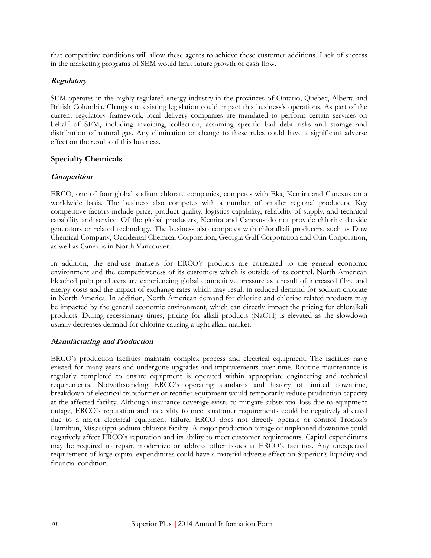that competitive conditions will allow these agents to achieve these customer additions. Lack of success in the marketing programs of SEM would limit future growth of cash flow.

### **Regulatory**

SEM operates in the highly regulated energy industry in the provinces of Ontario, Quebec, Alberta and British Columbia. Changes to existing legislation could impact this business's operations. As part of the current regulatory framework, local delivery companies are mandated to perform certain services on behalf of SEM, including invoicing, collection, assuming specific bad debt risks and storage and distribution of natural gas. Any elimination or change to these rules could have a significant adverse effect on the results of this business.

## **Specialty Chemicals**

### **Competition**

ERCO, one of four global sodium chlorate companies, competes with Eka, Kemira and Canexus on a worldwide basis. The business also competes with a number of smaller regional producers. Key competitive factors include price, product quality, logistics capability, reliability of supply, and technical capability and service. Of the global producers, Kemira and Canexus do not provide chlorine dioxide generators or related technology. The business also competes with chloralkali producers, such as Dow Chemical Company, Occidental Chemical Corporation, Georgia Gulf Corporation and Olin Corporation, as well as Canexus in North Vancouver.

In addition, the end-use markets for ERCO's products are correlated to the general economic environment and the competitiveness of its customers which is outside of its control. North American bleached pulp producers are experiencing global competitive pressure as a result of increased fibre and energy costs and the impact of exchange rates which may result in reduced demand for sodium chlorate in North America. In addition, North American demand for chlorine and chlorine related products may be impacted by the general economic environment, which can directly impact the pricing for chloralkali products. During recessionary times, pricing for alkali products (NaOH) is elevated as the slowdown usually decreases demand for chlorine causing a tight alkali market.

### **Manufacturing and Production**

ERCO's production facilities maintain complex process and electrical equipment. The facilities have existed for many years and undergone upgrades and improvements over time. Routine maintenance is regularly completed to ensure equipment is operated within appropriate engineering and technical requirements. Notwithstanding ERCO's operating standards and history of limited downtime, breakdown of electrical transformer or rectifier equipment would temporarily reduce production capacity at the affected facility. Although insurance coverage exists to mitigate substantial loss due to equipment outage, ERCO's reputation and its ability to meet customer requirements could be negatively affected due to a major electrical equipment failure. ERCO does not directly operate or control Tronox's Hamilton, Mississippi sodium chlorate facility. A major production outage or unplanned downtime could negatively affect ERCO's reputation and its ability to meet customer requirements. Capital expenditures may be required to repair, modernize or address other issues at ERCO's facilities. Any unexpected requirement of large capital expenditures could have a material adverse effect on Superior's liquidity and financial condition.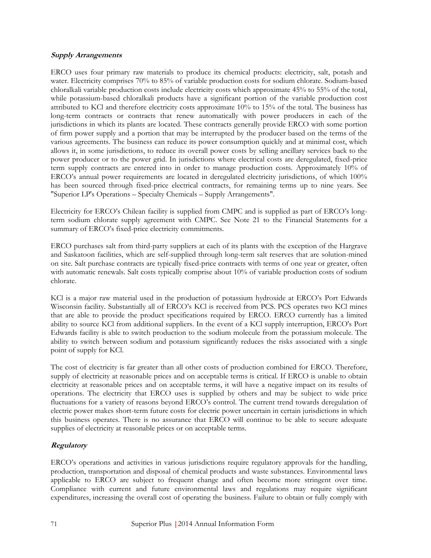#### **Supply Arrangements**

ERCO uses four primary raw materials to produce its chemical products: electricity, salt, potash and water. Electricity comprises 70% to 85% of variable production costs for sodium chlorate. Sodium-based chloralkali variable production costs include electricity costs which approximate 45% to 55% of the total, while potassium-based chloralkali products have a significant portion of the variable production cost attributed to KCl and therefore electricity costs approximate 10% to 15% of the total. The business has long-term contracts or contracts that renew automatically with power producers in each of the jurisdictions in which its plants are located. These contracts generally provide ERCO with some portion of firm power supply and a portion that may be interrupted by the producer based on the terms of the various agreements. The business can reduce its power consumption quickly and at minimal cost, which allows it, in some jurisdictions, to reduce its overall power costs by selling ancillary services back to the power producer or to the power grid. In jurisdictions where electrical costs are deregulated, fixed-price term supply contracts are entered into in order to manage production costs. Approximately 10% of ERCO's annual power requirements are located in deregulated electricity jurisdictions, of which 100% has been sourced through fixed-price electrical contracts, for remaining terms up to nine years. See "Superior LP's Operations – Specialty Chemicals – Supply Arrangements".

Electricity for ERCO's Chilean facility is supplied from CMPC and is supplied as part of ERCO's longterm sodium chlorate supply agreement with CMPC. See Note 21 to the Financial Statements for a summary of ERCO's fixed-price electricity commitments.

ERCO purchases salt from third-party suppliers at each of its plants with the exception of the Hargrave and Saskatoon facilities, which are self-supplied through long-term salt reserves that are solution-mined on site. Salt purchase contracts are typically fixed-price contracts with terms of one year or greater, often with automatic renewals. Salt costs typically comprise about 10% of variable production costs of sodium chlorate.

KCl is a major raw material used in the production of potassium hydroxide at ERCO's Port Edwards Wisconsin facility. Substantially all of ERCO's KCl is received from PCS. PCS operates two KCl mines that are able to provide the product specifications required by ERCO. ERCO currently has a limited ability to source KCl from additional suppliers. In the event of a KCl supply interruption, ERCO's Port Edwards facility is able to switch production to the sodium molecule from the potassium molecule. The ability to switch between sodium and potassium significantly reduces the risks associated with a single point of supply for KCl.

The cost of electricity is far greater than all other costs of production combined for ERCO. Therefore, supply of electricity at reasonable prices and on acceptable terms is critical. If ERCO is unable to obtain electricity at reasonable prices and on acceptable terms, it will have a negative impact on its results of operations. The electricity that ERCO uses is supplied by others and may be subject to wide price fluctuations for a variety of reasons beyond ERCO's control. The current trend towards deregulation of electric power makes short-term future costs for electric power uncertain in certain jurisdictions in which this business operates. There is no assurance that ERCO will continue to be able to secure adequate supplies of electricity at reasonable prices or on acceptable terms.

### **Regulatory**

ERCO's operations and activities in various jurisdictions require regulatory approvals for the handling, production, transportation and disposal of chemical products and waste substances. Environmental laws applicable to ERCO are subject to frequent change and often become more stringent over time. Compliance with current and future environmental laws and regulations may require significant expenditures, increasing the overall cost of operating the business. Failure to obtain or fully comply with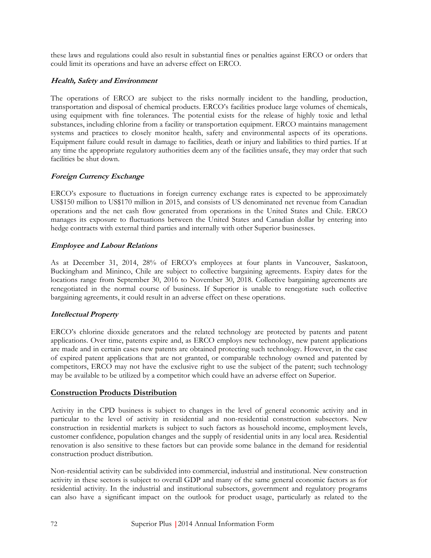these laws and regulations could also result in substantial fines or penalties against ERCO or orders that could limit its operations and have an adverse effect on ERCO.

### **Health, Safety and Environment**

The operations of ERCO are subject to the risks normally incident to the handling, production, transportation and disposal of chemical products. ERCO's facilities produce large volumes of chemicals, using equipment with fine tolerances. The potential exists for the release of highly toxic and lethal substances, including chlorine from a facility or transportation equipment. ERCO maintains management systems and practices to closely monitor health, safety and environmental aspects of its operations. Equipment failure could result in damage to facilities, death or injury and liabilities to third parties. If at any time the appropriate regulatory authorities deem any of the facilities unsafe, they may order that such facilities be shut down.

### **Foreign Currency Exchange**

ERCO's exposure to fluctuations in foreign currency exchange rates is expected to be approximately US\$150 million to US\$170 million in 2015, and consists of US denominated net revenue from Canadian operations and the net cash flow generated from operations in the United States and Chile. ERCO manages its exposure to fluctuations between the United States and Canadian dollar by entering into hedge contracts with external third parties and internally with other Superior businesses.

#### **Employee and Labour Relations**

As at December 31, 2014, 28% of ERCO's employees at four plants in Vancouver, Saskatoon, Buckingham and Mininco, Chile are subject to collective bargaining agreements. Expiry dates for the locations range from September 30, 2016 to November 30, 2018. Collective bargaining agreements are renegotiated in the normal course of business. If Superior is unable to renegotiate such collective bargaining agreements, it could result in an adverse effect on these operations.

### **Intellectual Property**

ERCO's chlorine dioxide generators and the related technology are protected by patents and patent applications. Over time, patents expire and, as ERCO employs new technology, new patent applications are made and in certain cases new patents are obtained protecting such technology. However, in the case of expired patent applications that are not granted, or comparable technology owned and patented by competitors, ERCO may not have the exclusive right to use the subject of the patent; such technology may be available to be utilized by a competitor which could have an adverse effect on Superior.

### **Construction Products Distribution**

Activity in the CPD business is subject to changes in the level of general economic activity and in particular to the level of activity in residential and non-residential construction subsectors. New construction in residential markets is subject to such factors as household income, employment levels, customer confidence, population changes and the supply of residential units in any local area. Residential renovation is also sensitive to these factors but can provide some balance in the demand for residential construction product distribution.

Non-residential activity can be subdivided into commercial, industrial and institutional. New construction activity in these sectors is subject to overall GDP and many of the same general economic factors as for residential activity. In the industrial and institutional subsectors, government and regulatory programs can also have a significant impact on the outlook for product usage, particularly as related to the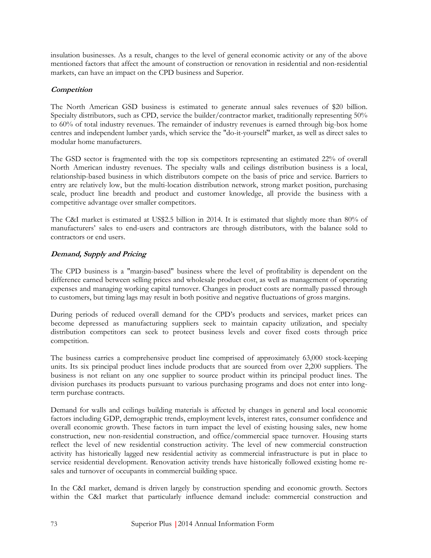insulation businesses. As a result, changes to the level of general economic activity or any of the above mentioned factors that affect the amount of construction or renovation in residential and non-residential markets, can have an impact on the CPD business and Superior.

## **Competition**

The North American GSD business is estimated to generate annual sales revenues of \$20 billion. Specialty distributors, such as CPD, service the builder/contractor market, traditionally representing 50% to 60% of total industry revenues. The remainder of industry revenues is earned through big-box home centres and independent lumber yards, which service the "do-it-yourself" market, as well as direct sales to modular home manufacturers.

The GSD sector is fragmented with the top six competitors representing an estimated 22% of overall North American industry revenues. The specialty walls and ceilings distribution business is a local, relationship-based business in which distributors compete on the basis of price and service. Barriers to entry are relatively low, but the multi-location distribution network, strong market position, purchasing scale, product line breadth and product and customer knowledge, all provide the business with a competitive advantage over smaller competitors.

The C&I market is estimated at US\$2.5 billion in 2014. It is estimated that slightly more than 80% of manufacturers' sales to end-users and contractors are through distributors, with the balance sold to contractors or end users.

## **Demand, Supply and Pricing**

The CPD business is a "margin-based" business where the level of profitability is dependent on the difference earned between selling prices and wholesale product cost, as well as management of operating expenses and managing working capital turnover. Changes in product costs are normally passed through to customers, but timing lags may result in both positive and negative fluctuations of gross margins.

During periods of reduced overall demand for the CPD's products and services, market prices can become depressed as manufacturing suppliers seek to maintain capacity utilization, and specialty distribution competitors can seek to protect business levels and cover fixed costs through price competition.

The business carries a comprehensive product line comprised of approximately 63,000 stock-keeping units. Its six principal product lines include products that are sourced from over 2,200 suppliers. The business is not reliant on any one supplier to source product within its principal product lines. The division purchases its products pursuant to various purchasing programs and does not enter into longterm purchase contracts.

Demand for walls and ceilings building materials is affected by changes in general and local economic factors including GDP, demographic trends, employment levels, interest rates, consumer confidence and overall economic growth. These factors in turn impact the level of existing housing sales, new home construction, new non-residential construction, and office/commercial space turnover. Housing starts reflect the level of new residential construction activity. The level of new commercial construction activity has historically lagged new residential activity as commercial infrastructure is put in place to service residential development. Renovation activity trends have historically followed existing home resales and turnover of occupants in commercial building space.

In the C&I market, demand is driven largely by construction spending and economic growth. Sectors within the C&I market that particularly influence demand include: commercial construction and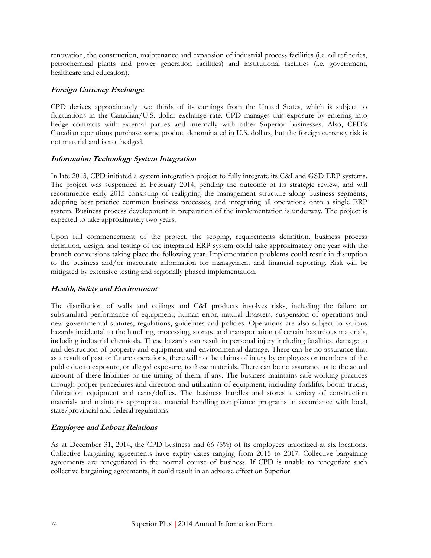renovation, the construction, maintenance and expansion of industrial process facilities (i.e. oil refineries, petrochemical plants and power generation facilities) and institutional facilities (i.e. government, healthcare and education).

#### **Foreign Currency Exchange**

CPD derives approximately two thirds of its earnings from the United States, which is subject to fluctuations in the Canadian/U.S. dollar exchange rate. CPD manages this exposure by entering into hedge contracts with external parties and internally with other Superior businesses. Also, CPD's Canadian operations purchase some product denominated in U.S. dollars, but the foreign currency risk is not material and is not hedged.

#### **Information Technology System Integration**

In late 2013, CPD initiated a system integration project to fully integrate its C&I and GSD ERP systems. The project was suspended in February 2014, pending the outcome of its strategic review, and will recommence early 2015 consisting of realigning the management structure along business segments, adopting best practice common business processes, and integrating all operations onto a single ERP system. Business process development in preparation of the implementation is underway. The project is expected to take approximately two years.

Upon full commencement of the project, the scoping, requirements definition, business process definition, design, and testing of the integrated ERP system could take approximately one year with the branch conversions taking place the following year. Implementation problems could result in disruption to the business and/or inaccurate information for management and financial reporting. Risk will be mitigated by extensive testing and regionally phased implementation.

### **Health, Safety and Environment**

The distribution of walls and ceilings and C&I products involves risks, including the failure or substandard performance of equipment, human error, natural disasters, suspension of operations and new governmental statutes, regulations, guidelines and policies. Operations are also subject to various hazards incidental to the handling, processing, storage and transportation of certain hazardous materials, including industrial chemicals. These hazards can result in personal injury including fatalities, damage to and destruction of property and equipment and environmental damage. There can be no assurance that as a result of past or future operations, there will not be claims of injury by employees or members of the public due to exposure, or alleged exposure, to these materials. There can be no assurance as to the actual amount of these liabilities or the timing of them, if any. The business maintains safe working practices through proper procedures and direction and utilization of equipment, including forklifts, boom trucks, fabrication equipment and carts/dollies. The business handles and stores a variety of construction materials and maintains appropriate material handling compliance programs in accordance with local, state/provincial and federal regulations.

### **Employee and Labour Relations**

As at December 31, 2014, the CPD business had 66 (5%) of its employees unionized at six locations. Collective bargaining agreements have expiry dates ranging from 2015 to 2017. Collective bargaining agreements are renegotiated in the normal course of business. If CPD is unable to renegotiate such collective bargaining agreements, it could result in an adverse effect on Superior.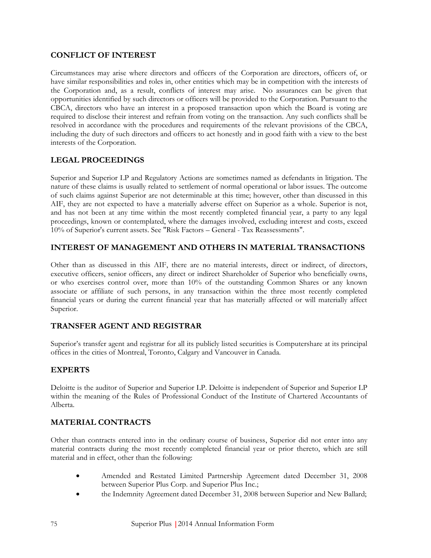## **CONFLICT OF INTEREST**

Circumstances may arise where directors and officers of the Corporation are directors, officers of, or have similar responsibilities and roles in, other entities which may be in competition with the interests of the Corporation and, as a result, conflicts of interest may arise. No assurances can be given that opportunities identified by such directors or officers will be provided to the Corporation. Pursuant to the CBCA, directors who have an interest in a proposed transaction upon which the Board is voting are required to disclose their interest and refrain from voting on the transaction. Any such conflicts shall be resolved in accordance with the procedures and requirements of the relevant provisions of the CBCA, including the duty of such directors and officers to act honestly and in good faith with a view to the best interests of the Corporation.

# **LEGAL PROCEEDINGS**

Superior and Superior LP and Regulatory Actions are sometimes named as defendants in litigation. The nature of these claims is usually related to settlement of normal operational or labor issues. The outcome of such claims against Superior are not determinable at this time; however, other than discussed in this AIF, they are not expected to have a materially adverse effect on Superior as a whole. Superior is not, and has not been at any time within the most recently completed financial year, a party to any legal proceedings, known or contemplated, where the damages involved, excluding interest and costs, exceed 10% of Superior's current assets. See "Risk Factors – General - Tax Reassessments".

## **INTEREST OF MANAGEMENT AND OTHERS IN MATERIAL TRANSACTIONS**

Other than as discussed in this AIF, there are no material interests, direct or indirect, of directors, executive officers, senior officers, any direct or indirect Shareholder of Superior who beneficially owns, or who exercises control over, more than 10% of the outstanding Common Shares or any known associate or affiliate of such persons, in any transaction within the three most recently completed financial years or during the current financial year that has materially affected or will materially affect Superior.

# **TRANSFER AGENT AND REGISTRAR**

Superior's transfer agent and registrar for all its publicly listed securities is Computershare at its principal offices in the cities of Montreal, Toronto, Calgary and Vancouver in Canada.

# **EXPERTS**

Deloitte is the auditor of Superior and Superior LP. Deloitte is independent of Superior and Superior LP within the meaning of the Rules of Professional Conduct of the Institute of Chartered Accountants of Alberta.

# **MATERIAL CONTRACTS**

Other than contracts entered into in the ordinary course of business, Superior did not enter into any material contracts during the most recently completed financial year or prior thereto, which are still material and in effect, other than the following:

- Amended and Restated Limited Partnership Agreement dated December 31, 2008 between Superior Plus Corp. and Superior Plus Inc.;
- the Indemnity Agreement dated December 31, 2008 between Superior and New Ballard;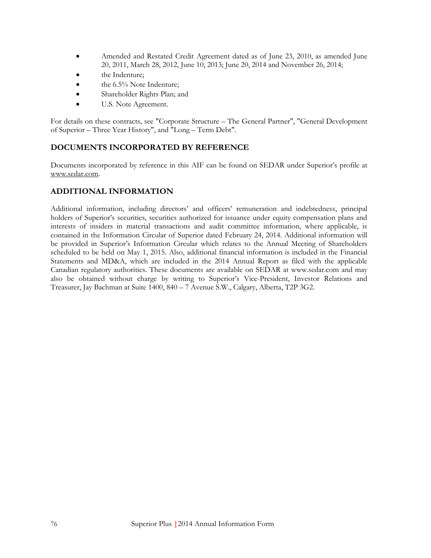- Amended and Restated Credit Agreement dated as of June 23, 2010, as amended June 20, 2011, March 28, 2012, June 10, 2013; June 20, 2014 and November 26, 2014;
- the Indenture;
- the 6.5% Note Indenture;
- Shareholder Rights Plan; and
- U.S. Note Agreement.

For details on these contracts, see "Corporate Structure – The General Partner", "General Development of Superior – Three Year History", and "Long – Term Debt".

# **DOCUMENTS INCORPORATED BY REFERENCE**

Documents incorporated by reference in this AIF can be found on SEDAR under Superior's profile at www.sedar.com.

# **ADDITIONAL INFORMATION**

Additional information, including directors' and officers' remuneration and indebtedness, principal holders of Superior's securities, securities authorized for issuance under equity compensation plans and interests of insiders in material transactions and audit committee information, where applicable, is contained in the Information Circular of Superior dated February 24, 2014. Additional information will be provided in Superior's Information Circular which relates to the Annual Meeting of Shareholders scheduled to be held on May 1, 2015. Also, additional financial information is included in the Financial Statements and MD&A, which are included in the 2014 Annual Report as filed with the applicable Canadian regulatory authorities. These documents are available on SEDAR at www.sedar.com and may also be obtained without charge by writing to Superior's Vice-President, Investor Relations and Treasurer, Jay Bachman at Suite 1400, 840 – 7 Avenue S.W., Calgary, Alberta, T2P 3G2.